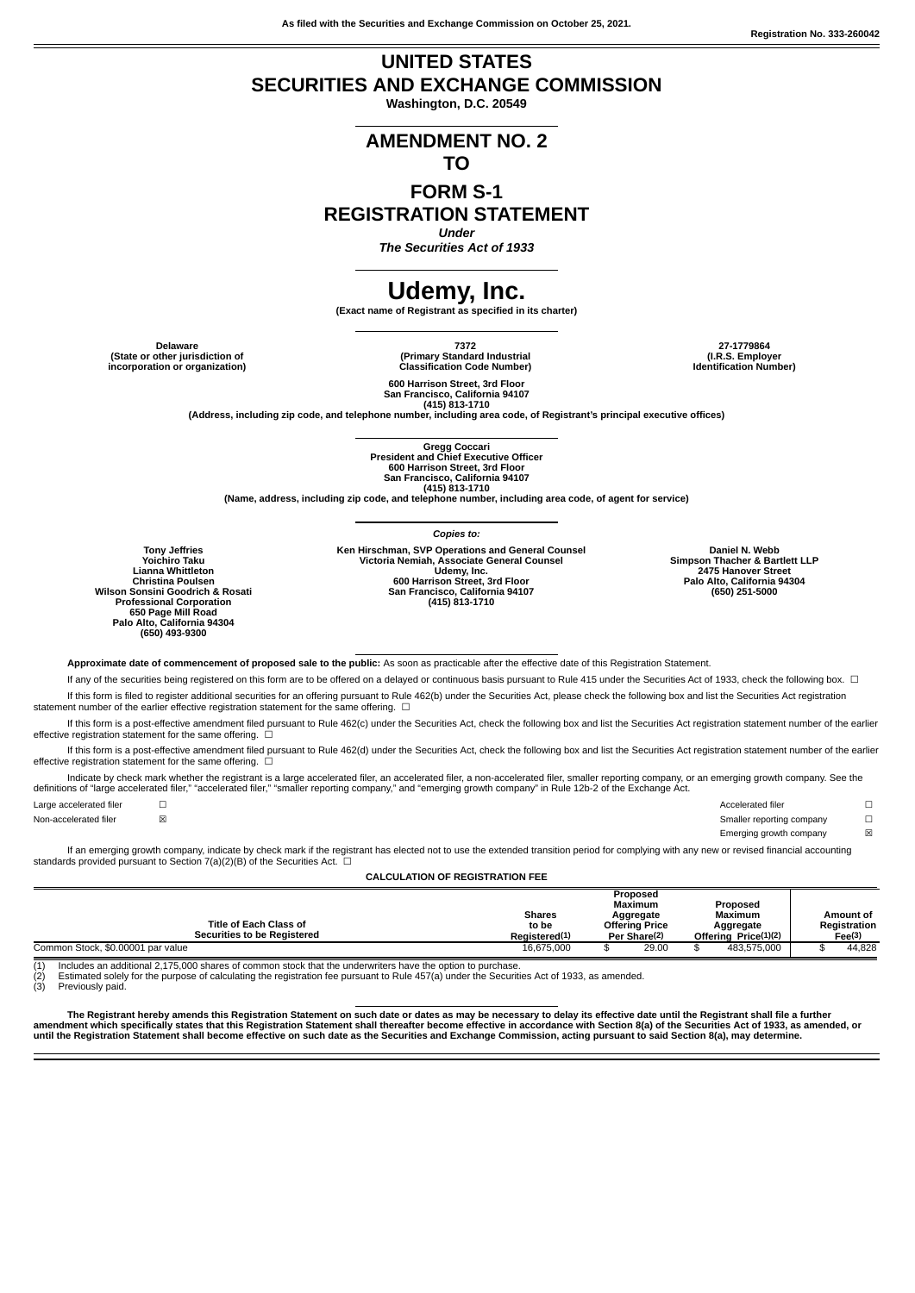**As filed with the Securities and Exchange Commission on October 25, 2021.**

**Registration No. 333-260042**

## **UNITED STATES SECURITIES AND EXCHANGE COMMISSION**

**Washington, D.C. 20549**

# **AMENDMENT NO. 2**

### **TO**

### **FORM S-1 REGISTRATION STATEMENT**

*Under*

*The Securities Act of 1933*

## **Udemy, Inc.**

**(Exact name of Registrant as specified in its charter)**

**(State or other jurisdiction of incorporation or organization)**

**Delaware 7372 27-1779864 (Primary Standard Industrial Classification Code Number)**

**(I.R.S. Employer Identification Number)**

**600 Harrison Street, 3rd Floor San Francisco, California 94107**

(415) 813-1710<br>(Address, including zip code, and telephone number, including area code, of Registrant's principal executive offices)

**Gregg Coccari President and Chief Executive Officer 600 Harrison Street, 3rd Floor San Francisco, California 94107 (415) 813-1710**

**(Name, address, including zip code, and telephone number, including area code, of agent for service)**

**Tony Jeffries Yoichiro Taku Lianna Whittleton Christina Poulsen Wilson Sonsini Goodrich & Rosati Professional Corporation 650 Page Mill Road Palo Alto, California 94304 (650) 493-9300**

*Copies to:* Ken Hirschman, SVP Operations and General Counsel<br>Victoria Nemiah, Associate General Counsel<br>Udemy, Inc.<br>600 Harrison Street, 3rd Floor<br>San Francisco, California 94107 **(415) 813-1710**

**Daniel N. Webb Simpson Thacher & Bartlett LLP 2475 Hanover Street Palo Alto, California 94304 (650) 251-5000**

**Approximate date of commencement of proposed sale to the public:** As soon as practicable after the effective date of this Registration Statement.

If any of the securities being registered on this form are to be offered on a delayed or continuous basis pursuant to Rule 415 under the Securities Act of 1933, check the following box. □ If this form is filed to register additional securities for an offering pursuant to Rule 462(b) under the Securities Act, please check the following box and list the Securities Act registration statement number of the earlier effective registration statement for the same offering.  $□$ 

If this form is a post-effective amendment filed pursuant to Rule 462(c) under the Securities Act, check the following box and list the Securities Act registration statement number of the earlier effective registration statement for the same offering.  $□$ 

If this form is a post-effective amendment filed pursuant to Rule 462(d) under the Securities Act, check the following box and list the Securities Act registration statement number of the earlier effective registration statement for the same offering.  $□$ 

Indicate by check mark whether the registrant is a large accelerated filer, an accelerated filer, a non-accelerated filer, smaller reporting company, or an emerging growth company. See the definitions of "large accelerated filer," "accelerated filer," "smaller reporting company," and "emerging growth company" in Rule 12b-2 of the Exchange Act.

Large accelerated filer □ □ □ □ □ □ □ □ □ △ Accelerated filer □ □ △ Accelerated filer □ Non-accelerated filer **⊠** △ Smaller reporting company <del>□</del>

Emerging growth company <br>  $\boxtimes$ 

If an emerging growth company, indicate by check mark if the registrant has elected not to use the extended transition period for complying with any new or revised financial accounting standards provided pursuant to Section 7(a)(2)(B) of the Securities Act.  $□$ 

**CALCULATION OF REGISTRATION FEE**

|                                    | Proposed                                                     |                     |       |                      |             |           |              |
|------------------------------------|--------------------------------------------------------------|---------------------|-------|----------------------|-------------|-----------|--------------|
|                                    |                                                              | Maximum<br>Proposed |       |                      |             |           |              |
|                                    | <b>Shares</b><br>Aggregate<br>to be<br><b>Offering Price</b> |                     |       | <b>Maximum</b>       |             | Amount of |              |
| <b>Title of Each Class of</b>      |                                                              |                     |       |                      | Aggregate   |           | Registration |
| <b>Securities to be Registered</b> | Registered(1)                                                | Per Share(2)        |       | Offering Price(1)(2) |             | Fee(3)    |              |
| Common Stock, \$0.00001 par value  | 16.675.000                                                   |                     | 29.00 |                      | 483.575.000 |           | 44.828       |

(1) Includes an additional 2,175,000 shares of common stock that the underwriters have the option to purchase.<br>(2) Estimated solely for the purpose of calculating the registration fee pursuant to Rule 457(a) under the Secu Estimated solely for the purpose of calculating the registration fee pursuant to Rule 457(a) under the Securities Act of 1933, as amended.

Previously paid

The Registrant hereby amends this Registration Statement on such date or dates as may be necessary to delay its effective date until the Registrant shall file a further<br>amendment which specifically states that this Registr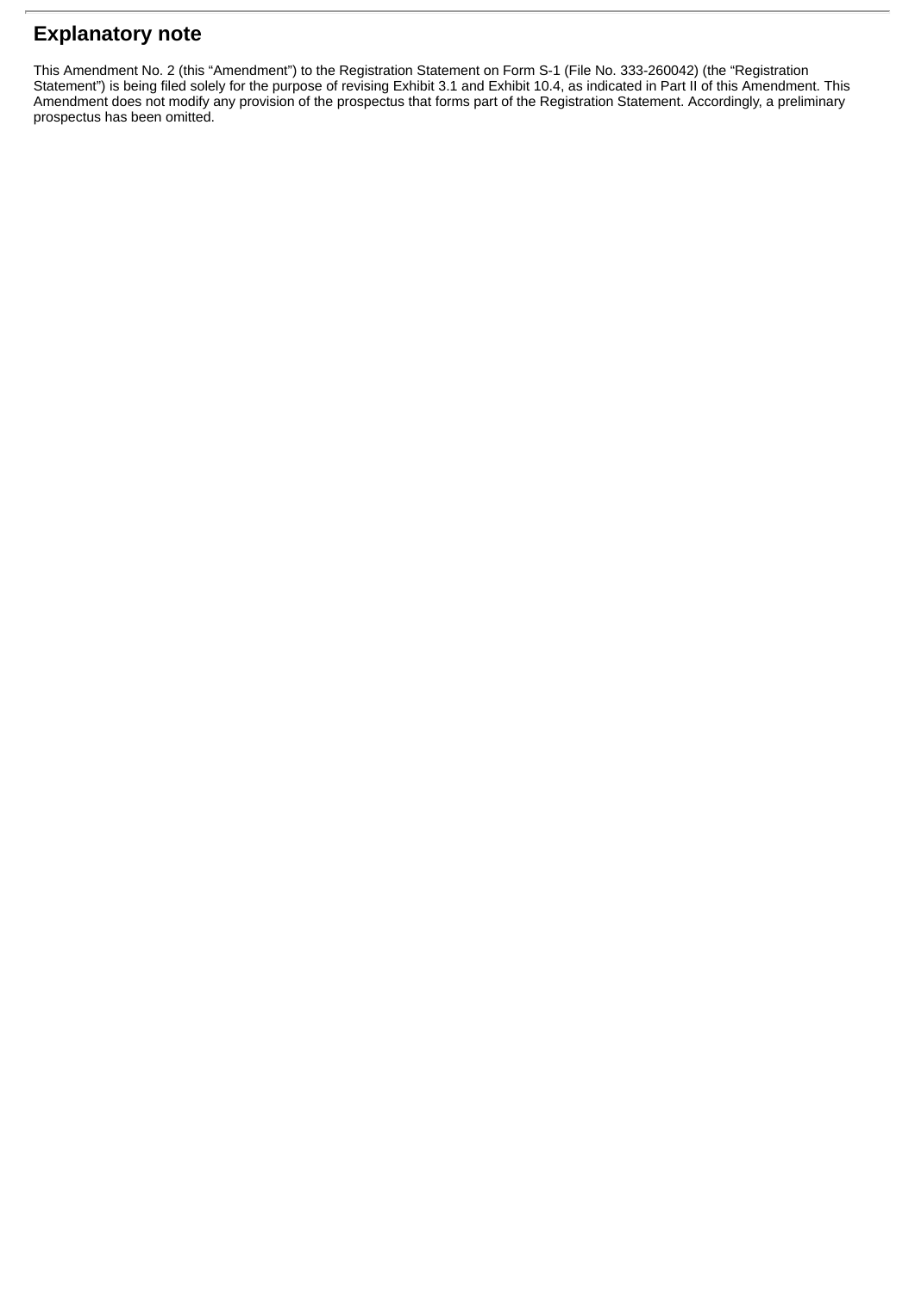## **Explanatory note**

This Amendment No. 2 (this "Amendment") to the Registration Statement on Form S-1 (File No. 333-260042) (the "Registration Statement") is being filed solely for the purpose of revising Exhibit 3.1 and Exhibit 10.4, as indicated in Part II of this Amendment. This Amendment does not modify any provision of the prospectus that forms part of the Registration Statement. Accordingly, a preliminary prospectus has been omitted.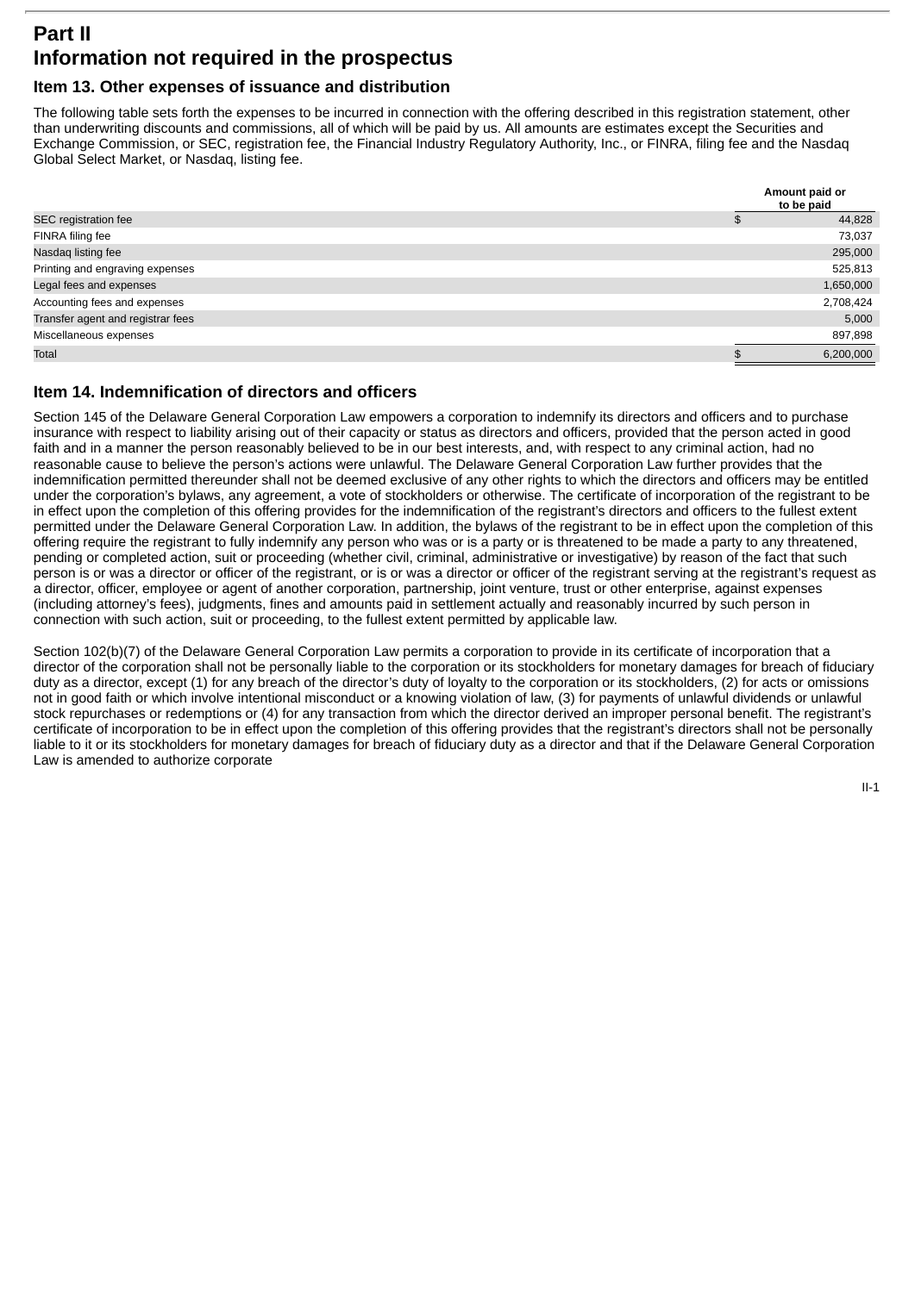## **Part II Information not required in the prospectus**

### **Item 13. Other expenses of issuance and distribution**

The following table sets forth the expenses to be incurred in connection with the offering described in this registration statement, other than underwriting discounts and commissions, all of which will be paid by us. All amounts are estimates except the Securities and Exchange Commission, or SEC, registration fee, the Financial Industry Regulatory Authority, Inc., or FINRA, filing fee and the Nasdaq Global Select Market, or Nasdaq, listing fee.

|                                   | Amount paid or<br>to be paid |
|-----------------------------------|------------------------------|
| SEC registration fee              | 44,828                       |
| FINRA filing fee                  | 73,037                       |
| Nasdag listing fee                | 295,000                      |
| Printing and engraving expenses   | 525,813                      |
| Legal fees and expenses           | 1,650,000                    |
| Accounting fees and expenses      | 2,708,424                    |
| Transfer agent and registrar fees | 5,000                        |
| Miscellaneous expenses            | 897,898                      |
| Total                             | 6,200,000                    |

### **Item 14. Indemnification of directors and officers**

Section 145 of the Delaware General Corporation Law empowers a corporation to indemnify its directors and officers and to purchase insurance with respect to liability arising out of their capacity or status as directors and officers, provided that the person acted in good faith and in a manner the person reasonably believed to be in our best interests, and, with respect to any criminal action, had no reasonable cause to believe the person's actions were unlawful. The Delaware General Corporation Law further provides that the indemnification permitted thereunder shall not be deemed exclusive of any other rights to which the directors and officers may be entitled under the corporation's bylaws, any agreement, a vote of stockholders or otherwise. The certificate of incorporation of the registrant to be in effect upon the completion of this offering provides for the indemnification of the registrant's directors and officers to the fullest extent permitted under the Delaware General Corporation Law. In addition, the bylaws of the registrant to be in effect upon the completion of this offering require the registrant to fully indemnify any person who was or is a party or is threatened to be made a party to any threatened, pending or completed action, suit or proceeding (whether civil, criminal, administrative or investigative) by reason of the fact that such person is or was a director or officer of the registrant, or is or was a director or officer of the registrant serving at the registrant's request as a director, officer, employee or agent of another corporation, partnership, joint venture, trust or other enterprise, against expenses (including attorney's fees), judgments, fines and amounts paid in settlement actually and reasonably incurred by such person in connection with such action, suit or proceeding, to the fullest extent permitted by applicable law.

Section 102(b)(7) of the Delaware General Corporation Law permits a corporation to provide in its certificate of incorporation that a director of the corporation shall not be personally liable to the corporation or its stockholders for monetary damages for breach of fiduciary duty as a director, except (1) for any breach of the director's duty of loyalty to the corporation or its stockholders, (2) for acts or omissions not in good faith or which involve intentional misconduct or a knowing violation of law, (3) for payments of unlawful dividends or unlawful stock repurchases or redemptions or (4) for any transaction from which the director derived an improper personal benefit. The registrant's certificate of incorporation to be in effect upon the completion of this offering provides that the registrant's directors shall not be personally liable to it or its stockholders for monetary damages for breach of fiduciary duty as a director and that if the Delaware General Corporation Law is amended to authorize corporate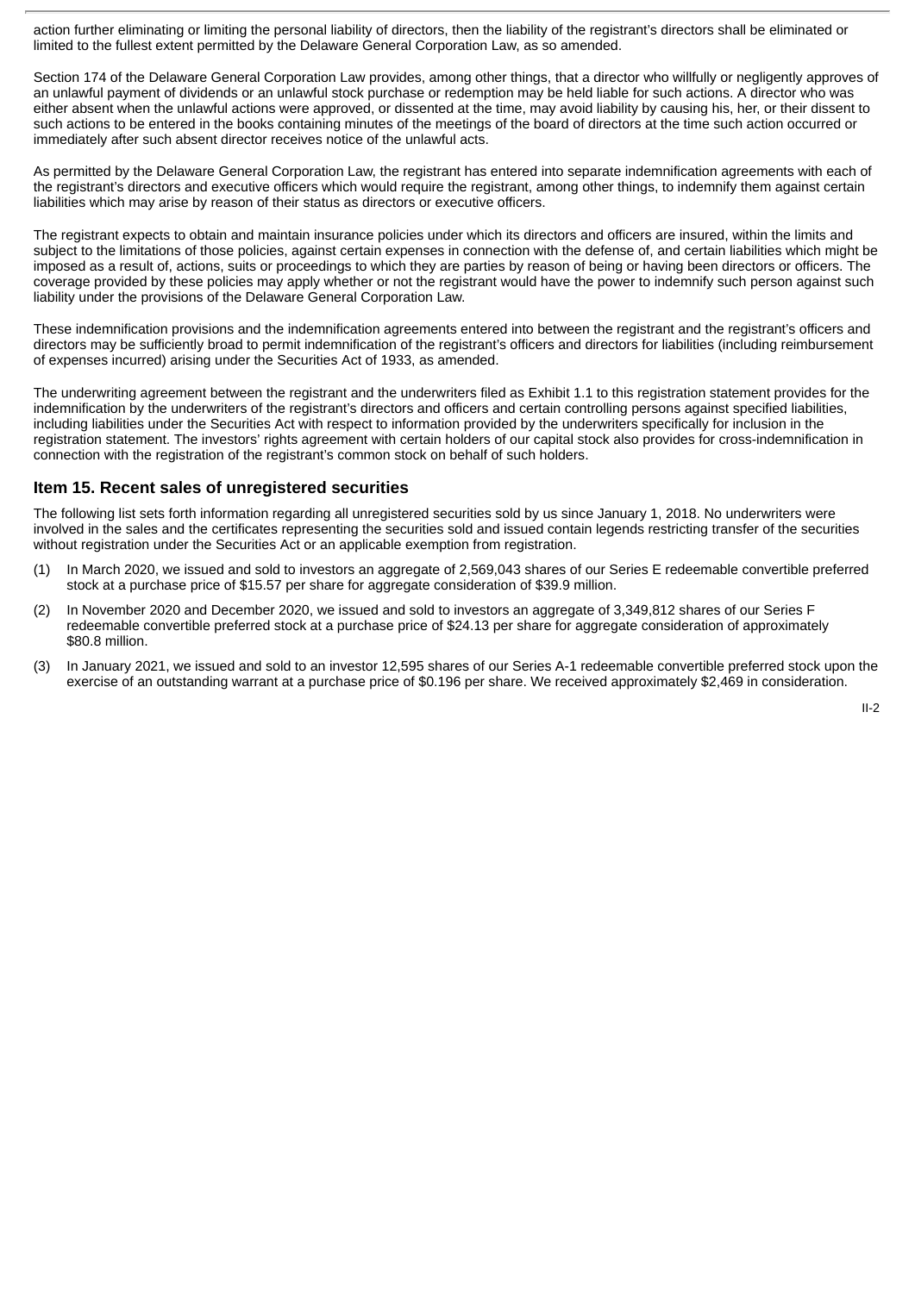action further eliminating or limiting the personal liability of directors, then the liability of the registrant's directors shall be eliminated or limited to the fullest extent permitted by the Delaware General Corporation Law, as so amended.

Section 174 of the Delaware General Corporation Law provides, among other things, that a director who willfully or negligently approves of an unlawful payment of dividends or an unlawful stock purchase or redemption may be held liable for such actions. A director who was either absent when the unlawful actions were approved, or dissented at the time, may avoid liability by causing his, her, or their dissent to such actions to be entered in the books containing minutes of the meetings of the board of directors at the time such action occurred or immediately after such absent director receives notice of the unlawful acts.

As permitted by the Delaware General Corporation Law, the registrant has entered into separate indemnification agreements with each of the registrant's directors and executive officers which would require the registrant, among other things, to indemnify them against certain liabilities which may arise by reason of their status as directors or executive officers.

The registrant expects to obtain and maintain insurance policies under which its directors and officers are insured, within the limits and subject to the limitations of those policies, against certain expenses in connection with the defense of, and certain liabilities which might be imposed as a result of, actions, suits or proceedings to which they are parties by reason of being or having been directors or officers. The coverage provided by these policies may apply whether or not the registrant would have the power to indemnify such person against such liability under the provisions of the Delaware General Corporation Law.

These indemnification provisions and the indemnification agreements entered into between the registrant and the registrant's officers and directors may be sufficiently broad to permit indemnification of the registrant's officers and directors for liabilities (including reimbursement of expenses incurred) arising under the Securities Act of 1933, as amended.

The underwriting agreement between the registrant and the underwriters filed as Exhibit 1.1 to this registration statement provides for the indemnification by the underwriters of the registrant's directors and officers and certain controlling persons against specified liabilities, including liabilities under the Securities Act with respect to information provided by the underwriters specifically for inclusion in the registration statement. The investors' rights agreement with certain holders of our capital stock also provides for cross-indemnification in connection with the registration of the registrant's common stock on behalf of such holders.

### **Item 15. Recent sales of unregistered securities**

The following list sets forth information regarding all unregistered securities sold by us since January 1, 2018. No underwriters were involved in the sales and the certificates representing the securities sold and issued contain legends restricting transfer of the securities without registration under the Securities Act or an applicable exemption from registration.

- (1) In March 2020, we issued and sold to investors an aggregate of 2,569,043 shares of our Series E redeemable convertible preferred stock at a purchase price of \$15.57 per share for aggregate consideration of \$39.9 million.
- (2) In November 2020 and December 2020, we issued and sold to investors an aggregate of 3,349,812 shares of our Series F redeemable convertible preferred stock at a purchase price of \$24.13 per share for aggregate consideration of approximately \$80.8 million.
- (3) In January 2021, we issued and sold to an investor 12,595 shares of our Series A-1 redeemable convertible preferred stock upon the exercise of an outstanding warrant at a purchase price of \$0.196 per share. We received approximately \$2,469 in consideration.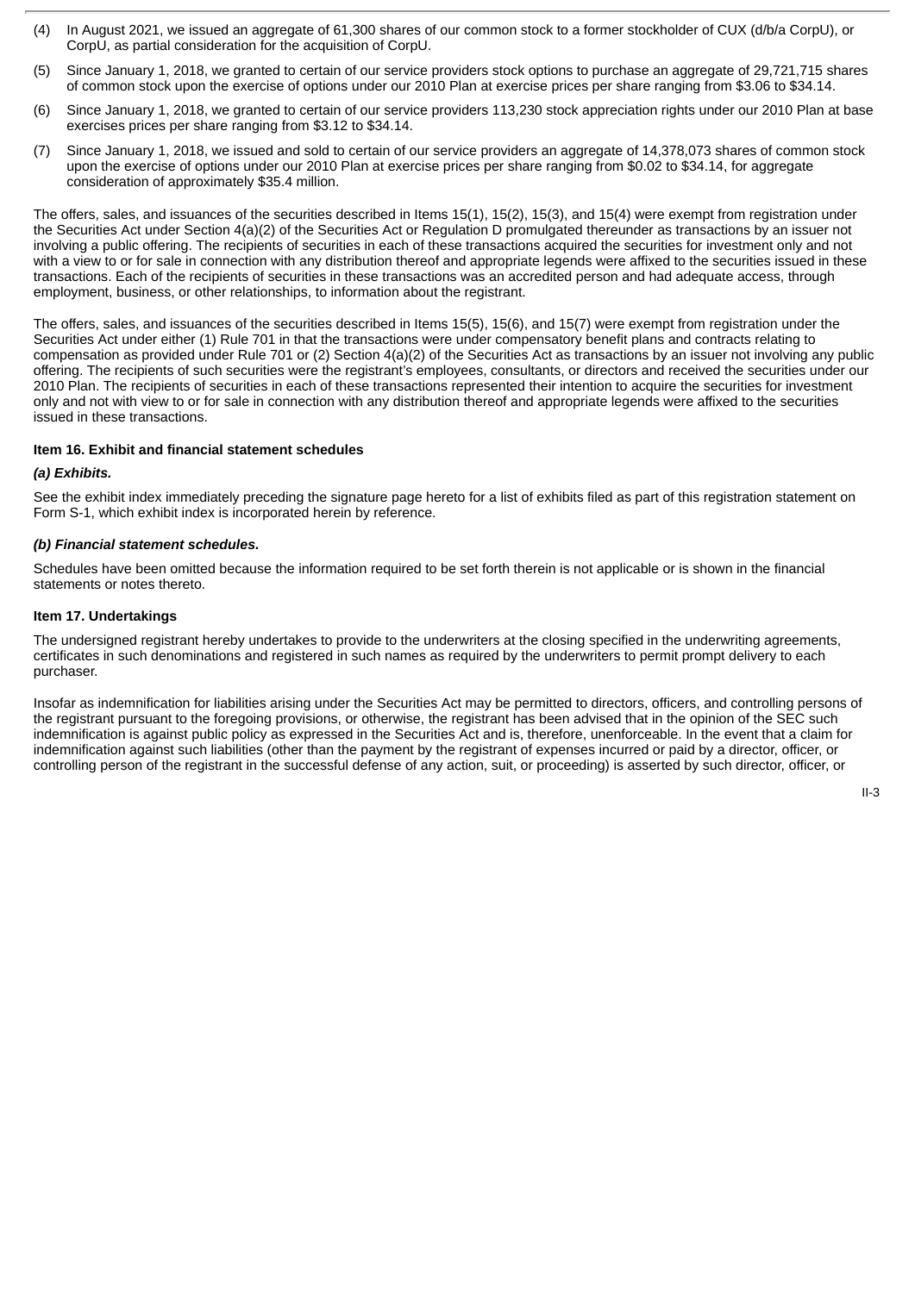- (4) In August 2021, we issued an aggregate of 61,300 shares of our common stock to a former stockholder of CUX (d/b/a CorpU), or CorpU, as partial consideration for the acquisition of CorpU.
- (5) Since January 1, 2018, we granted to certain of our service providers stock options to purchase an aggregate of 29,721,715 shares of common stock upon the exercise of options under our 2010 Plan at exercise prices per share ranging from \$3.06 to \$34.14.
- (6) Since January 1, 2018, we granted to certain of our service providers 113,230 stock appreciation rights under our 2010 Plan at base exercises prices per share ranging from \$3.12 to \$34.14.
- (7) Since January 1, 2018, we issued and sold to certain of our service providers an aggregate of 14,378,073 shares of common stock upon the exercise of options under our 2010 Plan at exercise prices per share ranging from \$0.02 to \$34.14, for aggregate consideration of approximately \$35.4 million.

The offers, sales, and issuances of the securities described in Items 15(1), 15(2), 15(3), and 15(4) were exempt from registration under the Securities Act under Section 4(a)(2) of the Securities Act or Regulation D promulgated thereunder as transactions by an issuer not involving a public offering. The recipients of securities in each of these transactions acquired the securities for investment only and not with a view to or for sale in connection with any distribution thereof and appropriate legends were affixed to the securities issued in these transactions. Each of the recipients of securities in these transactions was an accredited person and had adequate access, through employment, business, or other relationships, to information about the registrant.

The offers, sales, and issuances of the securities described in Items 15(5), 15(6), and 15(7) were exempt from registration under the Securities Act under either (1) Rule 701 in that the transactions were under compensatory benefit plans and contracts relating to compensation as provided under Rule 701 or (2) Section 4(a)(2) of the Securities Act as transactions by an issuer not involving any public offering. The recipients of such securities were the registrant's employees, consultants, or directors and received the securities under our 2010 Plan. The recipients of securities in each of these transactions represented their intention to acquire the securities for investment only and not with view to or for sale in connection with any distribution thereof and appropriate legends were affixed to the securities issued in these transactions.

#### **Item 16. Exhibit and financial statement schedules**

#### *(a) Exhibits.*

See the exhibit index immediately preceding the signature page hereto for a list of exhibits filed as part of this registration statement on Form S-1, which exhibit index is incorporated herein by reference.

#### *(b) Financial statement schedules.*

Schedules have been omitted because the information required to be set forth therein is not applicable or is shown in the financial statements or notes thereto.

#### **Item 17. Undertakings**

The undersigned registrant hereby undertakes to provide to the underwriters at the closing specified in the underwriting agreements, certificates in such denominations and registered in such names as required by the underwriters to permit prompt delivery to each purchaser.

Insofar as indemnification for liabilities arising under the Securities Act may be permitted to directors, officers, and controlling persons of the registrant pursuant to the foregoing provisions, or otherwise, the registrant has been advised that in the opinion of the SEC such indemnification is against public policy as expressed in the Securities Act and is, therefore, unenforceable. In the event that a claim for indemnification against such liabilities (other than the payment by the registrant of expenses incurred or paid by a director, officer, or controlling person of the registrant in the successful defense of any action, suit, or proceeding) is asserted by such director, officer, or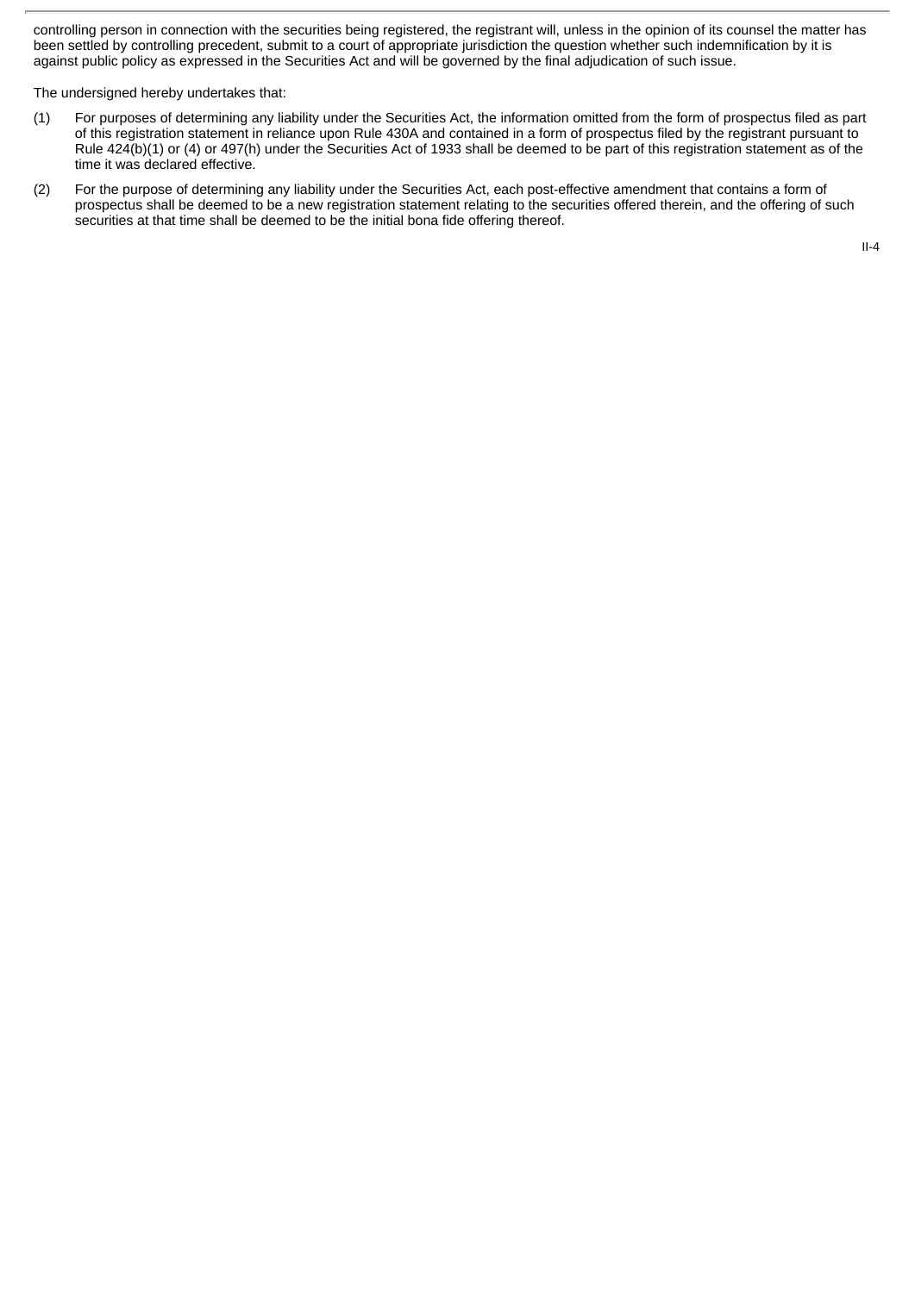controlling person in connection with the securities being registered, the registrant will, unless in the opinion of its counsel the matter has been settled by controlling precedent, submit to a court of appropriate jurisdiction the question whether such indemnification by it is against public policy as expressed in the Securities Act and will be governed by the final adjudication of such issue.

The undersigned hereby undertakes that:

- (1) For purposes of determining any liability under the Securities Act, the information omitted from the form of prospectus filed as part of this registration statement in reliance upon Rule 430A and contained in a form of prospectus filed by the registrant pursuant to Rule 424(b)(1) or (4) or 497(h) under the Securities Act of 1933 shall be deemed to be part of this registration statement as of the time it was declared effective.
- (2) For the purpose of determining any liability under the Securities Act, each post-effective amendment that contains a form of prospectus shall be deemed to be a new registration statement relating to the securities offered therein, and the offering of such securities at that time shall be deemed to be the initial bona fide offering thereof.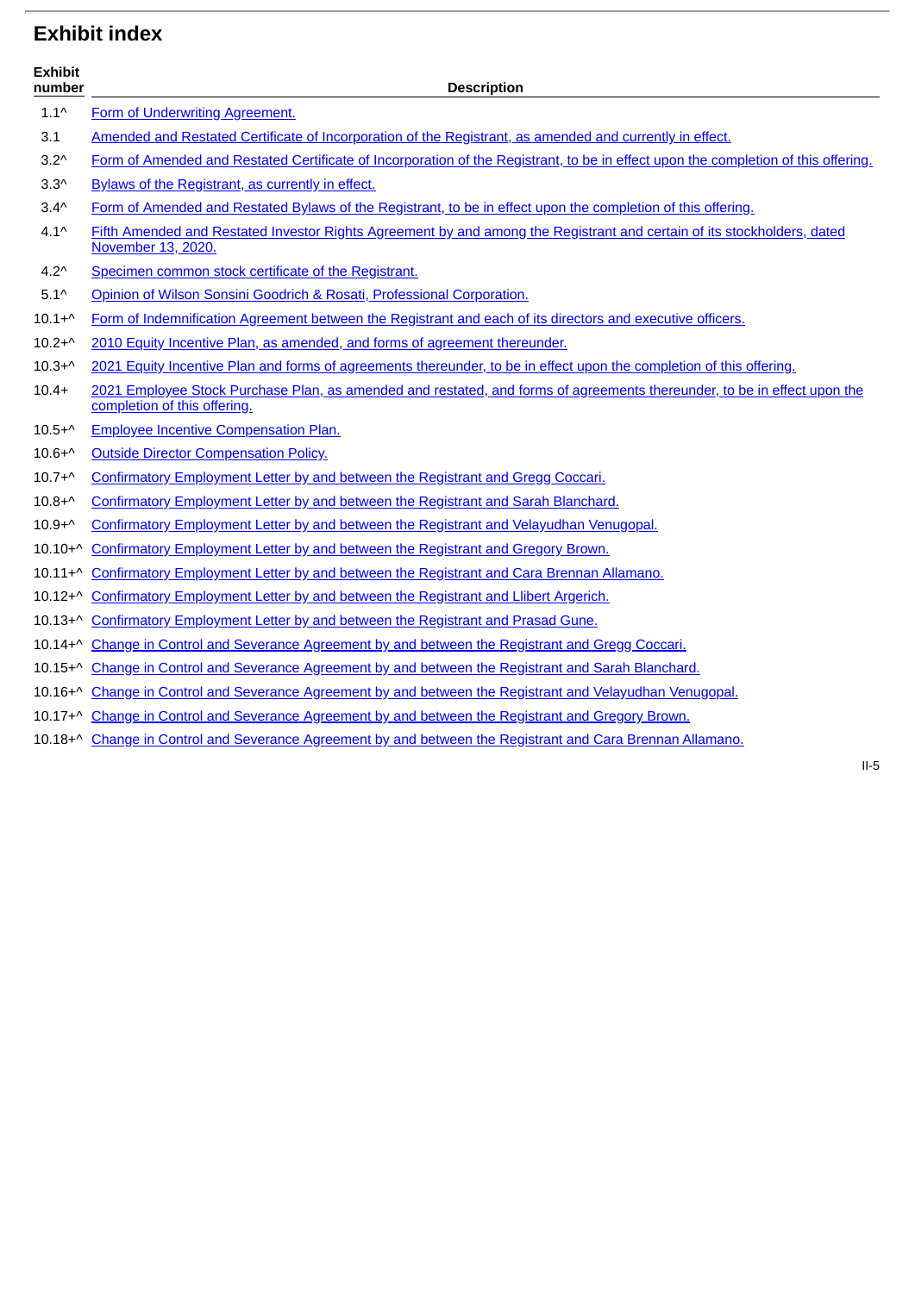## **Exhibit index**

| <b>Exhibit</b><br>number | <b>Description</b>                                                                                                                                       |
|--------------------------|----------------------------------------------------------------------------------------------------------------------------------------------------------|
| $1.1^{\wedge}$           | Form of Underwriting Agreement.                                                                                                                          |
| 3.1                      | Amended and Restated Certificate of Incorporation of the Registrant, as amended and currently in effect.                                                 |
| $3.2^{\wedge}$           | Form of Amended and Restated Certificate of Incorporation of the Registrant, to be in effect upon the completion of this offering.                       |
| $3.3^$                   | Bylaws of the Registrant, as currently in effect.                                                                                                        |
| $3.4^$                   | Form of Amended and Restated Bylaws of the Registrant, to be in effect upon the completion of this offering.                                             |
| $4.1^{\circ}$            | Fifth Amended and Restated Investor Rights Agreement by and among the Registrant and certain of its stockholders, dated<br>November 13, 2020.            |
| $4.2^{\circ}$            | Specimen common stock certificate of the Registrant.                                                                                                     |
| $5.1^{\circ}$            | Opinion of Wilson Sonsini Goodrich & Rosati, Professional Corporation.                                                                                   |
| $10.1 + ^{\wedge}$       | Form of Indemnification Agreement between the Registrant and each of its directors and executive officers.                                               |
| $10.2 + ^{\wedge}$       | 2010 Equity Incentive Plan, as amended, and forms of agreement thereunder.                                                                               |
| $10.3 + ^{\wedge}$       | 2021 Equity Incentive Plan and forms of agreements thereunder, to be in effect upon the completion of this offering.                                     |
| $10.4+$                  | 2021 Employee Stock Purchase Plan, as amended and restated, and forms of agreements thereunder, to be in effect upon the<br>completion of this offering. |
| $10.5 + ^{\wedge}$       | <b>Employee Incentive Compensation Plan.</b>                                                                                                             |
| $10.6 + ^{\wedge}$       | <b>Outside Director Compensation Policy.</b>                                                                                                             |
| $10.7 + ^{\wedge}$       | Confirmatory Employment Letter by and between the Registrant and Gregg Coccari.                                                                          |
| $10.8 + ^{\wedge}$       | Confirmatory Employment Letter by and between the Registrant and Sarah Blanchard.                                                                        |
| $10.9 + ^{\wedge}$       | Confirmatory Employment Letter by and between the Registrant and Velayudhan Venugopal.                                                                   |
| $10.10 + ^{\wedge}$      | Confirmatory Employment Letter by and between the Registrant and Gregory Brown.                                                                          |
| $10.11 + ^{\wedge}$      | Confirmatory Employment Letter by and between the Registrant and Cara Brennan Allamano.                                                                  |
| $10.12 + ^{\wedge}$      | Confirmatory Employment Letter by and between the Registrant and Llibert Argerich.                                                                       |
| $10.13 + ^{\wedge}$      | Confirmatory Employment Letter by and between the Registrant and Prasad Gune.                                                                            |
| $10.14 + ^{\wedge}$      | Change in Control and Severance Agreement by and between the Registrant and Gregg Coccari.                                                               |
|                          | 10.15+^ Change in Control and Severance Agreement by and between the Registrant and Sarah Blanchard.                                                     |
|                          | 10.16 <sup>+^</sup> Change in Control and Severance Agreement by and between the Registrant and Velayudhan Venugopal.                                    |

- 10.17+^ Change in Control and Severance [Agreement](http://www.sec.gov/Archives/edgar/data/0001607939/000119312521291460/d163445dex1017.htm) by and between the Registrant and Gregory Brown.
- 10.18+^ Change in Control and Severance [Agreement](http://www.sec.gov/Archives/edgar/data/0001607939/000119312521291460/d163445dex1018.htm) by and between the Registrant and Cara Brennan Allamano.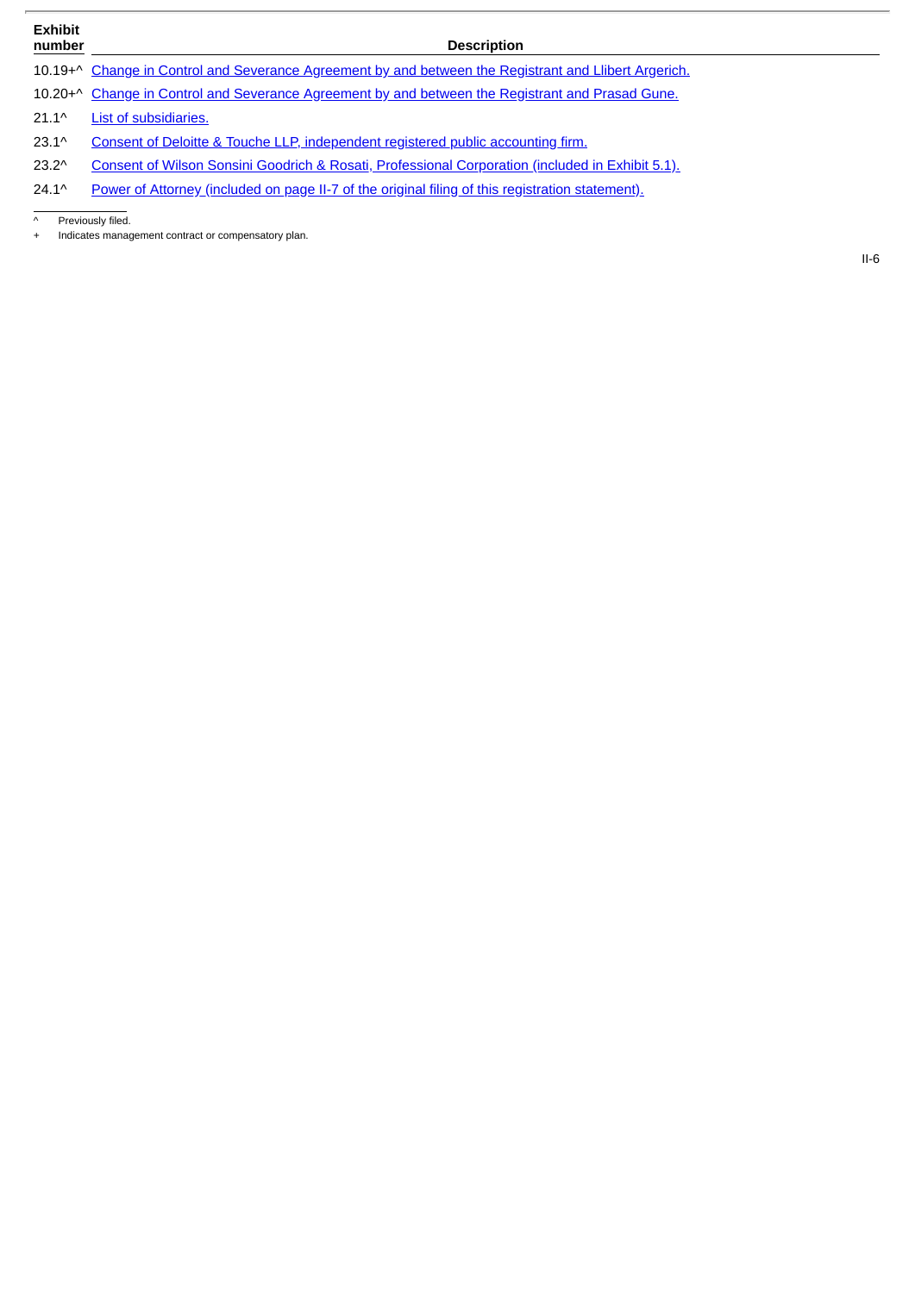## **Exhibit**

#### **number Description**

10.19+^ Change in Control and Severance [Agreement](http://www.sec.gov/Archives/edgar/data/0001607939/000119312521291460/d163445dex1019.htm) by and between the Registrant and Llibert Argerich.

10.20+^ Change in Control and Severance [Agreement](http://www.sec.gov/Archives/edgar/data/0001607939/000119312521291460/d163445dex1020.htm) by and between the Registrant and Prasad Gune.

21.1^ List of [subsidiaries.](http://www.sec.gov/Archives/edgar/data/0001607939/000119312521291460/d163445dex211.htm)

23.1^ Consent of Deloitte & Touche LLP, [independent](http://www.sec.gov/Archives/edgar/data/1607939/000119312521302492/d163445dex231.htm) registered public accounting firm.

23.2^ Consent of Wilson Sonsini Goodrich & Rosati, [Professional](http://www.sec.gov/Archives/edgar/data/1607939/000119312521302492/d163445dex51.htm) Corporation (included in Exhibit 5.1).

24.1^ Power of Attorney (included on page II-7 of the original filing of this registration [statement\).](http://www.sec.gov/Archives/edgar/data/0001607939/000119312521291460/d163445ds1.htm#ii163445_31)

Previously filed.

+ Indicates management contract or compensatory plan.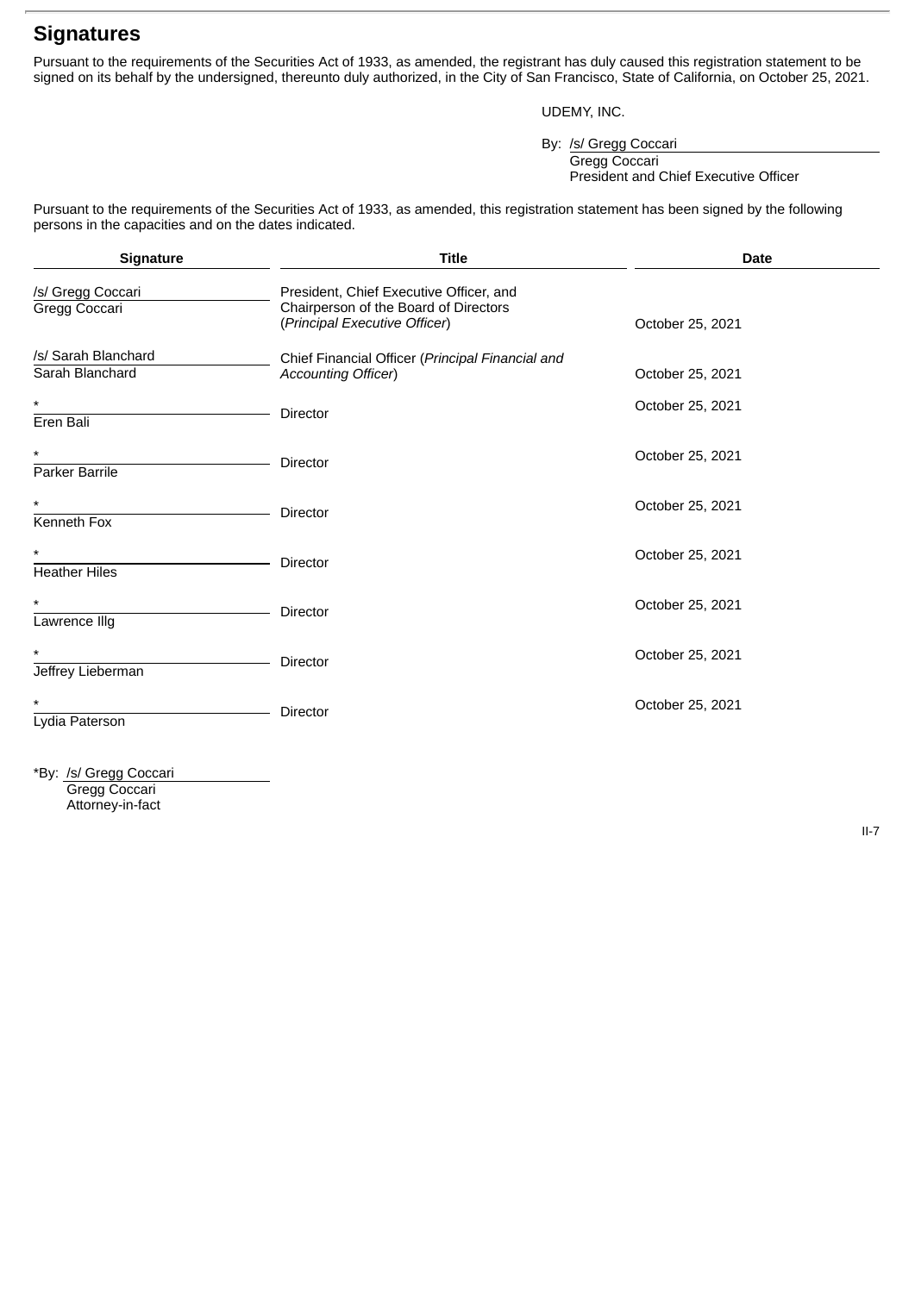## **Signatures**

Pursuant to the requirements of the Securities Act of 1933, as amended, the registrant has duly caused this registration statement to be signed on its behalf by the undersigned, thereunto duly authorized, in the City of San Francisco, State of California, on October 25, 2021.

### UDEMY, INC.

By: /s/ Gregg Coccari

Gregg Coccari President and Chief Executive Officer

Pursuant to the requirements of the Securities Act of 1933, as amended, this registration statement has been signed by the following persons in the capacities and on the dates indicated.

| Signature                              | <b>Title</b>                                                                                                      | <b>Date</b>      |
|----------------------------------------|-------------------------------------------------------------------------------------------------------------------|------------------|
| /s/ Gregg Coccari<br>Gregg Coccari     | President, Chief Executive Officer, and<br>Chairperson of the Board of Directors<br>(Principal Executive Officer) | October 25, 2021 |
| /s/ Sarah Blanchard<br>Sarah Blanchard | Chief Financial Officer (Principal Financial and<br><b>Accounting Officer)</b>                                    | October 25, 2021 |
| $^\star$<br>Eren Bali                  | <b>Director</b>                                                                                                   | October 25, 2021 |
| $^\star$<br>Parker Barrile             | Director                                                                                                          | October 25, 2021 |
| $^\star$<br>Kenneth Fox                | <b>Director</b>                                                                                                   | October 25, 2021 |
| $^\star$<br><b>Heather Hiles</b>       | Director                                                                                                          | October 25, 2021 |
| $\star$<br>Lawrence Illg               | <b>Director</b>                                                                                                   | October 25, 2021 |
| $^\star$<br>Jeffrey Lieberman          | <b>Director</b>                                                                                                   | October 25, 2021 |
| $^\star$<br>Lydia Paterson             | <b>Director</b>                                                                                                   | October 25, 2021 |

\*By: /s/ Gregg Coccari Gregg Coccari Attorney-in-fact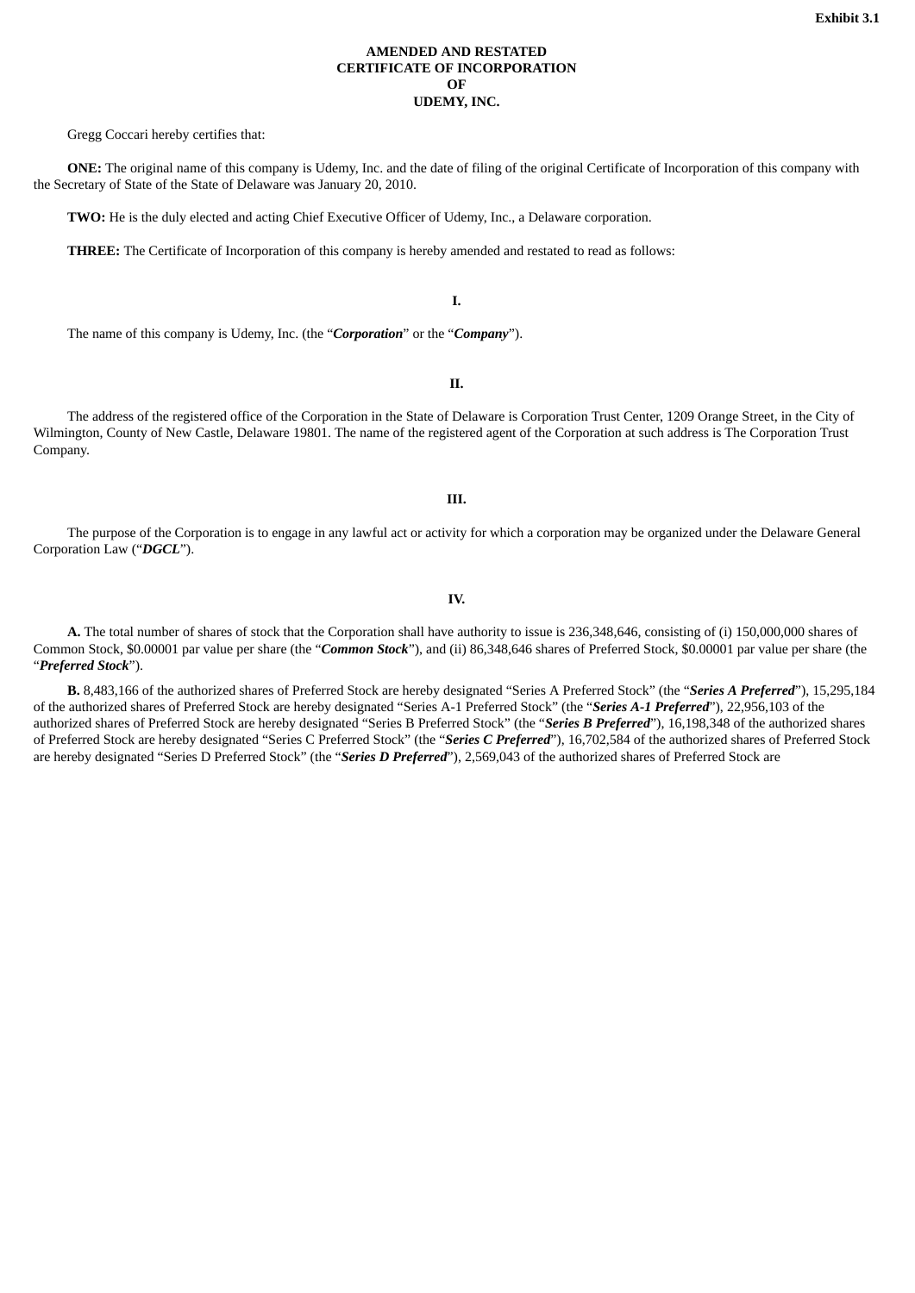#### **AMENDED AND RESTATED CERTIFICATE OF INCORPORATION OF UDEMY, INC.**

<span id="page-9-0"></span>Gregg Coccari hereby certifies that:

**ONE:** The original name of this company is Udemy, Inc. and the date of filing of the original Certificate of Incorporation of this company with the Secretary of State of the State of Delaware was January 20, 2010.

**TWO:** He is the duly elected and acting Chief Executive Officer of Udemy, Inc., a Delaware corporation.

**THREE:** The Certificate of Incorporation of this company is hereby amended and restated to read as follows:

**I.**

The name of this company is Udemy, Inc. (the "*Corporation*" or the "*Company*").

**II.**

The address of the registered office of the Corporation in the State of Delaware is Corporation Trust Center, 1209 Orange Street, in the City of Wilmington, County of New Castle, Delaware 19801. The name of the registered agent of the Corporation at such address is The Corporation Trust Company.

**III.**

The purpose of the Corporation is to engage in any lawful act or activity for which a corporation may be organized under the Delaware General Corporation Law ("*DGCL*").

**IV.**

**A.** The total number of shares of stock that the Corporation shall have authority to issue is 236,348,646, consisting of (i) 150,000,000 shares of Common Stock, \$0.00001 par value per share (the "*Common Stock*"), and (ii) 86,348,646 shares of Preferred Stock, \$0.00001 par value per share (the "*Preferred Stock*").

**B.** 8,483,166 of the authorized shares of Preferred Stock are hereby designated "Series A Preferred Stock" (the "*Series A Preferred*"), 15,295,184 of the authorized shares of Preferred Stock are hereby designated "Series A-1 Preferred Stock" (the "*Series A-1 Preferred*"), 22,956,103 of the authorized shares of Preferred Stock are hereby designated "Series B Preferred Stock" (the "*Series B Preferred*"), 16,198,348 of the authorized shares of Preferred Stock are hereby designated "Series C Preferred Stock" (the "*Series C Preferred*"), 16,702,584 of the authorized shares of Preferred Stock are hereby designated "Series D Preferred Stock" (the "*Series D Preferred*"), 2,569,043 of the authorized shares of Preferred Stock are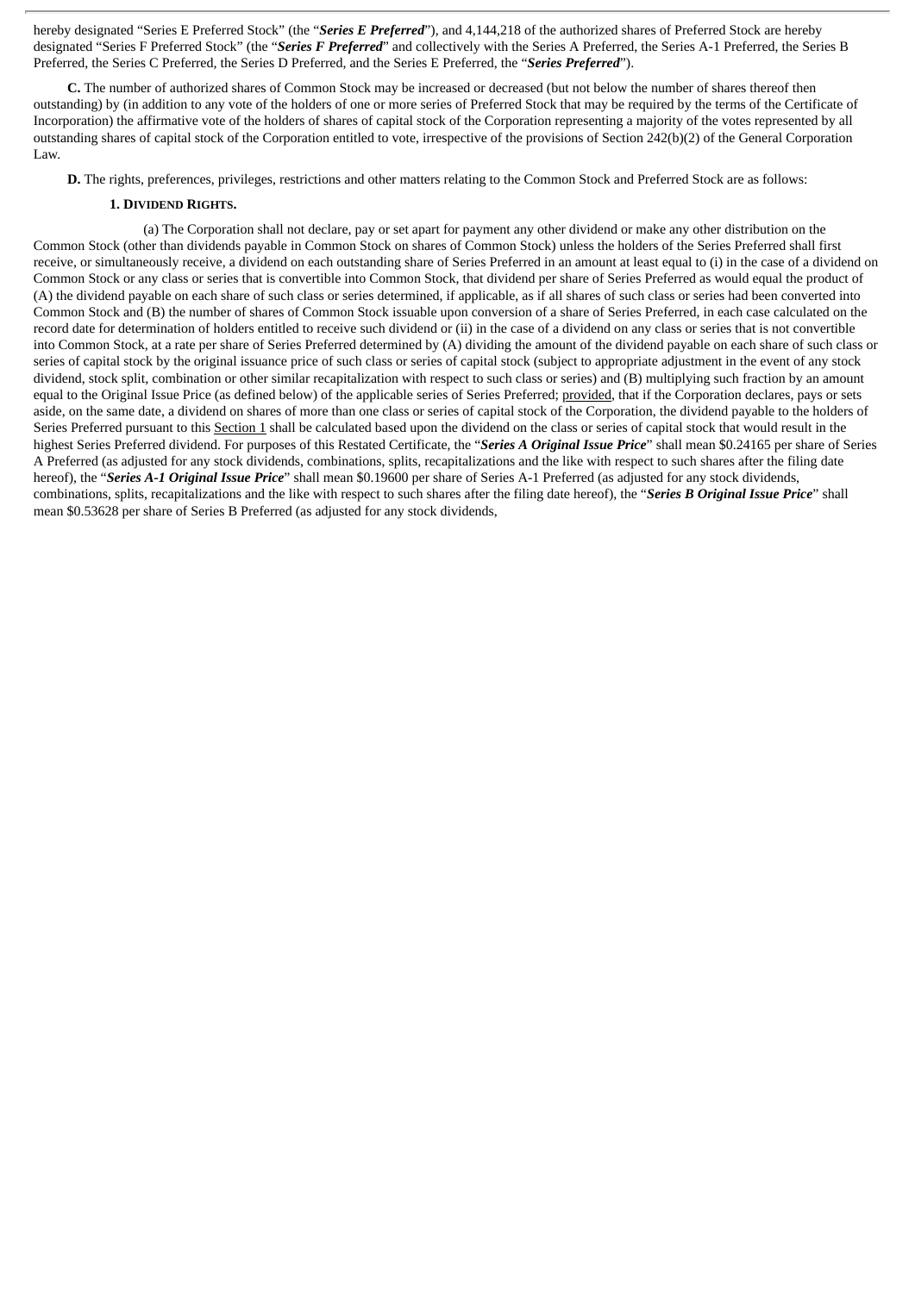hereby designated "Series E Preferred Stock" (the "*Series E Preferred*"), and 4,144,218 of the authorized shares of Preferred Stock are hereby designated "Series F Preferred Stock" (the "*Series F Preferred*" and collectively with the Series A Preferred, the Series A-1 Preferred, the Series B Preferred, the Series C Preferred, the Series D Preferred, and the Series E Preferred, the "*Series Preferred*").

**C.** The number of authorized shares of Common Stock may be increased or decreased (but not below the number of shares thereof then outstanding) by (in addition to any vote of the holders of one or more series of Preferred Stock that may be required by the terms of the Certificate of Incorporation) the affirmative vote of the holders of shares of capital stock of the Corporation representing a majority of the votes represented by all outstanding shares of capital stock of the Corporation entitled to vote, irrespective of the provisions of Section 242(b)(2) of the General Corporation Law.

**D.** The rights, preferences, privileges, restrictions and other matters relating to the Common Stock and Preferred Stock are as follows:

#### **1. DIVIDEND RIGHTS.**

(a) The Corporation shall not declare, pay or set apart for payment any other dividend or make any other distribution on the Common Stock (other than dividends payable in Common Stock on shares of Common Stock) unless the holders of the Series Preferred shall first receive, or simultaneously receive, a dividend on each outstanding share of Series Preferred in an amount at least equal to (i) in the case of a dividend on Common Stock or any class or series that is convertible into Common Stock, that dividend per share of Series Preferred as would equal the product of (A) the dividend payable on each share of such class or series determined, if applicable, as if all shares of such class or series had been converted into Common Stock and (B) the number of shares of Common Stock issuable upon conversion of a share of Series Preferred, in each case calculated on the record date for determination of holders entitled to receive such dividend or (ii) in the case of a dividend on any class or series that is not convertible into Common Stock, at a rate per share of Series Preferred determined by (A) dividing the amount of the dividend payable on each share of such class or series of capital stock by the original issuance price of such class or series of capital stock (subject to appropriate adjustment in the event of any stock dividend, stock split, combination or other similar recapitalization with respect to such class or series) and (B) multiplying such fraction by an amount equal to the Original Issue Price (as defined below) of the applicable series of Series Preferred; provided, that if the Corporation declares, pays or sets aside, on the same date, a dividend on shares of more than one class or series of capital stock of the Corporation, the dividend payable to the holders of Series Preferred pursuant to this Section 1 shall be calculated based upon the dividend on the class or series of capital stock that would result in the highest Series Preferred dividend. For purposes of this Restated Certificate, the "*Series A Original Issue Price*" shall mean \$0.24165 per share of Series A Preferred (as adjusted for any stock dividends, combinations, splits, recapitalizations and the like with respect to such shares after the filing date hereof), the "*Series A-1 Original Issue Price*" shall mean \$0.19600 per share of Series A-1 Preferred (as adjusted for any stock dividends, combinations, splits, recapitalizations and the like with respect to such shares after the filing date hereof), the "*Series B Original Issue Price*" shall mean \$0.53628 per share of Series B Preferred (as adjusted for any stock dividends,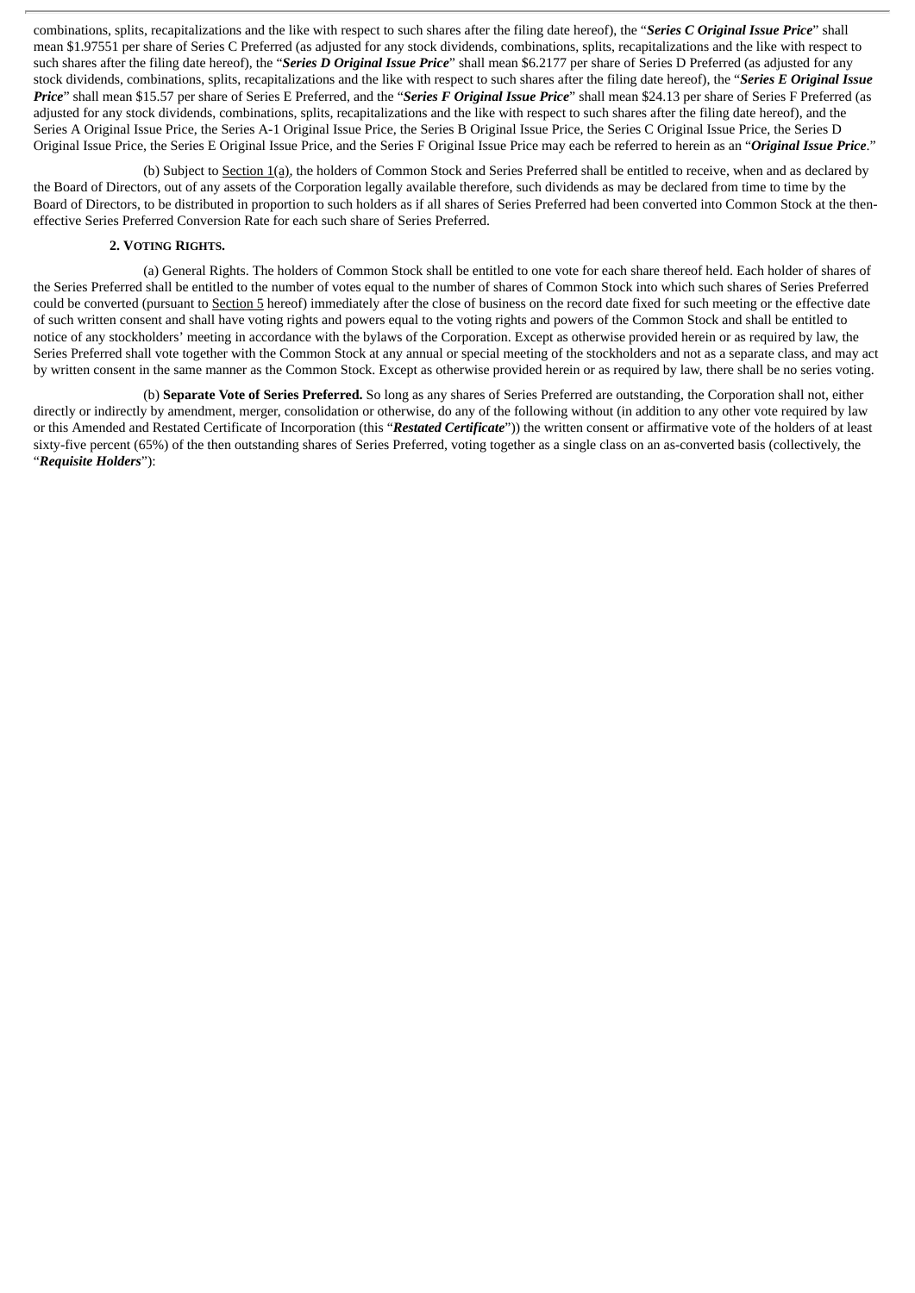combinations, splits, recapitalizations and the like with respect to such shares after the filing date hereof), the "*Series C Original Issue Price*" shall mean \$1.97551 per share of Series C Preferred (as adjusted for any stock dividends, combinations, splits, recapitalizations and the like with respect to such shares after the filing date hereof), the "*Series D Original Issue Price*" shall mean \$6.2177 per share of Series D Preferred (as adjusted for any stock dividends, combinations, splits, recapitalizations and the like with respect to such shares after the filing date hereof), the "*Series E Original Issue Price*" shall mean \$15.57 per share of Series E Preferred, and the "*Series F Original Issue Price*" shall mean \$24.13 per share of Series F Preferred (as adjusted for any stock dividends, combinations, splits, recapitalizations and the like with respect to such shares after the filing date hereof), and the Series A Original Issue Price, the Series A-1 Original Issue Price, the Series B Original Issue Price, the Series C Original Issue Price, the Series D Original Issue Price, the Series E Original Issue Price, and the Series F Original Issue Price may each be referred to herein as an "*Original Issue Price*."

(b) Subject to Section 1(a), the holders of Common Stock and Series Preferred shall be entitled to receive, when and as declared by the Board of Directors, out of any assets of the Corporation legally available therefore, such dividends as may be declared from time to time by the Board of Directors, to be distributed in proportion to such holders as if all shares of Series Preferred had been converted into Common Stock at the theneffective Series Preferred Conversion Rate for each such share of Series Preferred.

#### **2. VOTING RIGHTS.**

(a) General Rights. The holders of Common Stock shall be entitled to one vote for each share thereof held. Each holder of shares of the Series Preferred shall be entitled to the number of votes equal to the number of shares of Common Stock into which such shares of Series Preferred could be converted (pursuant to Section 5 hereof) immediately after the close of business on the record date fixed for such meeting or the effective date of such written consent and shall have voting rights and powers equal to the voting rights and powers of the Common Stock and shall be entitled to notice of any stockholders' meeting in accordance with the bylaws of the Corporation. Except as otherwise provided herein or as required by law, the Series Preferred shall vote together with the Common Stock at any annual or special meeting of the stockholders and not as a separate class, and may act by written consent in the same manner as the Common Stock. Except as otherwise provided herein or as required by law, there shall be no series voting.

(b) **Separate Vote of Series Preferred.** So long as any shares of Series Preferred are outstanding, the Corporation shall not, either directly or indirectly by amendment, merger, consolidation or otherwise, do any of the following without (in addition to any other vote required by law or this Amended and Restated Certificate of Incorporation (this "*Restated Certificate*")) the written consent or affirmative vote of the holders of at least sixty-five percent (65%) of the then outstanding shares of Series Preferred, voting together as a single class on an as-converted basis (collectively, the "*Requisite Holders*"):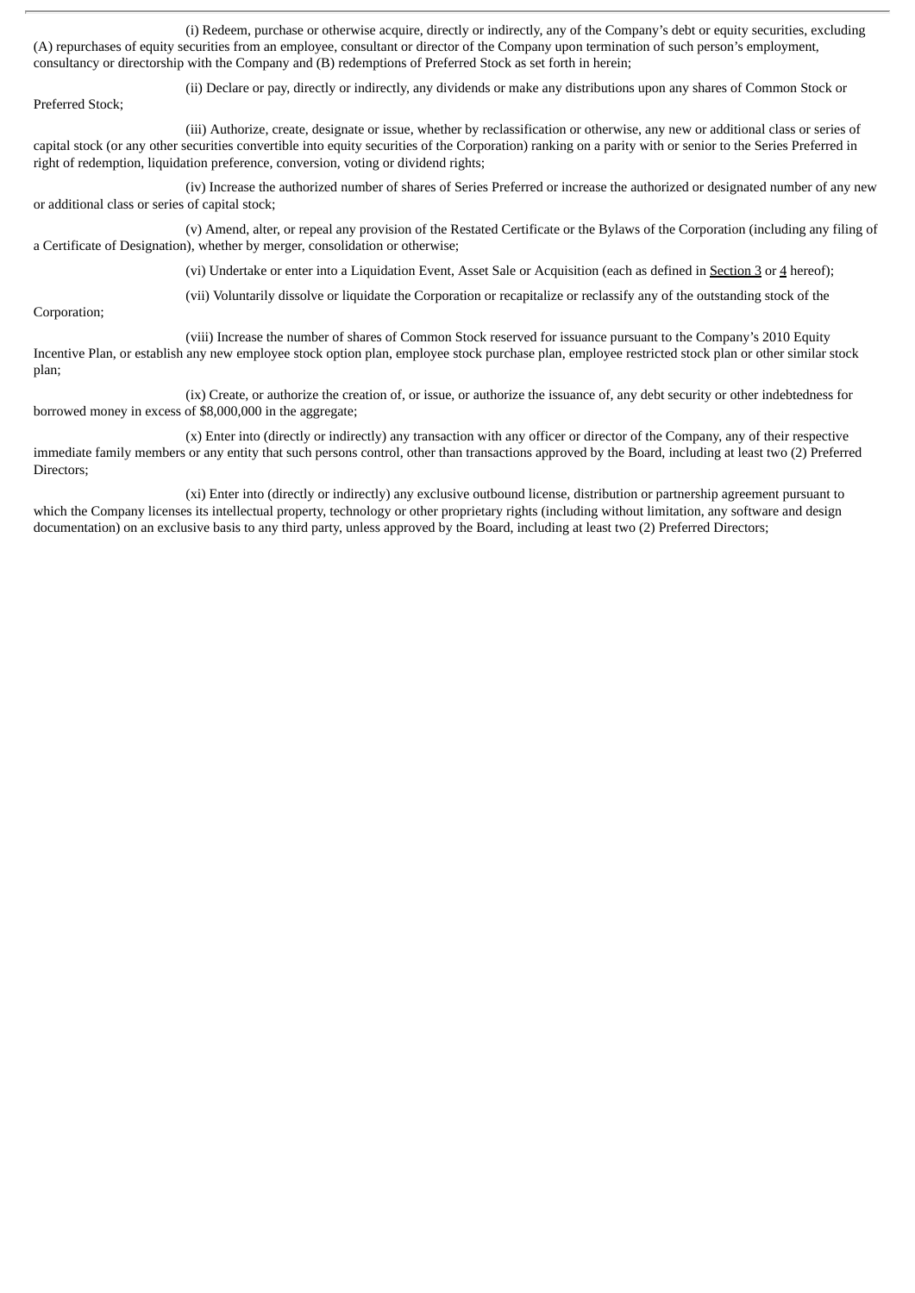(i) Redeem, purchase or otherwise acquire, directly or indirectly, any of the Company's debt or equity securities, excluding (A) repurchases of equity securities from an employee, consultant or director of the Company upon termination of such person's employment, consultancy or directorship with the Company and (B) redemptions of Preferred Stock as set forth in herein;

(ii) Declare or pay, directly or indirectly, any dividends or make any distributions upon any shares of Common Stock or

Preferred Stock;

(iii) Authorize, create, designate or issue, whether by reclassification or otherwise, any new or additional class or series of capital stock (or any other securities convertible into equity securities of the Corporation) ranking on a parity with or senior to the Series Preferred in right of redemption, liquidation preference, conversion, voting or dividend rights;

(iv) Increase the authorized number of shares of Series Preferred or increase the authorized or designated number of any new or additional class or series of capital stock;

(v) Amend, alter, or repeal any provision of the Restated Certificate or the Bylaws of the Corporation (including any filing of a Certificate of Designation), whether by merger, consolidation or otherwise;

(vi) Undertake or enter into a Liquidation Event, Asset Sale or Acquisition (each as defined in Section 3 or 4 hereof);

Corporation;

(vii) Voluntarily dissolve or liquidate the Corporation or recapitalize or reclassify any of the outstanding stock of the

(viii) Increase the number of shares of Common Stock reserved for issuance pursuant to the Company's 2010 Equity Incentive Plan, or establish any new employee stock option plan, employee stock purchase plan, employee restricted stock plan or other similar stock plan;

(ix) Create, or authorize the creation of, or issue, or authorize the issuance of, any debt security or other indebtedness for borrowed money in excess of \$8,000,000 in the aggregate;

(x) Enter into (directly or indirectly) any transaction with any officer or director of the Company, any of their respective immediate family members or any entity that such persons control, other than transactions approved by the Board, including at least two (2) Preferred Directors;

(xi) Enter into (directly or indirectly) any exclusive outbound license, distribution or partnership agreement pursuant to which the Company licenses its intellectual property, technology or other proprietary rights (including without limitation, any software and design documentation) on an exclusive basis to any third party, unless approved by the Board, including at least two (2) Preferred Directors;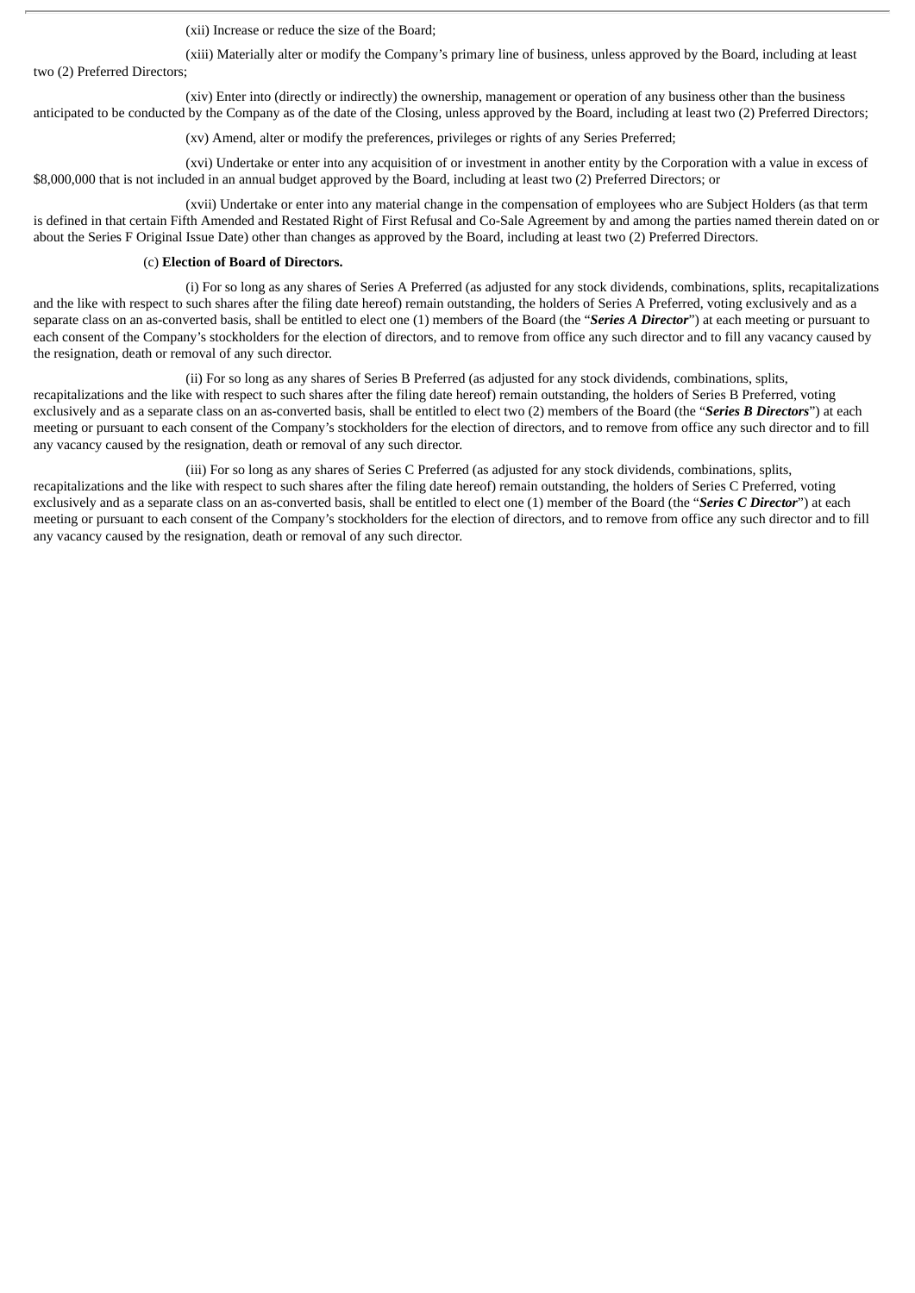(xii) Increase or reduce the size of the Board;

(xiii) Materially alter or modify the Company's primary line of business, unless approved by the Board, including at least two (2) Preferred Directors;

(xiv) Enter into (directly or indirectly) the ownership, management or operation of any business other than the business anticipated to be conducted by the Company as of the date of the Closing, unless approved by the Board, including at least two (2) Preferred Directors;

(xv) Amend, alter or modify the preferences, privileges or rights of any Series Preferred;

(xvi) Undertake or enter into any acquisition of or investment in another entity by the Corporation with a value in excess of \$8,000,000 that is not included in an annual budget approved by the Board, including at least two (2) Preferred Directors; or

(xvii) Undertake or enter into any material change in the compensation of employees who are Subject Holders (as that term is defined in that certain Fifth Amended and Restated Right of First Refusal and Co-Sale Agreement by and among the parties named therein dated on or about the Series F Original Issue Date) other than changes as approved by the Board, including at least two (2) Preferred Directors.

#### (c) **Election of Board of Directors.**

(i) For so long as any shares of Series A Preferred (as adjusted for any stock dividends, combinations, splits, recapitalizations and the like with respect to such shares after the filing date hereof) remain outstanding, the holders of Series A Preferred, voting exclusively and as a separate class on an as-converted basis, shall be entitled to elect one (1) members of the Board (the "*Series A Director*") at each meeting or pursuant to each consent of the Company's stockholders for the election of directors, and to remove from office any such director and to fill any vacancy caused by the resignation, death or removal of any such director.

(ii) For so long as any shares of Series B Preferred (as adjusted for any stock dividends, combinations, splits, recapitalizations and the like with respect to such shares after the filing date hereof) remain outstanding, the holders of Series B Preferred, voting exclusively and as a separate class on an as-converted basis, shall be entitled to elect two (2) members of the Board (the "*Series B Directors*") at each meeting or pursuant to each consent of the Company's stockholders for the election of directors, and to remove from office any such director and to fill any vacancy caused by the resignation, death or removal of any such director.

(iii) For so long as any shares of Series C Preferred (as adjusted for any stock dividends, combinations, splits, recapitalizations and the like with respect to such shares after the filing date hereof) remain outstanding, the holders of Series C Preferred, voting exclusively and as a separate class on an as-converted basis, shall be entitled to elect one (1) member of the Board (the "*Series C Director*") at each meeting or pursuant to each consent of the Company's stockholders for the election of directors, and to remove from office any such director and to fill any vacancy caused by the resignation, death or removal of any such director.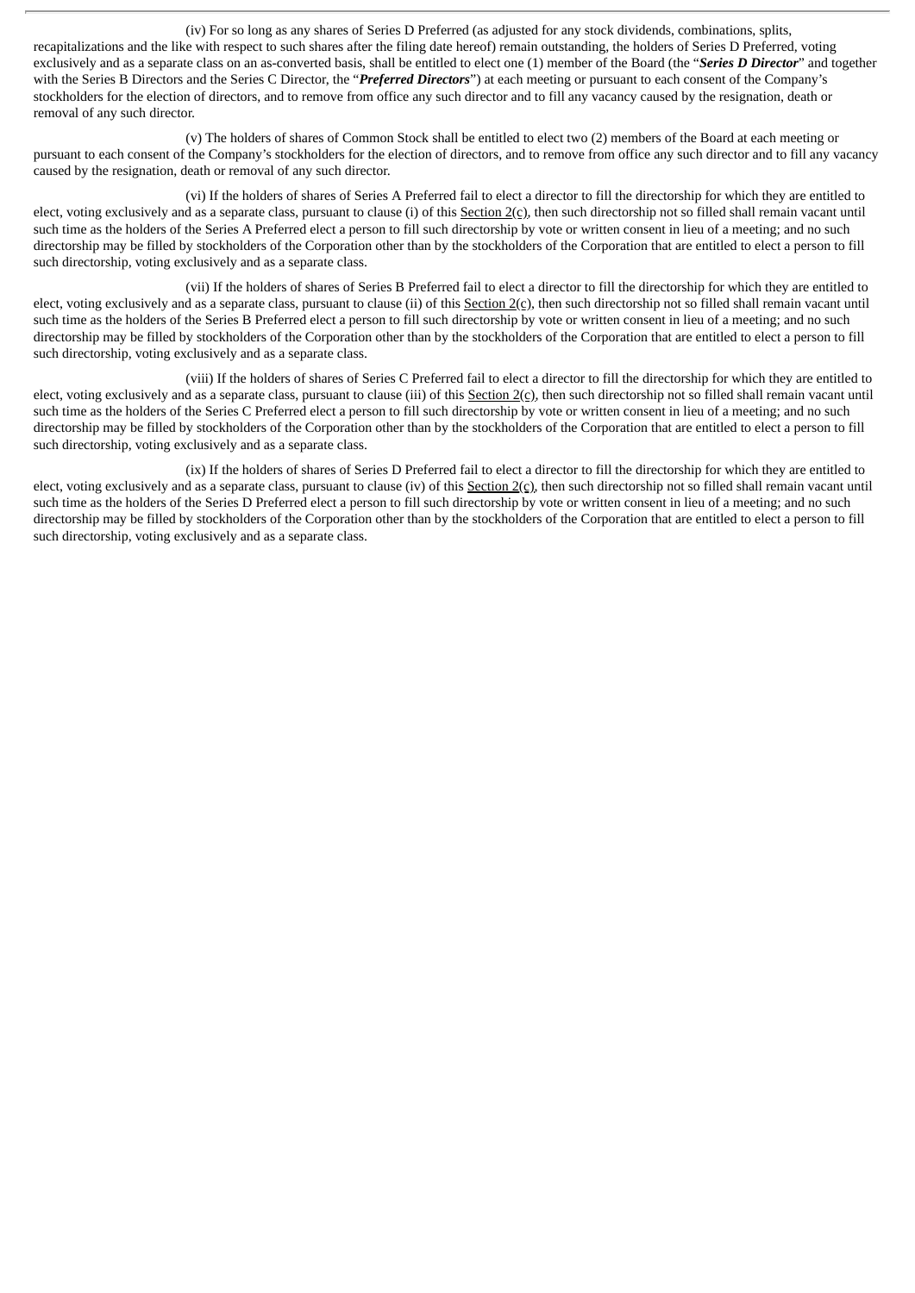(iv) For so long as any shares of Series D Preferred (as adjusted for any stock dividends, combinations, splits, recapitalizations and the like with respect to such shares after the filing date hereof) remain outstanding, the holders of Series D Preferred, voting exclusively and as a separate class on an as-converted basis, shall be entitled to elect one (1) member of the Board (the "*Series D Director*" and together with the Series B Directors and the Series C Director, the "*Preferred Directors*") at each meeting or pursuant to each consent of the Company's stockholders for the election of directors, and to remove from office any such director and to fill any vacancy caused by the resignation, death or removal of any such director.

(v) The holders of shares of Common Stock shall be entitled to elect two (2) members of the Board at each meeting or pursuant to each consent of the Company's stockholders for the election of directors, and to remove from office any such director and to fill any vacancy caused by the resignation, death or removal of any such director.

(vi) If the holders of shares of Series A Preferred fail to elect a director to fill the directorship for which they are entitled to elect, voting exclusively and as a separate class, pursuant to clause (i) of this Section 2(c), then such directorship not so filled shall remain vacant until such time as the holders of the Series A Preferred elect a person to fill such directorship by vote or written consent in lieu of a meeting; and no such directorship may be filled by stockholders of the Corporation other than by the stockholders of the Corporation that are entitled to elect a person to fill such directorship, voting exclusively and as a separate class.

(vii) If the holders of shares of Series B Preferred fail to elect a director to fill the directorship for which they are entitled to elect, voting exclusively and as a separate class, pursuant to clause (ii) of this  $Section 2(c)$ , then such directorship not so filled shall remain vacant until such time as the holders of the Series B Preferred elect a person to fill such directorship by vote or written consent in lieu of a meeting; and no such directorship may be filled by stockholders of the Corporation other than by the stockholders of the Corporation that are entitled to elect a person to fill such directorship, voting exclusively and as a separate class.

(viii) If the holders of shares of Series C Preferred fail to elect a director to fill the directorship for which they are entitled to elect, voting exclusively and as a separate class, pursuant to clause (iii) of this  $Section 2(c)$ , then such directorship not so filled shall remain vacant until such time as the holders of the Series C Preferred elect a person to fill such directorship by vote or written consent in lieu of a meeting; and no such directorship may be filled by stockholders of the Corporation other than by the stockholders of the Corporation that are entitled to elect a person to fill such directorship, voting exclusively and as a separate class.

(ix) If the holders of shares of Series D Preferred fail to elect a director to fill the directorship for which they are entitled to elect, voting exclusively and as a separate class, pursuant to clause (iv) of this  $Section 2(c)$ , then such directorship not so filled shall remain vacant until such time as the holders of the Series D Preferred elect a person to fill such directorship by vote or written consent in lieu of a meeting; and no such directorship may be filled by stockholders of the Corporation other than by the stockholders of the Corporation that are entitled to elect a person to fill such directorship, voting exclusively and as a separate class.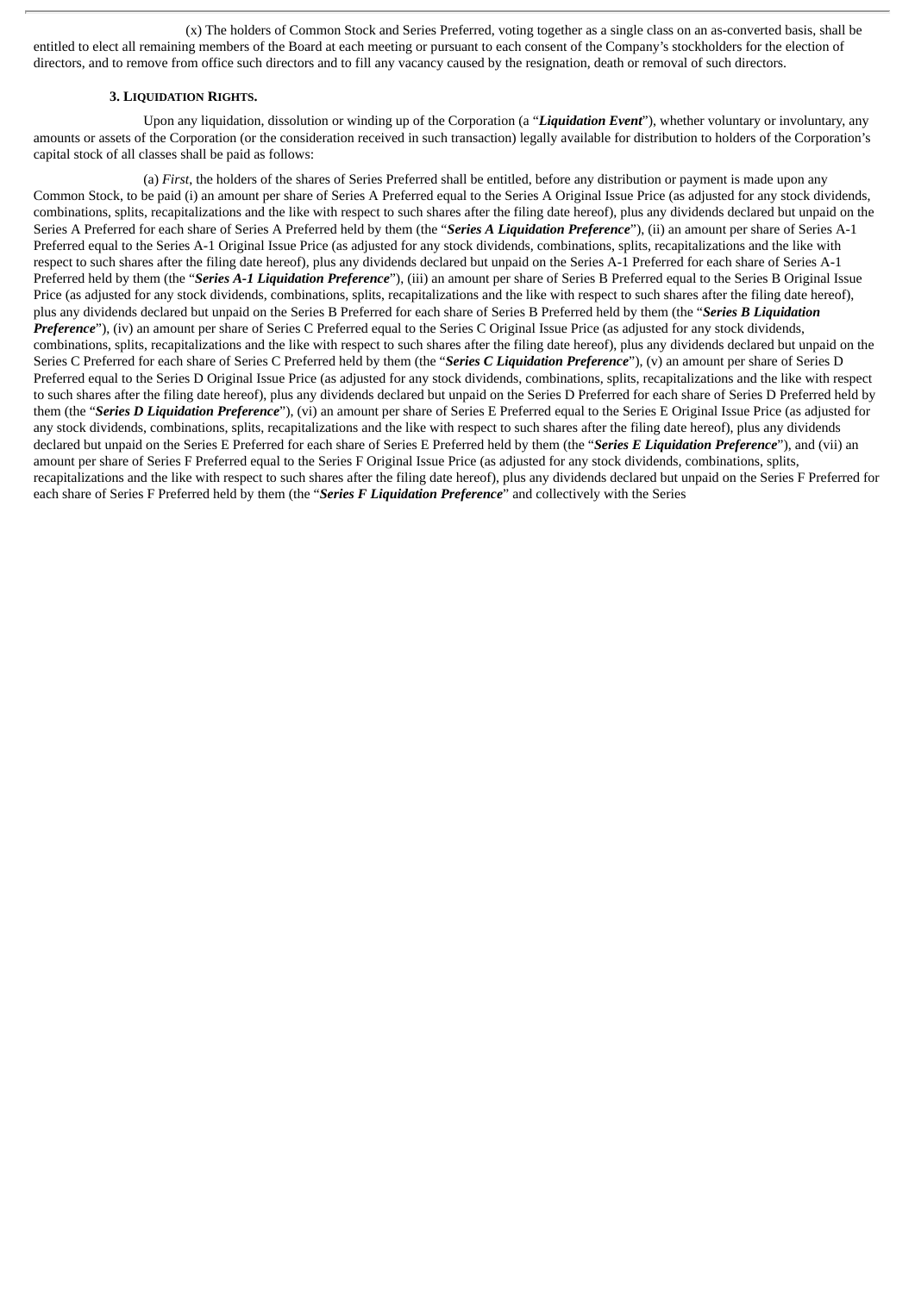(x) The holders of Common Stock and Series Preferred, voting together as a single class on an as-converted basis, shall be entitled to elect all remaining members of the Board at each meeting or pursuant to each consent of the Company's stockholders for the election of directors, and to remove from office such directors and to fill any vacancy caused by the resignation, death or removal of such directors.

#### **3. LIQUIDATION RIGHTS.**

Upon any liquidation, dissolution or winding up of the Corporation (a "*Liquidation Event*"), whether voluntary or involuntary, any amounts or assets of the Corporation (or the consideration received in such transaction) legally available for distribution to holders of the Corporation's capital stock of all classes shall be paid as follows:

(a) *First*, the holders of the shares of Series Preferred shall be entitled, before any distribution or payment is made upon any Common Stock, to be paid (i) an amount per share of Series A Preferred equal to the Series A Original Issue Price (as adjusted for any stock dividends, combinations, splits, recapitalizations and the like with respect to such shares after the filing date hereof), plus any dividends declared but unpaid on the Series A Preferred for each share of Series A Preferred held by them (the "*Series A Liquidation Preference*"), (ii) an amount per share of Series A-1 Preferred equal to the Series A-1 Original Issue Price (as adjusted for any stock dividends, combinations, splits, recapitalizations and the like with respect to such shares after the filing date hereof), plus any dividends declared but unpaid on the Series A-1 Preferred for each share of Series A-1 Preferred held by them (the "*Series A-1 Liquidation Preference*"), (iii) an amount per share of Series B Preferred equal to the Series B Original Issue Price (as adjusted for any stock dividends, combinations, splits, recapitalizations and the like with respect to such shares after the filing date hereof), plus any dividends declared but unpaid on the Series B Preferred for each share of Series B Preferred held by them (the "*Series B Liquidation Preference*"), (iv) an amount per share of Series C Preferred equal to the Series C Original Issue Price (as adjusted for any stock dividends, combinations, splits, recapitalizations and the like with respect to such shares after the filing date hereof), plus any dividends declared but unpaid on the Series C Preferred for each share of Series C Preferred held by them (the "*Series C Liquidation Preference*"), (v) an amount per share of Series D Preferred equal to the Series D Original Issue Price (as adjusted for any stock dividends, combinations, splits, recapitalizations and the like with respect to such shares after the filing date hereof), plus any dividends declared but unpaid on the Series D Preferred for each share of Series D Preferred held by them (the "*Series D Liquidation Preference*"), (vi) an amount per share of Series E Preferred equal to the Series E Original Issue Price (as adjusted for any stock dividends, combinations, splits, recapitalizations and the like with respect to such shares after the filing date hereof), plus any dividends declared but unpaid on the Series E Preferred for each share of Series E Preferred held by them (the "*Series E Liquidation Preference*"), and (vii) an amount per share of Series F Preferred equal to the Series F Original Issue Price (as adjusted for any stock dividends, combinations, splits, recapitalizations and the like with respect to such shares after the filing date hereof), plus any dividends declared but unpaid on the Series F Preferred for each share of Series F Preferred held by them (the "*Series F Liquidation Preference*" and collectively with the Series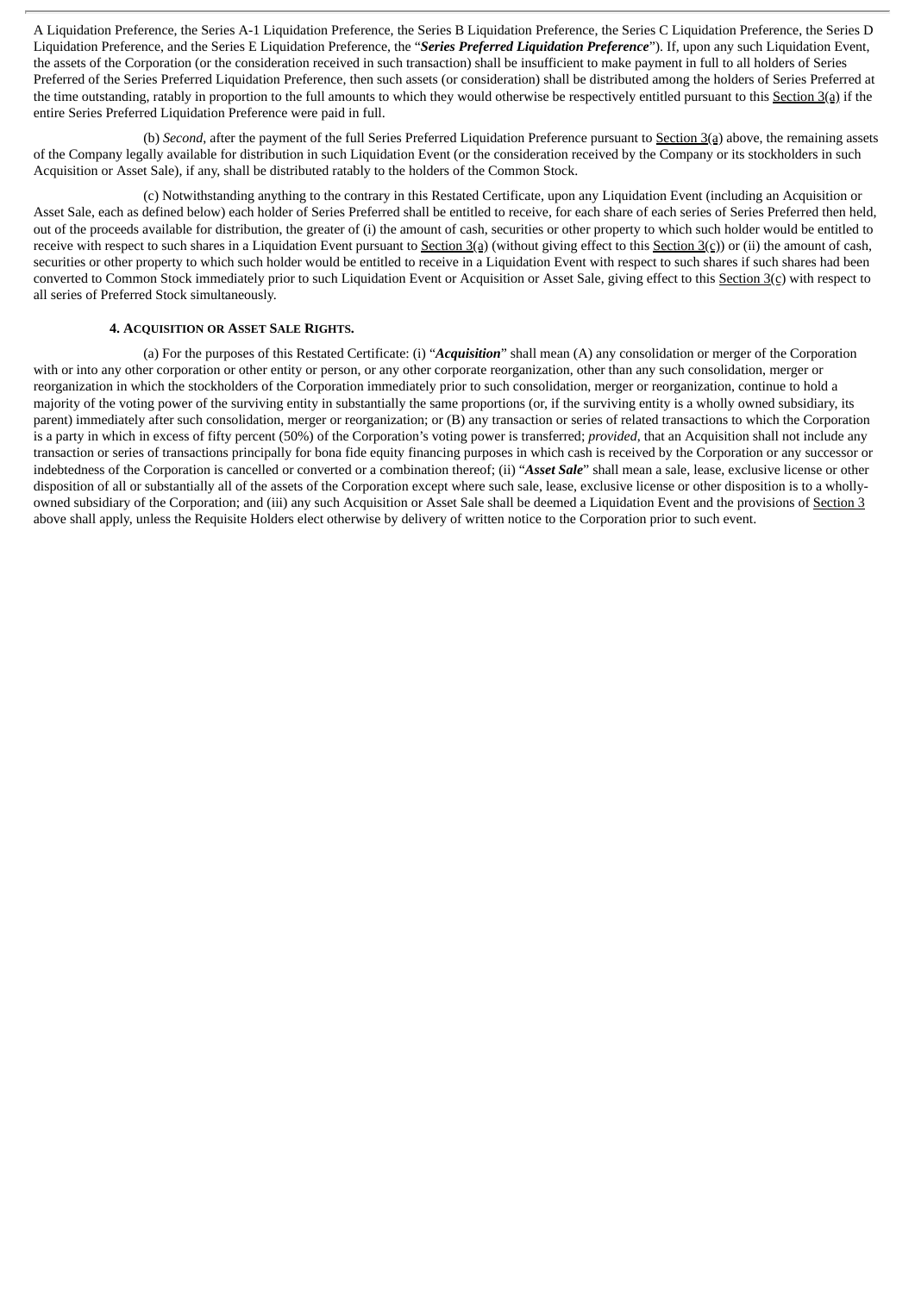A Liquidation Preference, the Series A-1 Liquidation Preference, the Series B Liquidation Preference, the Series C Liquidation Preference, the Series D Liquidation Preference, and the Series E Liquidation Preference, the "*Series Preferred Liquidation Preference*"). If, upon any such Liquidation Event, the assets of the Corporation (or the consideration received in such transaction) shall be insufficient to make payment in full to all holders of Series Preferred of the Series Preferred Liquidation Preference, then such assets (or consideration) shall be distributed among the holders of Series Preferred at the time outstanding, ratably in proportion to the full amounts to which they would otherwise be respectively entitled pursuant to this Section 3(a) if the entire Series Preferred Liquidation Preference were paid in full.

(b) *Second*, after the payment of the full Series Preferred Liquidation Preference pursuant to Section 3(a) above, the remaining assets of the Company legally available for distribution in such Liquidation Event (or the consideration received by the Company or its stockholders in such Acquisition or Asset Sale), if any, shall be distributed ratably to the holders of the Common Stock.

(c) Notwithstanding anything to the contrary in this Restated Certificate, upon any Liquidation Event (including an Acquisition or Asset Sale, each as defined below) each holder of Series Preferred shall be entitled to receive, for each share of each series of Series Preferred then held, out of the proceeds available for distribution, the greater of (i) the amount of cash, securities or other property to which such holder would be entitled to receive with respect to such shares in a Liquidation Event pursuant to Section 3(a) (without giving effect to this Section 3(c)) or (ii) the amount of cash, securities or other property to which such holder would be entitled to receive in a Liquidation Event with respect to such shares if such shares had been converted to Common Stock immediately prior to such Liquidation Event or Acquisition or Asset Sale, giving effect to this Section 3(c) with respect to all series of Preferred Stock simultaneously.

### **4. ACQUISITION OR ASSET SALE RIGHTS.**

(a) For the purposes of this Restated Certificate: (i) "*Acquisition*" shall mean (A) any consolidation or merger of the Corporation with or into any other corporation or other entity or person, or any other corporate reorganization, other than any such consolidation, merger or reorganization in which the stockholders of the Corporation immediately prior to such consolidation, merger or reorganization, continue to hold a majority of the voting power of the surviving entity in substantially the same proportions (or, if the surviving entity is a wholly owned subsidiary, its parent) immediately after such consolidation, merger or reorganization; or (B) any transaction or series of related transactions to which the Corporation is a party in which in excess of fifty percent (50%) of the Corporation's voting power is transferred; *provided*, that an Acquisition shall not include any transaction or series of transactions principally for bona fide equity financing purposes in which cash is received by the Corporation or any successor or indebtedness of the Corporation is cancelled or converted or a combination thereof; (ii) "*Asset Sale*" shall mean a sale, lease, exclusive license or other disposition of all or substantially all of the assets of the Corporation except where such sale, lease, exclusive license or other disposition is to a whollyowned subsidiary of the Corporation; and (iii) any such Acquisition or Asset Sale shall be deemed a Liquidation Event and the provisions of Section 3 above shall apply, unless the Requisite Holders elect otherwise by delivery of written notice to the Corporation prior to such event.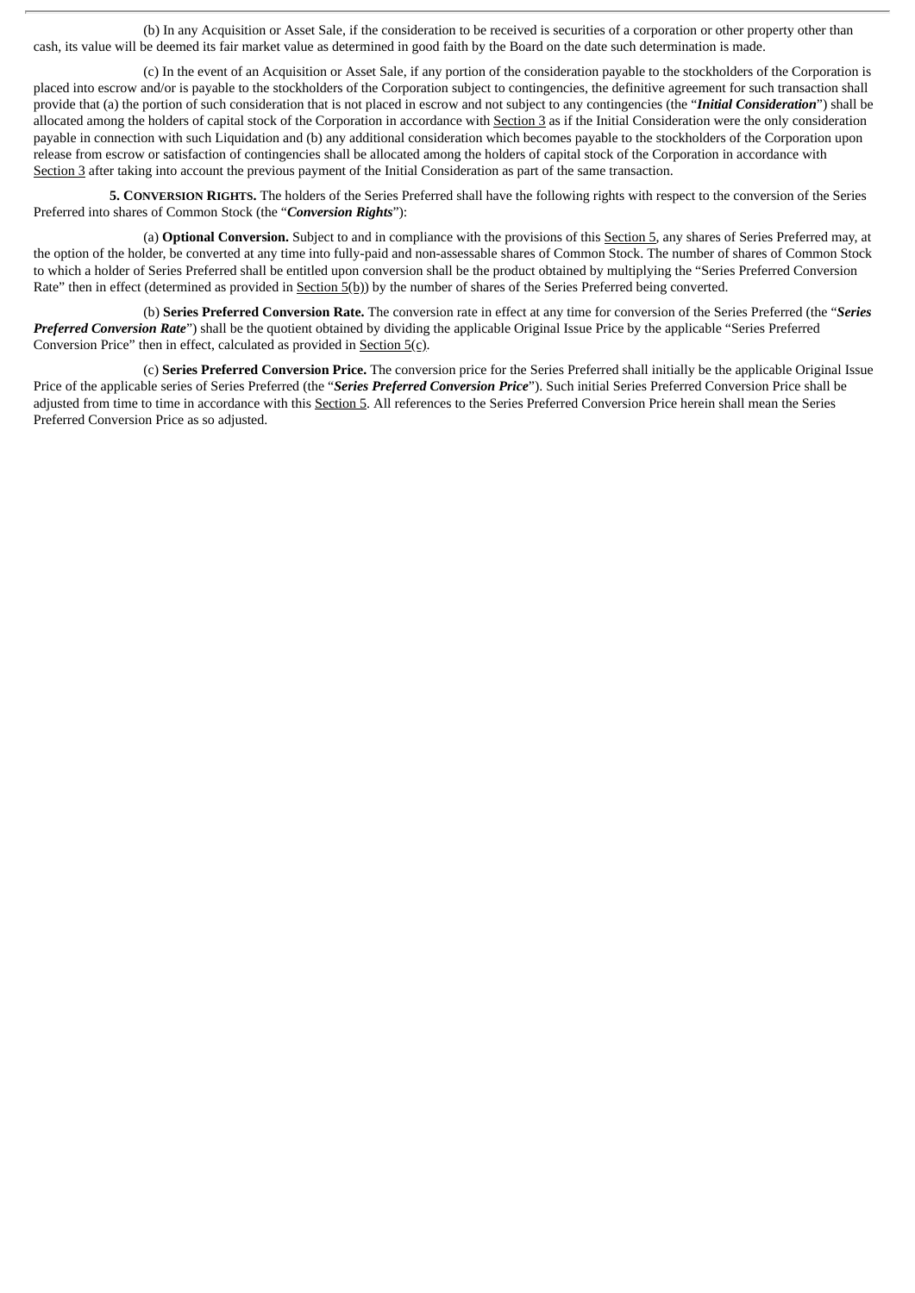(b) In any Acquisition or Asset Sale, if the consideration to be received is securities of a corporation or other property other than cash, its value will be deemed its fair market value as determined in good faith by the Board on the date such determination is made.

(c) In the event of an Acquisition or Asset Sale, if any portion of the consideration payable to the stockholders of the Corporation is placed into escrow and/or is payable to the stockholders of the Corporation subject to contingencies, the definitive agreement for such transaction shall provide that (a) the portion of such consideration that is not placed in escrow and not subject to any contingencies (the "*Initial Consideration*") shall be allocated among the holders of capital stock of the Corporation in accordance with Section 3 as if the Initial Consideration were the only consideration payable in connection with such Liquidation and (b) any additional consideration which becomes payable to the stockholders of the Corporation upon release from escrow or satisfaction of contingencies shall be allocated among the holders of capital stock of the Corporation in accordance with Section 3 after taking into account the previous payment of the Initial Consideration as part of the same transaction.

**5. CONVERSION RIGHTS.** The holders of the Series Preferred shall have the following rights with respect to the conversion of the Series Preferred into shares of Common Stock (the "*Conversion Rights*"):

(a) **Optional Conversion.** Subject to and in compliance with the provisions of this Section 5, any shares of Series Preferred may, at the option of the holder, be converted at any time into fully-paid and non-assessable shares of Common Stock. The number of shares of Common Stock to which a holder of Series Preferred shall be entitled upon conversion shall be the product obtained by multiplying the "Series Preferred Conversion Rate" then in effect (determined as provided in Section 5(b)) by the number of shares of the Series Preferred being converted.

(b) **Series Preferred Conversion Rate.** The conversion rate in effect at any time for conversion of the Series Preferred (the "*Series Preferred Conversion Rate*") shall be the quotient obtained by dividing the applicable Original Issue Price by the applicable "Series Preferred Conversion Price" then in effect, calculated as provided in Section 5(c).

(c) **Series Preferred Conversion Price.** The conversion price for the Series Preferred shall initially be the applicable Original Issue Price of the applicable series of Series Preferred (the "*Series Preferred Conversion Price*"). Such initial Series Preferred Conversion Price shall be adjusted from time to time in accordance with this Section 5. All references to the Series Preferred Conversion Price herein shall mean the Series Preferred Conversion Price as so adjusted.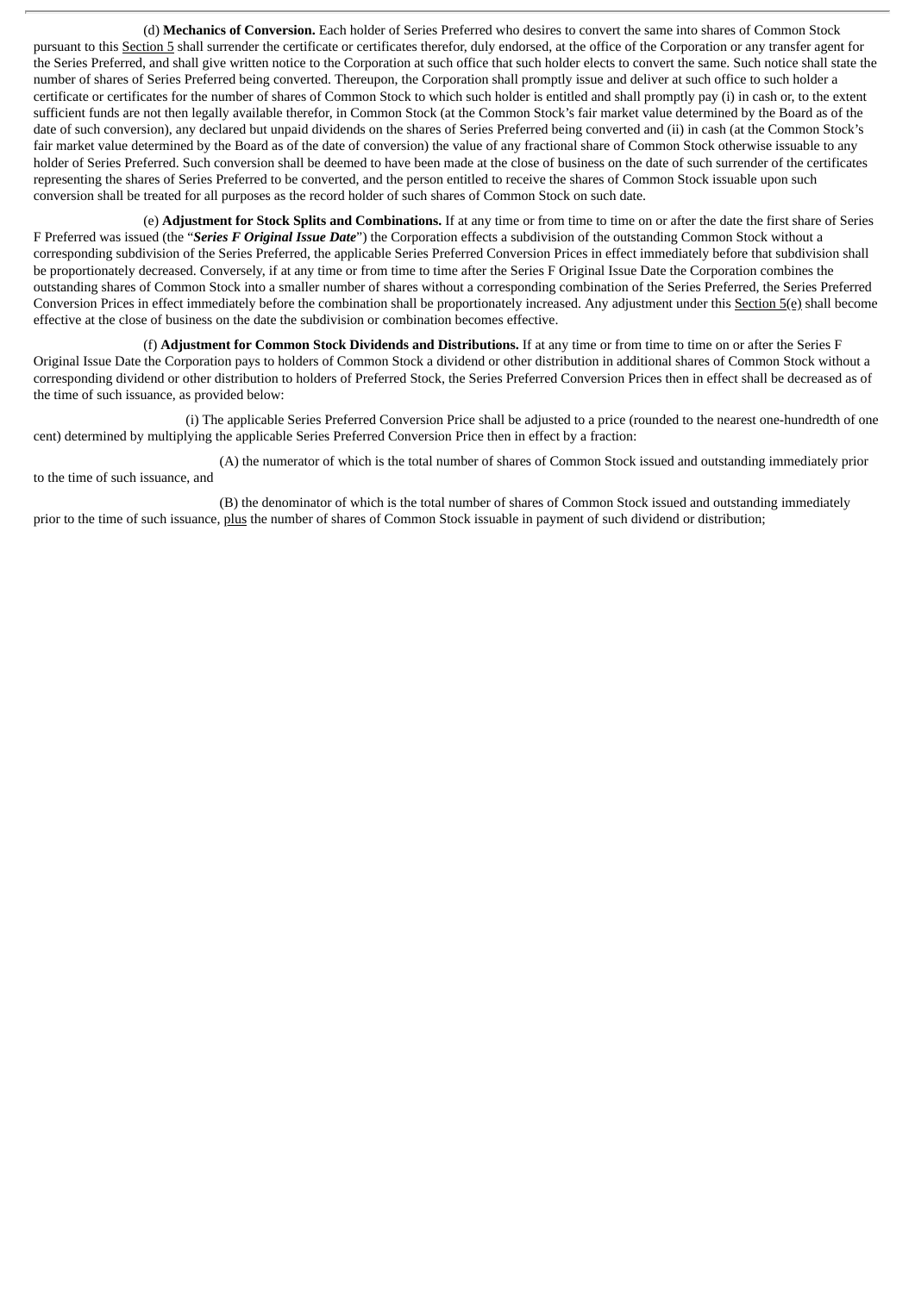(d) **Mechanics of Conversion.** Each holder of Series Preferred who desires to convert the same into shares of Common Stock pursuant to this Section 5 shall surrender the certificate or certificates therefor, duly endorsed, at the office of the Corporation or any transfer agent for the Series Preferred, and shall give written notice to the Corporation at such office that such holder elects to convert the same. Such notice shall state the number of shares of Series Preferred being converted. Thereupon, the Corporation shall promptly issue and deliver at such office to such holder a certificate or certificates for the number of shares of Common Stock to which such holder is entitled and shall promptly pay (i) in cash or, to the extent sufficient funds are not then legally available therefor, in Common Stock (at the Common Stock's fair market value determined by the Board as of the date of such conversion), any declared but unpaid dividends on the shares of Series Preferred being converted and (ii) in cash (at the Common Stock's fair market value determined by the Board as of the date of conversion) the value of any fractional share of Common Stock otherwise issuable to any holder of Series Preferred. Such conversion shall be deemed to have been made at the close of business on the date of such surrender of the certificates representing the shares of Series Preferred to be converted, and the person entitled to receive the shares of Common Stock issuable upon such conversion shall be treated for all purposes as the record holder of such shares of Common Stock on such date.

(e) **Adjustment for Stock Splits and Combinations.** If at any time or from time to time on or after the date the first share of Series F Preferred was issued (the "*Series F Original Issue Date*") the Corporation effects a subdivision of the outstanding Common Stock without a corresponding subdivision of the Series Preferred, the applicable Series Preferred Conversion Prices in effect immediately before that subdivision shall be proportionately decreased. Conversely, if at any time or from time to time after the Series F Original Issue Date the Corporation combines the outstanding shares of Common Stock into a smaller number of shares without a corresponding combination of the Series Preferred, the Series Preferred Conversion Prices in effect immediately before the combination shall be proportionately increased. Any adjustment under this Section 5(e) shall become effective at the close of business on the date the subdivision or combination becomes effective.

(f) **Adjustment for Common Stock Dividends and Distributions.** If at any time or from time to time on or after the Series F Original Issue Date the Corporation pays to holders of Common Stock a dividend or other distribution in additional shares of Common Stock without a corresponding dividend or other distribution to holders of Preferred Stock, the Series Preferred Conversion Prices then in effect shall be decreased as of the time of such issuance, as provided below:

(i) The applicable Series Preferred Conversion Price shall be adjusted to a price (rounded to the nearest one-hundredth of one cent) determined by multiplying the applicable Series Preferred Conversion Price then in effect by a fraction:

(A) the numerator of which is the total number of shares of Common Stock issued and outstanding immediately prior to the time of such issuance, and

(B) the denominator of which is the total number of shares of Common Stock issued and outstanding immediately prior to the time of such issuance, plus the number of shares of Common Stock issuable in payment of such dividend or distribution;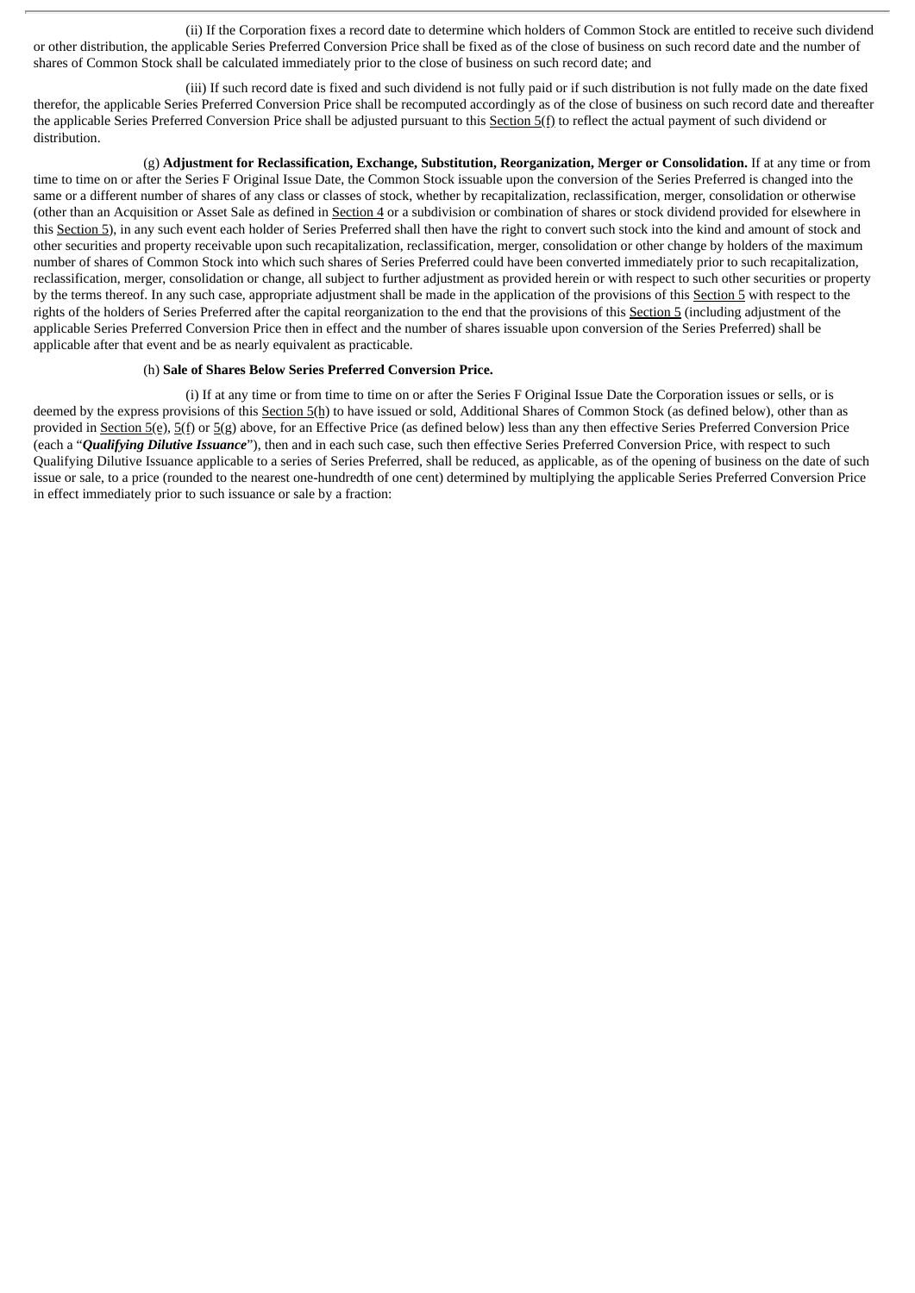(ii) If the Corporation fixes a record date to determine which holders of Common Stock are entitled to receive such dividend or other distribution, the applicable Series Preferred Conversion Price shall be fixed as of the close of business on such record date and the number of shares of Common Stock shall be calculated immediately prior to the close of business on such record date; and

(iii) If such record date is fixed and such dividend is not fully paid or if such distribution is not fully made on the date fixed therefor, the applicable Series Preferred Conversion Price shall be recomputed accordingly as of the close of business on such record date and thereafter the applicable Series Preferred Conversion Price shall be adjusted pursuant to this Section 5(f) to reflect the actual payment of such dividend or distribution.

(g) **Adjustment for Reclassification, Exchange, Substitution, Reorganization, Merger or Consolidation.** If at any time or from time to time on or after the Series F Original Issue Date, the Common Stock issuable upon the conversion of the Series Preferred is changed into the same or a different number of shares of any class or classes of stock, whether by recapitalization, reclassification, merger, consolidation or otherwise (other than an Acquisition or Asset Sale as defined in Section 4 or a subdivision or combination of shares or stock dividend provided for elsewhere in this Section 5), in any such event each holder of Series Preferred shall then have the right to convert such stock into the kind and amount of stock and other securities and property receivable upon such recapitalization, reclassification, merger, consolidation or other change by holders of the maximum number of shares of Common Stock into which such shares of Series Preferred could have been converted immediately prior to such recapitalization, reclassification, merger, consolidation or change, all subject to further adjustment as provided herein or with respect to such other securities or property by the terms thereof. In any such case, appropriate adjustment shall be made in the application of the provisions of this Section 5 with respect to the rights of the holders of Series Preferred after the capital reorganization to the end that the provisions of this Section 5 (including adjustment of the applicable Series Preferred Conversion Price then in effect and the number of shares issuable upon conversion of the Series Preferred) shall be applicable after that event and be as nearly equivalent as practicable.

#### (h) **Sale of Shares Below Series Preferred Conversion Price.**

(i) If at any time or from time to time on or after the Series F Original Issue Date the Corporation issues or sells, or is deemed by the express provisions of this Section 5(h) to have issued or sold, Additional Shares of Common Stock (as defined below), other than as provided in Section 5(e), 5(f) or 5(g) above, for an Effective Price (as defined below) less than any then effective Series Preferred Conversion Price (each a "*Qualifying Dilutive Issuance*"), then and in each such case, such then effective Series Preferred Conversion Price, with respect to such Qualifying Dilutive Issuance applicable to a series of Series Preferred, shall be reduced, as applicable, as of the opening of business on the date of such issue or sale, to a price (rounded to the nearest one-hundredth of one cent) determined by multiplying the applicable Series Preferred Conversion Price in effect immediately prior to such issuance or sale by a fraction: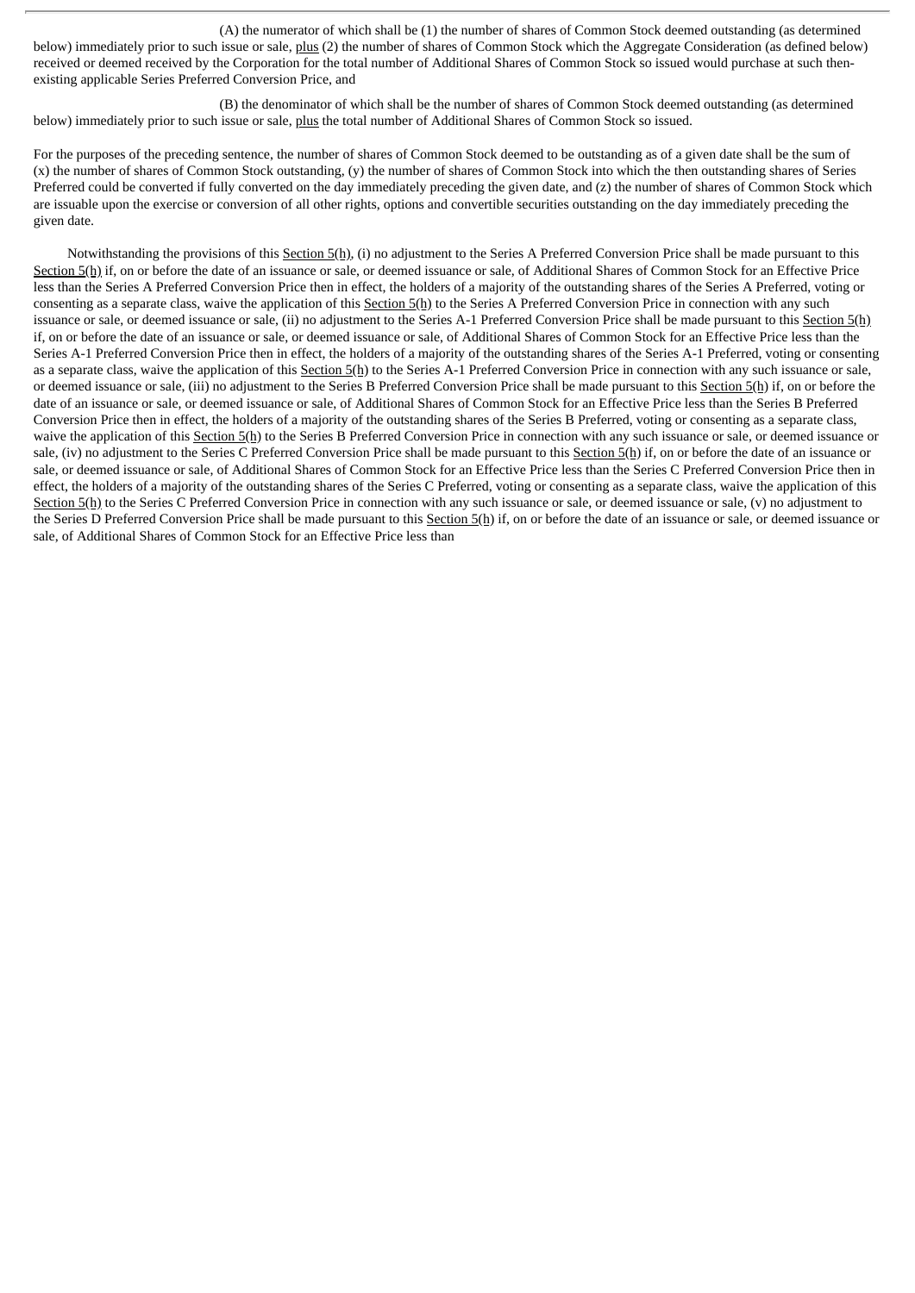(A) the numerator of which shall be (1) the number of shares of Common Stock deemed outstanding (as determined below) immediately prior to such issue or sale, plus (2) the number of shares of Common Stock which the Aggregate Consideration (as defined below) received or deemed received by the Corporation for the total number of Additional Shares of Common Stock so issued would purchase at such thenexisting applicable Series Preferred Conversion Price, and

(B) the denominator of which shall be the number of shares of Common Stock deemed outstanding (as determined below) immediately prior to such issue or sale, plus the total number of Additional Shares of Common Stock so issued.

For the purposes of the preceding sentence, the number of shares of Common Stock deemed to be outstanding as of a given date shall be the sum of (x) the number of shares of Common Stock outstanding, (y) the number of shares of Common Stock into which the then outstanding shares of Series Preferred could be converted if fully converted on the day immediately preceding the given date, and (z) the number of shares of Common Stock which are issuable upon the exercise or conversion of all other rights, options and convertible securities outstanding on the day immediately preceding the given date.

Notwithstanding the provisions of this Section 5(h), (i) no adjustment to the Series A Preferred Conversion Price shall be made pursuant to this Section 5(h) if, on or before the date of an issuance or sale, or deemed issuance or sale, of Additional Shares of Common Stock for an Effective Price less than the Series A Preferred Conversion Price then in effect, the holders of a majority of the outstanding shares of the Series A Preferred, voting or consenting as a separate class, waive the application of this  $S$ ection  $S(h)$  to the Series A Preferred Conversion Price in connection with any such issuance or sale, or deemed issuance or sale, (ii) no adjustment to the Series A-1 Preferred Conversion Price shall be made pursuant to this Section 5(h) if, on or before the date of an issuance or sale, or deemed issuance or sale, of Additional Shares of Common Stock for an Effective Price less than the Series A-1 Preferred Conversion Price then in effect, the holders of a majority of the outstanding shares of the Series A-1 Preferred, voting or consenting as a separate class, waive the application of this Section  $5(h)$  to the Series A-1 Preferred Conversion Price in connection with any such issuance or sale, or deemed issuance or sale, (iii) no adjustment to the Series B Preferred Conversion Price shall be made pursuant to this Section 5(h) if, on or before the date of an issuance or sale, or deemed issuance or sale, of Additional Shares of Common Stock for an Effective Price less than the Series B Preferred Conversion Price then in effect, the holders of a majority of the outstanding shares of the Series B Preferred, voting or consenting as a separate class, waive the application of this Section 5(h) to the Series B Preferred Conversion Price in connection with any such issuance or sale, or deemed issuance or sale, (iv) no adjustment to the Series C Preferred Conversion Price shall be made pursuant to this Section 5(h) if, on or before the date of an issuance or sale, or deemed issuance or sale, of Additional Shares of Common Stock for an Effective Price less than the Series C Preferred Conversion Price then in effect, the holders of a majority of the outstanding shares of the Series C Preferred, voting or consenting as a separate class, waive the application of this Section 5(h) to the Series C Preferred Conversion Price in connection with any such issuance or sale, or deemed issuance or sale, (v) no adjustment to the Series D Preferred Conversion Price shall be made pursuant to this Section 5(h) if, on or before the date of an issuance or sale, or deemed issuance or sale, of Additional Shares of Common Stock for an Effective Price less than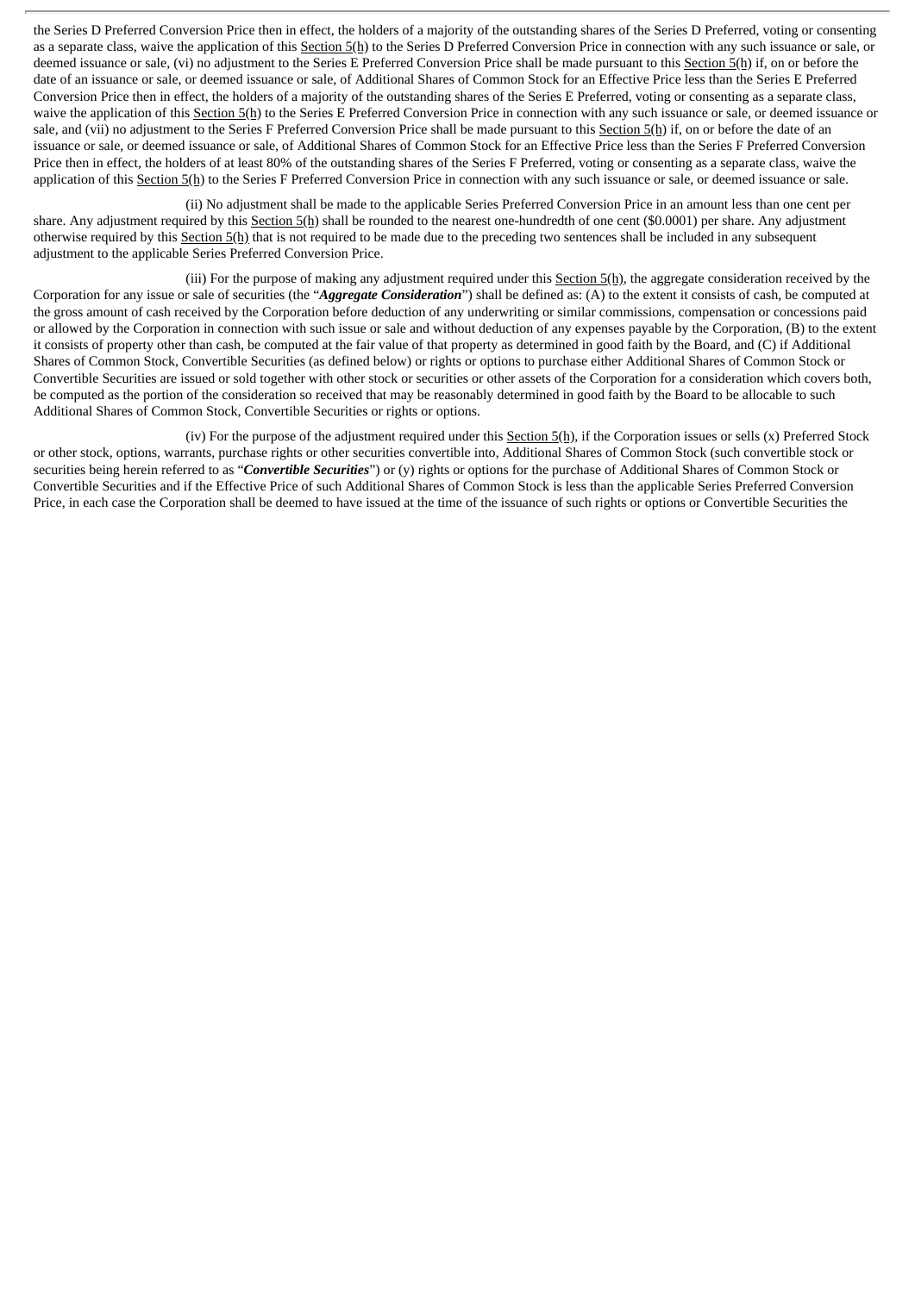the Series D Preferred Conversion Price then in effect, the holders of a majority of the outstanding shares of the Series D Preferred, voting or consenting as a separate class, waive the application of this Section 5(h) to the Series D Preferred Conversion Price in connection with any such issuance or sale, or deemed issuance or sale, (vi) no adjustment to the Series E Preferred Conversion Price shall be made pursuant to this Section 5(h) if, on or before the date of an issuance or sale, or deemed issuance or sale, of Additional Shares of Common Stock for an Effective Price less than the Series E Preferred Conversion Price then in effect, the holders of a majority of the outstanding shares of the Series E Preferred, voting or consenting as a separate class, waive the application of this Section 5(h) to the Series E Preferred Conversion Price in connection with any such issuance or sale, or deemed issuance or sale, and (vii) no adjustment to the Series F Preferred Conversion Price shall be made pursuant to this Section 5(h) if, on or before the date of an issuance or sale, or deemed issuance or sale, of Additional Shares of Common Stock for an Effective Price less than the Series F Preferred Conversion Price then in effect, the holders of at least 80% of the outstanding shares of the Series F Preferred, voting or consenting as a separate class, waive the application of this Section 5(h) to the Series F Preferred Conversion Price in connection with any such issuance or sale, or deemed issuance or sale.

(ii) No adjustment shall be made to the applicable Series Preferred Conversion Price in an amount less than one cent per share. Any adjustment required by this Section 5(h) shall be rounded to the nearest one-hundredth of one cent (\$0.0001) per share. Any adjustment otherwise required by this Section 5(h) that is not required to be made due to the preceding two sentences shall be included in any subsequent adjustment to the applicable Series Preferred Conversion Price.

(iii) For the purpose of making any adjustment required under this  $Section 5(h)$ , the aggregate consideration received by the Corporation for any issue or sale of securities (the "*Aggregate Consideration*") shall be defined as: (A) to the extent it consists of cash, be computed at the gross amount of cash received by the Corporation before deduction of any underwriting or similar commissions, compensation or concessions paid or allowed by the Corporation in connection with such issue or sale and without deduction of any expenses payable by the Corporation, (B) to the extent it consists of property other than cash, be computed at the fair value of that property as determined in good faith by the Board, and (C) if Additional Shares of Common Stock, Convertible Securities (as defined below) or rights or options to purchase either Additional Shares of Common Stock or Convertible Securities are issued or sold together with other stock or securities or other assets of the Corporation for a consideration which covers both, be computed as the portion of the consideration so received that may be reasonably determined in good faith by the Board to be allocable to such Additional Shares of Common Stock, Convertible Securities or rights or options.

(iv) For the purpose of the adjustment required under this Section 5(h), if the Corporation issues or sells (x) Preferred Stock or other stock, options, warrants, purchase rights or other securities convertible into, Additional Shares of Common Stock (such convertible stock or securities being herein referred to as "*Convertible Securities*") or (y) rights or options for the purchase of Additional Shares of Common Stock or Convertible Securities and if the Effective Price of such Additional Shares of Common Stock is less than the applicable Series Preferred Conversion Price, in each case the Corporation shall be deemed to have issued at the time of the issuance of such rights or options or Convertible Securities the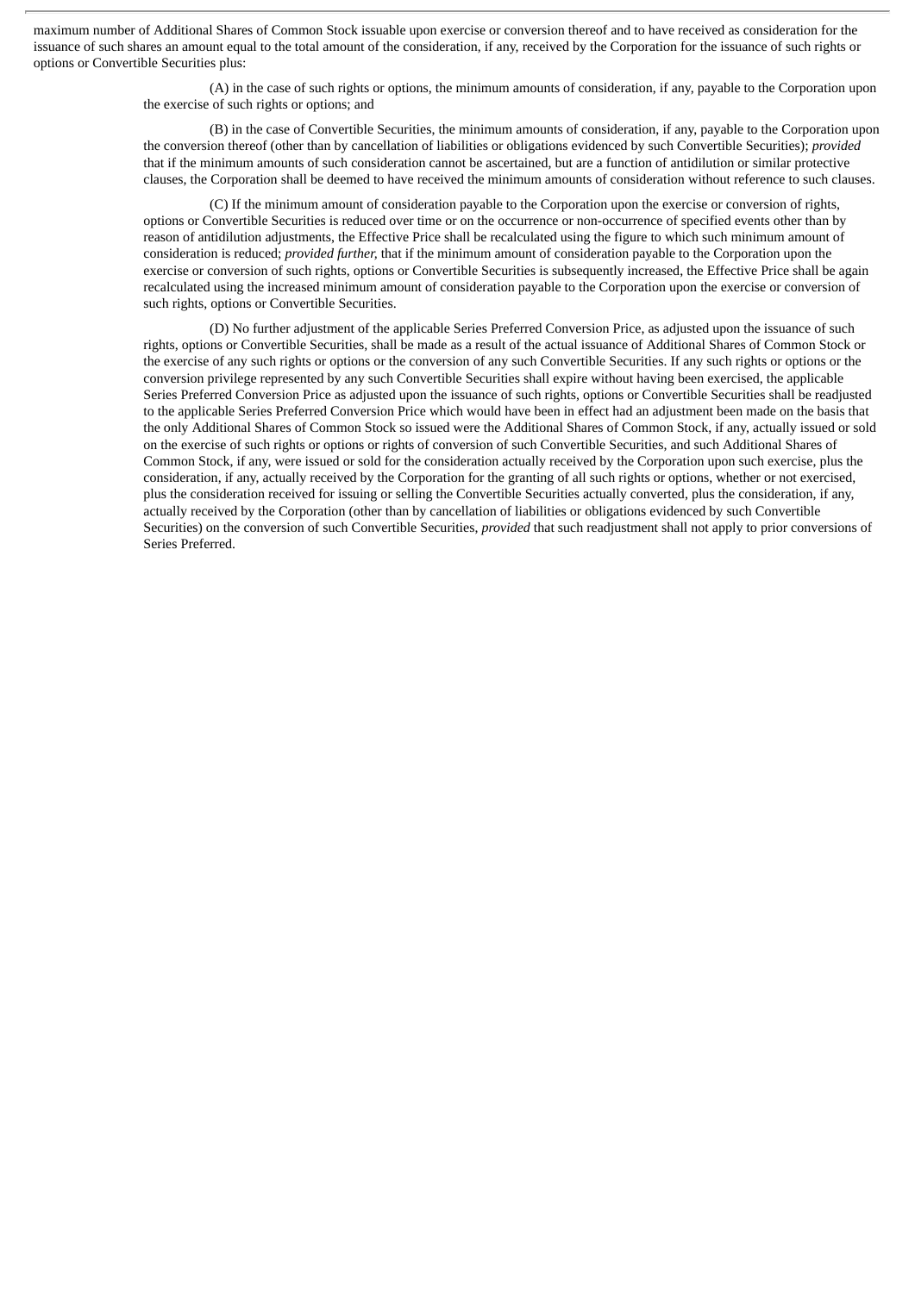maximum number of Additional Shares of Common Stock issuable upon exercise or conversion thereof and to have received as consideration for the issuance of such shares an amount equal to the total amount of the consideration, if any, received by the Corporation for the issuance of such rights or options or Convertible Securities plus:

> (A) in the case of such rights or options, the minimum amounts of consideration, if any, payable to the Corporation upon the exercise of such rights or options; and

> (B) in the case of Convertible Securities, the minimum amounts of consideration, if any, payable to the Corporation upon the conversion thereof (other than by cancellation of liabilities or obligations evidenced by such Convertible Securities); *provided* that if the minimum amounts of such consideration cannot be ascertained, but are a function of antidilution or similar protective clauses, the Corporation shall be deemed to have received the minimum amounts of consideration without reference to such clauses.

(C) If the minimum amount of consideration payable to the Corporation upon the exercise or conversion of rights, options or Convertible Securities is reduced over time or on the occurrence or non-occurrence of specified events other than by reason of antidilution adjustments, the Effective Price shall be recalculated using the figure to which such minimum amount of consideration is reduced; *provided further,* that if the minimum amount of consideration payable to the Corporation upon the exercise or conversion of such rights, options or Convertible Securities is subsequently increased, the Effective Price shall be again recalculated using the increased minimum amount of consideration payable to the Corporation upon the exercise or conversion of such rights, options or Convertible Securities.

(D) No further adjustment of the applicable Series Preferred Conversion Price, as adjusted upon the issuance of such rights, options or Convertible Securities, shall be made as a result of the actual issuance of Additional Shares of Common Stock or the exercise of any such rights or options or the conversion of any such Convertible Securities. If any such rights or options or the conversion privilege represented by any such Convertible Securities shall expire without having been exercised, the applicable Series Preferred Conversion Price as adjusted upon the issuance of such rights, options or Convertible Securities shall be readjusted to the applicable Series Preferred Conversion Price which would have been in effect had an adjustment been made on the basis that the only Additional Shares of Common Stock so issued were the Additional Shares of Common Stock, if any, actually issued or sold on the exercise of such rights or options or rights of conversion of such Convertible Securities, and such Additional Shares of Common Stock, if any, were issued or sold for the consideration actually received by the Corporation upon such exercise, plus the consideration, if any, actually received by the Corporation for the granting of all such rights or options, whether or not exercised, plus the consideration received for issuing or selling the Convertible Securities actually converted, plus the consideration, if any, actually received by the Corporation (other than by cancellation of liabilities or obligations evidenced by such Convertible Securities) on the conversion of such Convertible Securities, *provided* that such readjustment shall not apply to prior conversions of Series Preferred.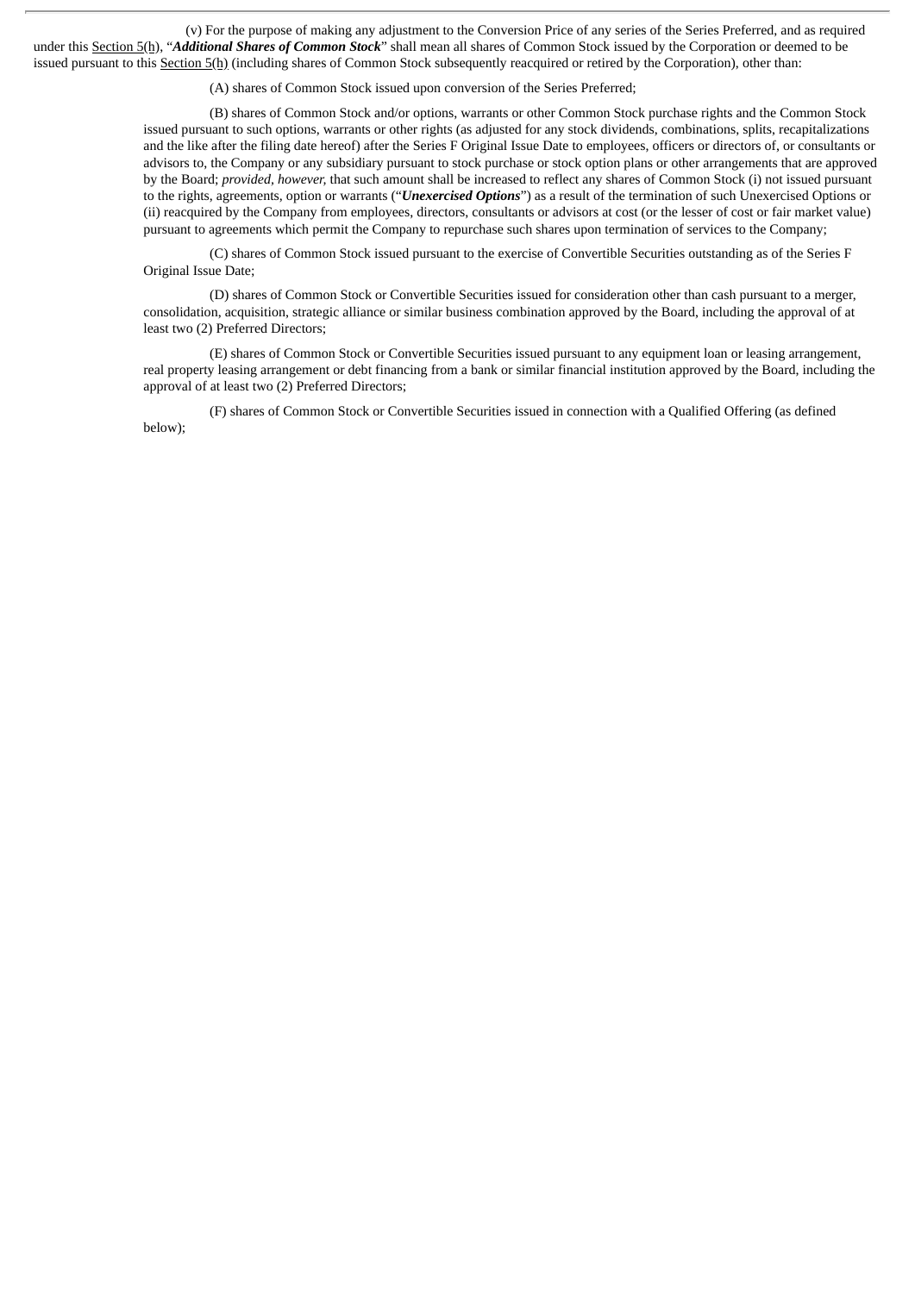(v) For the purpose of making any adjustment to the Conversion Price of any series of the Series Preferred, and as required under this Section 5(h), "*Additional Shares of Common Stock*" shall mean all shares of Common Stock issued by the Corporation or deemed to be issued pursuant to this Section 5(h) (including shares of Common Stock subsequently reacquired or retired by the Corporation), other than:

(A) shares of Common Stock issued upon conversion of the Series Preferred;

(B) shares of Common Stock and/or options, warrants or other Common Stock purchase rights and the Common Stock issued pursuant to such options, warrants or other rights (as adjusted for any stock dividends, combinations, splits, recapitalizations and the like after the filing date hereof) after the Series F Original Issue Date to employees, officers or directors of, or consultants or advisors to, the Company or any subsidiary pursuant to stock purchase or stock option plans or other arrangements that are approved by the Board; *provided, however,* that such amount shall be increased to reflect any shares of Common Stock (i) not issued pursuant to the rights, agreements, option or warrants ("*Unexercised Options*") as a result of the termination of such Unexercised Options or (ii) reacquired by the Company from employees, directors, consultants or advisors at cost (or the lesser of cost or fair market value) pursuant to agreements which permit the Company to repurchase such shares upon termination of services to the Company;

(C) shares of Common Stock issued pursuant to the exercise of Convertible Securities outstanding as of the Series F Original Issue Date;

(D) shares of Common Stock or Convertible Securities issued for consideration other than cash pursuant to a merger, consolidation, acquisition, strategic alliance or similar business combination approved by the Board, including the approval of at least two (2) Preferred Directors;

(E) shares of Common Stock or Convertible Securities issued pursuant to any equipment loan or leasing arrangement, real property leasing arrangement or debt financing from a bank or similar financial institution approved by the Board, including the approval of at least two (2) Preferred Directors;

(F) shares of Common Stock or Convertible Securities issued in connection with a Qualified Offering (as defined below);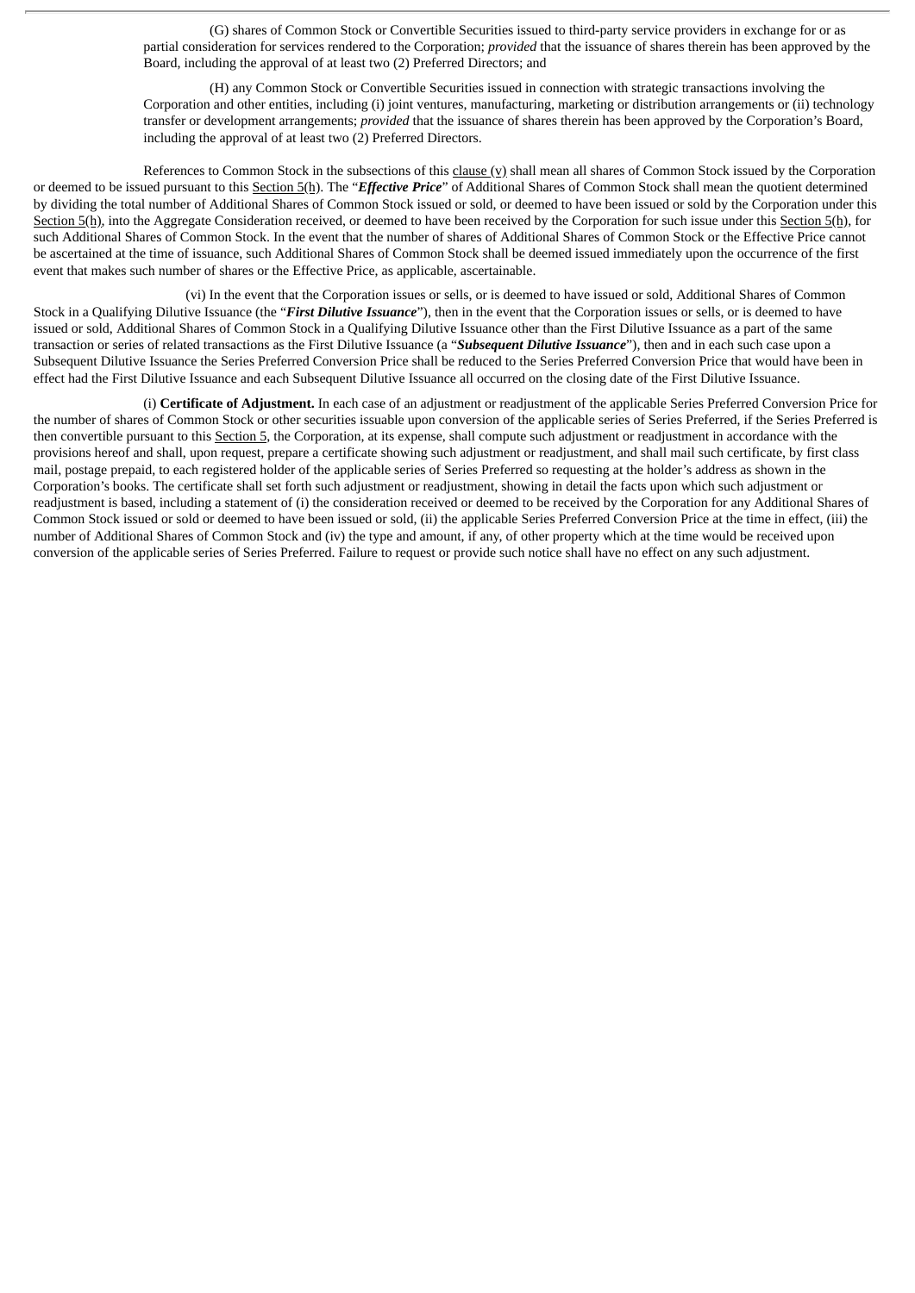(G) shares of Common Stock or Convertible Securities issued to third-party service providers in exchange for or as partial consideration for services rendered to the Corporation; *provided* that the issuance of shares therein has been approved by the Board, including the approval of at least two (2) Preferred Directors; and

(H) any Common Stock or Convertible Securities issued in connection with strategic transactions involving the Corporation and other entities, including (i) joint ventures, manufacturing, marketing or distribution arrangements or (ii) technology transfer or development arrangements; *provided* that the issuance of shares therein has been approved by the Corporation's Board, including the approval of at least two (2) Preferred Directors.

References to Common Stock in the subsections of this clause (v) shall mean all shares of Common Stock issued by the Corporation or deemed to be issued pursuant to this Section 5(h). The "*Effective Price*" of Additional Shares of Common Stock shall mean the quotient determined by dividing the total number of Additional Shares of Common Stock issued or sold, or deemed to have been issued or sold by the Corporation under this Section 5(h), into the Aggregate Consideration received, or deemed to have been received by the Corporation for such issue under this Section 5(h), for such Additional Shares of Common Stock. In the event that the number of shares of Additional Shares of Common Stock or the Effective Price cannot be ascertained at the time of issuance, such Additional Shares of Common Stock shall be deemed issued immediately upon the occurrence of the first event that makes such number of shares or the Effective Price, as applicable, ascertainable.

(vi) In the event that the Corporation issues or sells, or is deemed to have issued or sold, Additional Shares of Common Stock in a Qualifying Dilutive Issuance (the "*First Dilutive Issuance*"), then in the event that the Corporation issues or sells, or is deemed to have issued or sold, Additional Shares of Common Stock in a Qualifying Dilutive Issuance other than the First Dilutive Issuance as a part of the same transaction or series of related transactions as the First Dilutive Issuance (a "*Subsequent Dilutive Issuance*"), then and in each such case upon a Subsequent Dilutive Issuance the Series Preferred Conversion Price shall be reduced to the Series Preferred Conversion Price that would have been in effect had the First Dilutive Issuance and each Subsequent Dilutive Issuance all occurred on the closing date of the First Dilutive Issuance.

(i) **Certificate of Adjustment.** In each case of an adjustment or readjustment of the applicable Series Preferred Conversion Price for the number of shares of Common Stock or other securities issuable upon conversion of the applicable series of Series Preferred, if the Series Preferred is then convertible pursuant to this Section 5, the Corporation, at its expense, shall compute such adjustment or readjustment in accordance with the provisions hereof and shall, upon request, prepare a certificate showing such adjustment or readjustment, and shall mail such certificate, by first class mail, postage prepaid, to each registered holder of the applicable series of Series Preferred so requesting at the holder's address as shown in the Corporation's books. The certificate shall set forth such adjustment or readjustment, showing in detail the facts upon which such adjustment or readjustment is based, including a statement of (i) the consideration received or deemed to be received by the Corporation for any Additional Shares of Common Stock issued or sold or deemed to have been issued or sold, (ii) the applicable Series Preferred Conversion Price at the time in effect, (iii) the number of Additional Shares of Common Stock and (iv) the type and amount, if any, of other property which at the time would be received upon conversion of the applicable series of Series Preferred. Failure to request or provide such notice shall have no effect on any such adjustment.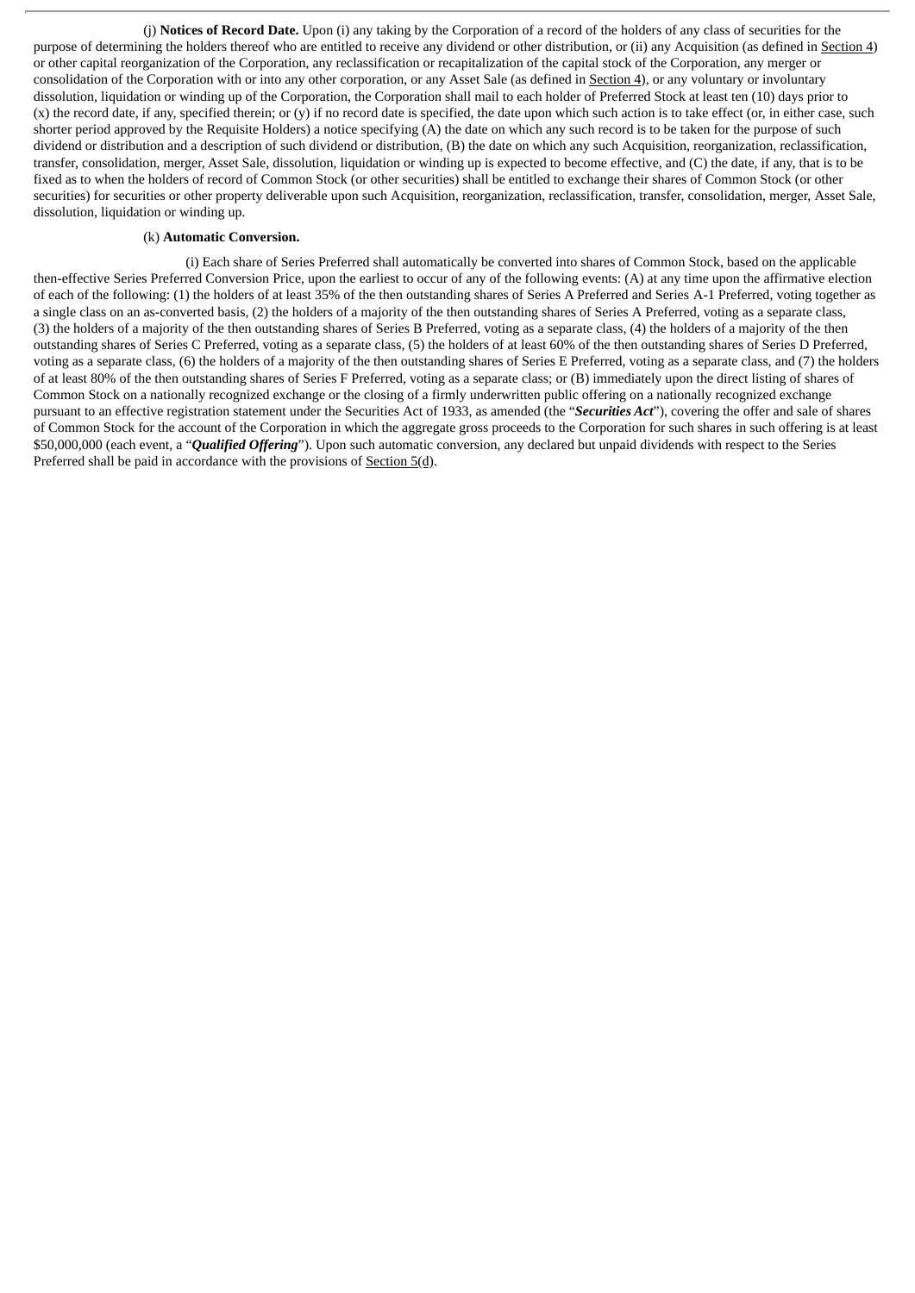(j) **Notices of Record Date.** Upon (i) any taking by the Corporation of a record of the holders of any class of securities for the purpose of determining the holders thereof who are entitled to receive any dividend or other distribution, or (ii) any Acquisition (as defined in Section 4) or other capital reorganization of the Corporation, any reclassification or recapitalization of the capital stock of the Corporation, any merger or consolidation of the Corporation with or into any other corporation, or any Asset Sale (as defined in Section 4), or any voluntary or involuntary dissolution, liquidation or winding up of the Corporation, the Corporation shall mail to each holder of Preferred Stock at least ten (10) days prior to (x) the record date, if any, specified therein; or (y) if no record date is specified, the date upon which such action is to take effect (or, in either case, such shorter period approved by the Requisite Holders) a notice specifying (A) the date on which any such record is to be taken for the purpose of such dividend or distribution and a description of such dividend or distribution, (B) the date on which any such Acquisition, reorganization, reclassification, transfer, consolidation, merger, Asset Sale, dissolution, liquidation or winding up is expected to become effective, and (C) the date, if any, that is to be fixed as to when the holders of record of Common Stock (or other securities) shall be entitled to exchange their shares of Common Stock (or other securities) for securities or other property deliverable upon such Acquisition, reorganization, reclassification, transfer, consolidation, merger, Asset Sale, dissolution, liquidation or winding up.

#### (k) **Automatic Conversion.**

(i) Each share of Series Preferred shall automatically be converted into shares of Common Stock, based on the applicable then-effective Series Preferred Conversion Price, upon the earliest to occur of any of the following events: (A) at any time upon the affirmative election of each of the following: (1) the holders of at least 35% of the then outstanding shares of Series A Preferred and Series A-1 Preferred, voting together as a single class on an as-converted basis, (2) the holders of a majority of the then outstanding shares of Series A Preferred, voting as a separate class, (3) the holders of a majority of the then outstanding shares of Series B Preferred, voting as a separate class, (4) the holders of a majority of the then outstanding shares of Series C Preferred, voting as a separate class, (5) the holders of at least 60% of the then outstanding shares of Series D Preferred, voting as a separate class, (6) the holders of a majority of the then outstanding shares of Series E Preferred, voting as a separate class, and (7) the holders of at least 80% of the then outstanding shares of Series F Preferred, voting as a separate class; or (B) immediately upon the direct listing of shares of Common Stock on a nationally recognized exchange or the closing of a firmly underwritten public offering on a nationally recognized exchange pursuant to an effective registration statement under the Securities Act of 1933, as amended (the "*Securities Act*"), covering the offer and sale of shares of Common Stock for the account of the Corporation in which the aggregate gross proceeds to the Corporation for such shares in such offering is at least \$50,000,000 (each event, a "*Qualified Offering*"). Upon such automatic conversion, any declared but unpaid dividends with respect to the Series Preferred shall be paid in accordance with the provisions of  $Section 5(d)$ .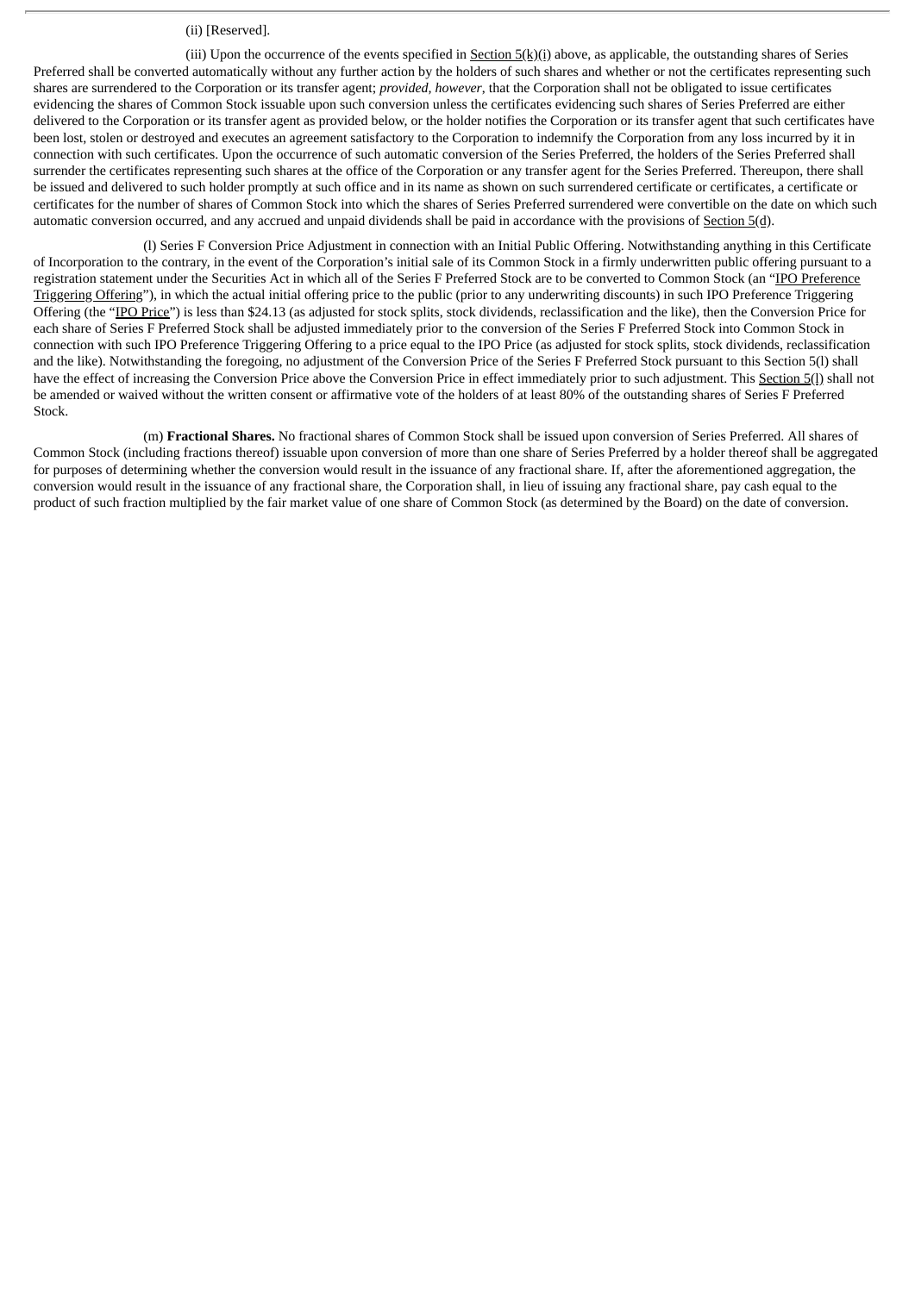#### (ii) [Reserved].

(iii) Upon the occurrence of the events specified in **Section 5(k)(i)** above, as applicable, the outstanding shares of Series Preferred shall be converted automatically without any further action by the holders of such shares and whether or not the certificates representing such shares are surrendered to the Corporation or its transfer agent; *provided, however*, that the Corporation shall not be obligated to issue certificates evidencing the shares of Common Stock issuable upon such conversion unless the certificates evidencing such shares of Series Preferred are either delivered to the Corporation or its transfer agent as provided below, or the holder notifies the Corporation or its transfer agent that such certificates have been lost, stolen or destroyed and executes an agreement satisfactory to the Corporation to indemnify the Corporation from any loss incurred by it in connection with such certificates. Upon the occurrence of such automatic conversion of the Series Preferred, the holders of the Series Preferred shall surrender the certificates representing such shares at the office of the Corporation or any transfer agent for the Series Preferred. Thereupon, there shall be issued and delivered to such holder promptly at such office and in its name as shown on such surrendered certificate or certificates, a certificate or certificates for the number of shares of Common Stock into which the shares of Series Preferred surrendered were convertible on the date on which such automatic conversion occurred, and any accrued and unpaid dividends shall be paid in accordance with the provisions of Section 5(d).

(l) Series F Conversion Price Adjustment in connection with an Initial Public Offering. Notwithstanding anything in this Certificate of Incorporation to the contrary, in the event of the Corporation's initial sale of its Common Stock in a firmly underwritten public offering pursuant to a registration statement under the Securities Act in which all of the Series F Preferred Stock are to be converted to Common Stock (an "IPO Preference Triggering Offering"), in which the actual initial offering price to the public (prior to any underwriting discounts) in such IPO Preference Triggering Offering (the "IPO Price") is less than \$24.13 (as adjusted for stock splits, stock dividends, reclassification and the like), then the Conversion Price for each share of Series F Preferred Stock shall be adjusted immediately prior to the conversion of the Series F Preferred Stock into Common Stock in connection with such IPO Preference Triggering Offering to a price equal to the IPO Price (as adjusted for stock splits, stock dividends, reclassification and the like). Notwithstanding the foregoing, no adjustment of the Conversion Price of the Series F Preferred Stock pursuant to this Section 5(l) shall have the effect of increasing the Conversion Price above the Conversion Price in effect immediately prior to such adjustment. This Section 5(1) shall not be amended or waived without the written consent or affirmative vote of the holders of at least 80% of the outstanding shares of Series F Preferred Stock.

(m) **Fractional Shares.** No fractional shares of Common Stock shall be issued upon conversion of Series Preferred. All shares of Common Stock (including fractions thereof) issuable upon conversion of more than one share of Series Preferred by a holder thereof shall be aggregated for purposes of determining whether the conversion would result in the issuance of any fractional share. If, after the aforementioned aggregation, the conversion would result in the issuance of any fractional share, the Corporation shall, in lieu of issuing any fractional share, pay cash equal to the product of such fraction multiplied by the fair market value of one share of Common Stock (as determined by the Board) on the date of conversion.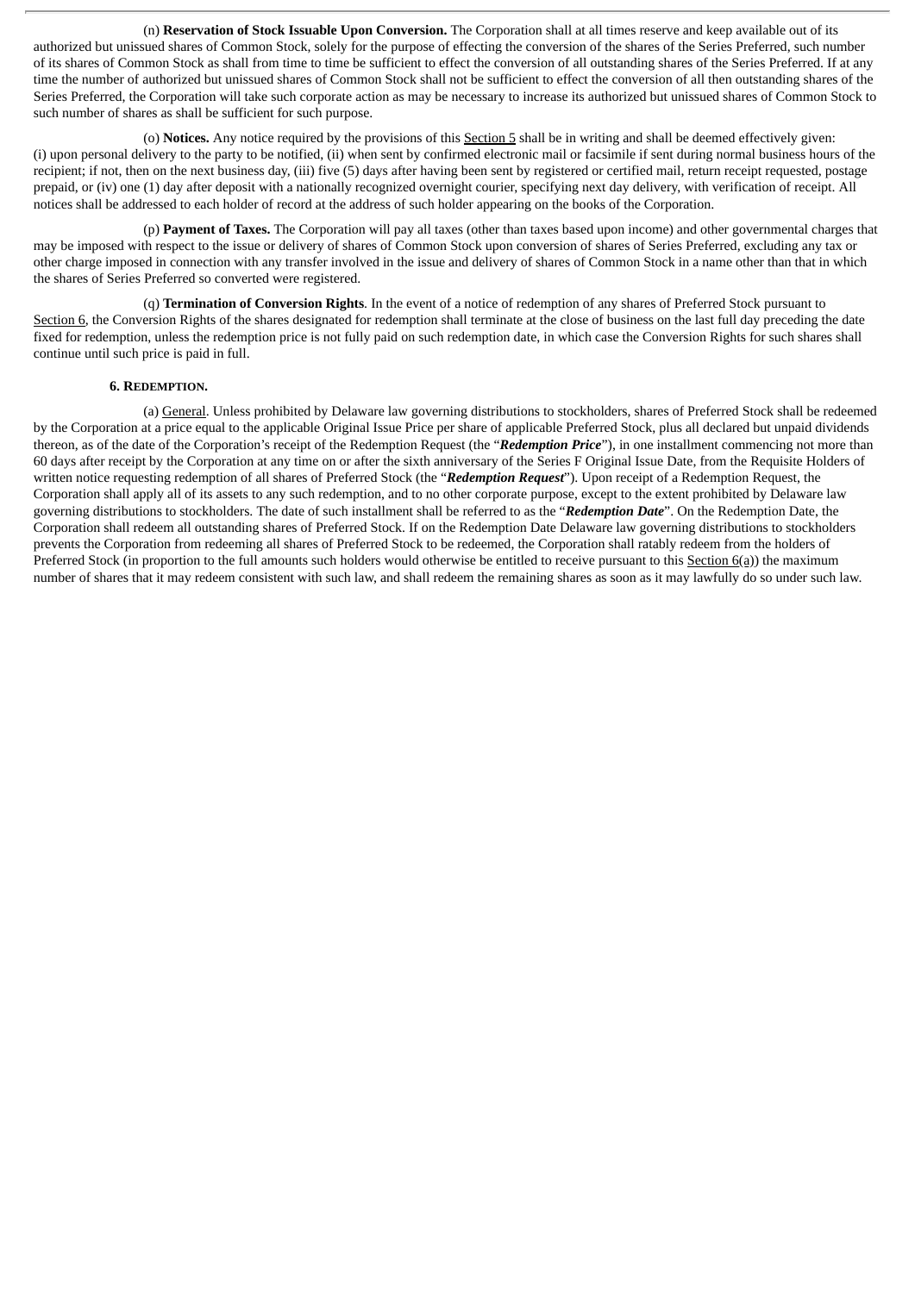(n) **Reservation of Stock Issuable Upon Conversion.** The Corporation shall at all times reserve and keep available out of its authorized but unissued shares of Common Stock, solely for the purpose of effecting the conversion of the shares of the Series Preferred, such number of its shares of Common Stock as shall from time to time be sufficient to effect the conversion of all outstanding shares of the Series Preferred. If at any time the number of authorized but unissued shares of Common Stock shall not be sufficient to effect the conversion of all then outstanding shares of the Series Preferred, the Corporation will take such corporate action as may be necessary to increase its authorized but unissued shares of Common Stock to such number of shares as shall be sufficient for such purpose.

(o) **Notices.** Any notice required by the provisions of this Section 5 shall be in writing and shall be deemed effectively given: (i) upon personal delivery to the party to be notified, (ii) when sent by confirmed electronic mail or facsimile if sent during normal business hours of the recipient; if not, then on the next business day, (iii) five (5) days after having been sent by registered or certified mail, return receipt requested, postage prepaid, or (iv) one (1) day after deposit with a nationally recognized overnight courier, specifying next day delivery, with verification of receipt. All notices shall be addressed to each holder of record at the address of such holder appearing on the books of the Corporation.

(p) **Payment of Taxes.** The Corporation will pay all taxes (other than taxes based upon income) and other governmental charges that may be imposed with respect to the issue or delivery of shares of Common Stock upon conversion of shares of Series Preferred, excluding any tax or other charge imposed in connection with any transfer involved in the issue and delivery of shares of Common Stock in a name other than that in which the shares of Series Preferred so converted were registered.

(q) **Termination of Conversion Rights**. In the event of a notice of redemption of any shares of Preferred Stock pursuant to Section 6, the Conversion Rights of the shares designated for redemption shall terminate at the close of business on the last full day preceding the date fixed for redemption, unless the redemption price is not fully paid on such redemption date, in which case the Conversion Rights for such shares shall continue until such price is paid in full.

#### **6. REDEMPTION.**

(a) General. Unless prohibited by Delaware law governing distributions to stockholders, shares of Preferred Stock shall be redeemed by the Corporation at a price equal to the applicable Original Issue Price per share of applicable Preferred Stock, plus all declared but unpaid dividends thereon, as of the date of the Corporation's receipt of the Redemption Request (the "*Redemption Price*"), in one installment commencing not more than 60 days after receipt by the Corporation at any time on or after the sixth anniversary of the Series F Original Issue Date, from the Requisite Holders of written notice requesting redemption of all shares of Preferred Stock (the "*Redemption Request*"). Upon receipt of a Redemption Request, the Corporation shall apply all of its assets to any such redemption, and to no other corporate purpose, except to the extent prohibited by Delaware law governing distributions to stockholders. The date of such installment shall be referred to as the "*Redemption Date*". On the Redemption Date, the Corporation shall redeem all outstanding shares of Preferred Stock. If on the Redemption Date Delaware law governing distributions to stockholders prevents the Corporation from redeeming all shares of Preferred Stock to be redeemed, the Corporation shall ratably redeem from the holders of Preferred Stock (in proportion to the full amounts such holders would otherwise be entitled to receive pursuant to this Section 6(a)) the maximum number of shares that it may redeem consistent with such law, and shall redeem the remaining shares as soon as it may lawfully do so under such law.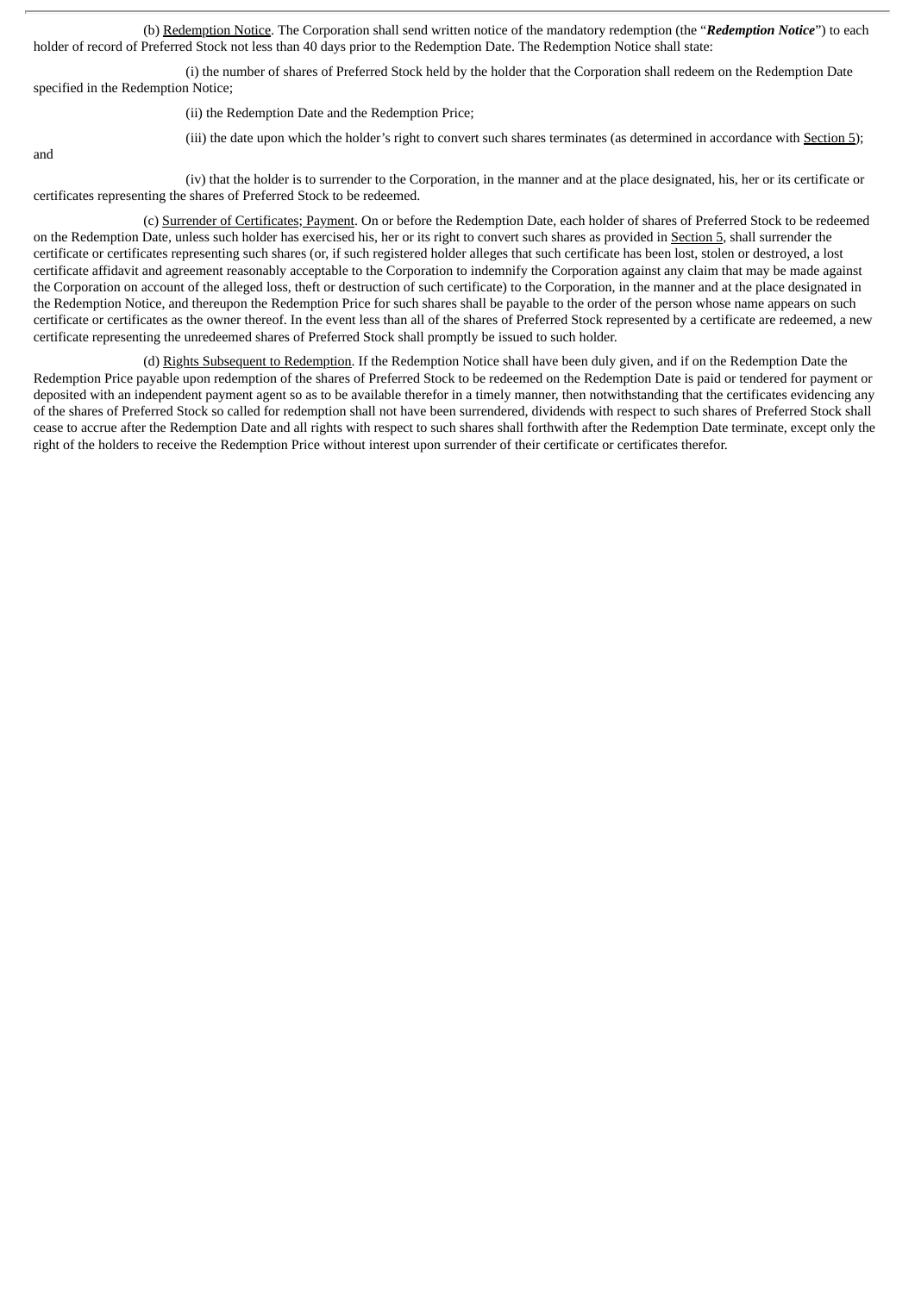(b) Redemption Notice. The Corporation shall send written notice of the mandatory redemption (the "*Redemption Notice*") to each holder of record of Preferred Stock not less than 40 days prior to the Redemption Date. The Redemption Notice shall state:

(i) the number of shares of Preferred Stock held by the holder that the Corporation shall redeem on the Redemption Date specified in the Redemption Notice;

(ii) the Redemption Date and the Redemption Price;

and

(iii) the date upon which the holder's right to convert such shares terminates (as determined in accordance with Section 5);

(iv) that the holder is to surrender to the Corporation, in the manner and at the place designated, his, her or its certificate or certificates representing the shares of Preferred Stock to be redeemed.

(c) Surrender of Certificates; Payment. On or before the Redemption Date, each holder of shares of Preferred Stock to be redeemed on the Redemption Date, unless such holder has exercised his, her or its right to convert such shares as provided in Section 5, shall surrender the certificate or certificates representing such shares (or, if such registered holder alleges that such certificate has been lost, stolen or destroyed, a lost certificate affidavit and agreement reasonably acceptable to the Corporation to indemnify the Corporation against any claim that may be made against the Corporation on account of the alleged loss, theft or destruction of such certificate) to the Corporation, in the manner and at the place designated in the Redemption Notice, and thereupon the Redemption Price for such shares shall be payable to the order of the person whose name appears on such certificate or certificates as the owner thereof. In the event less than all of the shares of Preferred Stock represented by a certificate are redeemed, a new certificate representing the unredeemed shares of Preferred Stock shall promptly be issued to such holder.

(d) Rights Subsequent to Redemption. If the Redemption Notice shall have been duly given, and if on the Redemption Date the Redemption Price payable upon redemption of the shares of Preferred Stock to be redeemed on the Redemption Date is paid or tendered for payment or deposited with an independent payment agent so as to be available therefor in a timely manner, then notwithstanding that the certificates evidencing any of the shares of Preferred Stock so called for redemption shall not have been surrendered, dividends with respect to such shares of Preferred Stock shall cease to accrue after the Redemption Date and all rights with respect to such shares shall forthwith after the Redemption Date terminate, except only the right of the holders to receive the Redemption Price without interest upon surrender of their certificate or certificates therefor.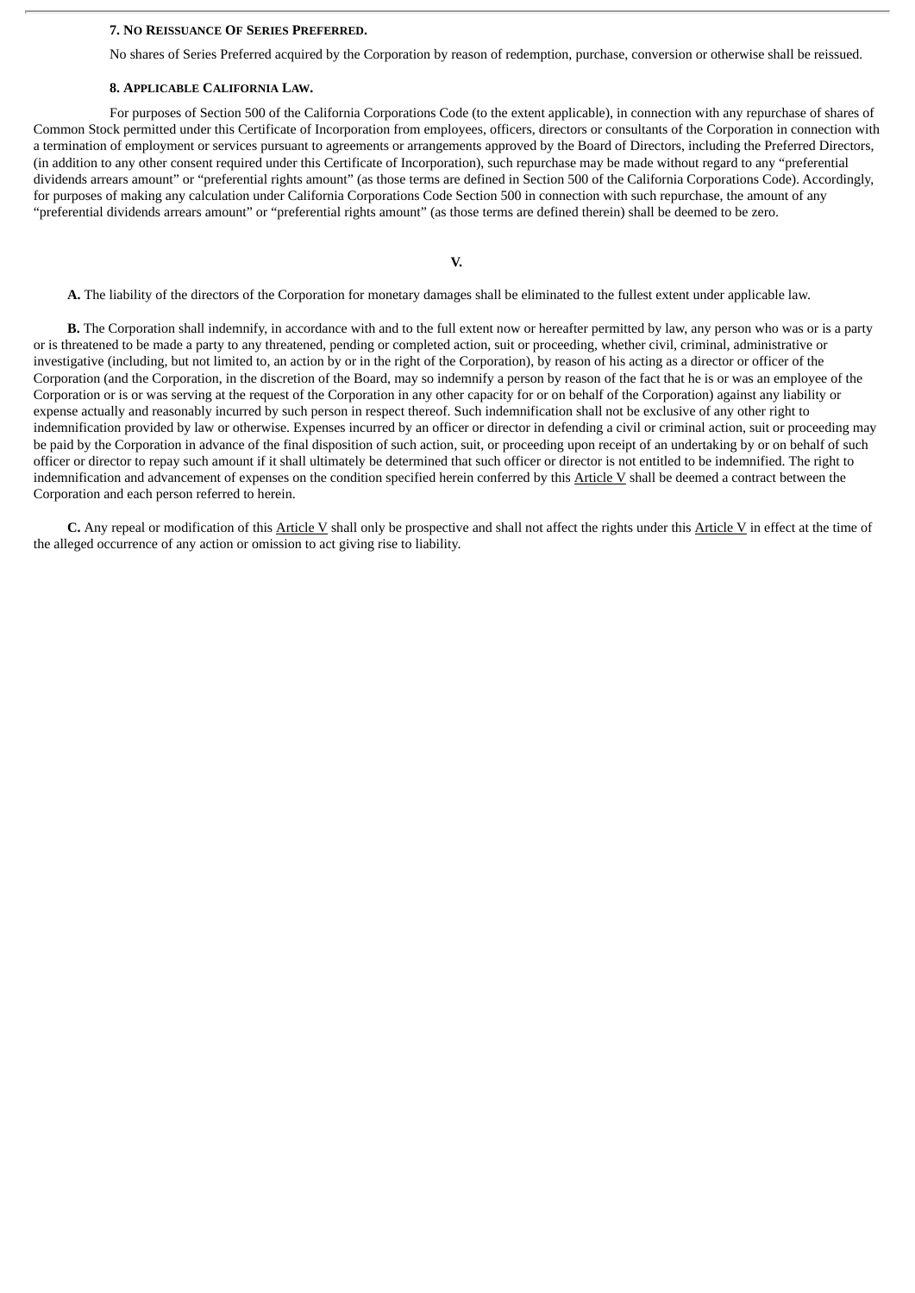#### **7. NO REISSUANCE OF SERIES PREFERRED.**

No shares of Series Preferred acquired by the Corporation by reason of redemption, purchase, conversion or otherwise shall be reissued.

#### **8. APPLICABLE CALIFORNIA LAW.**

For purposes of Section 500 of the California Corporations Code (to the extent applicable), in connection with any repurchase of shares of Common Stock permitted under this Certificate of Incorporation from employees, officers, directors or consultants of the Corporation in connection with a termination of employment or services pursuant to agreements or arrangements approved by the Board of Directors, including the Preferred Directors, (in addition to any other consent required under this Certificate of Incorporation), such repurchase may be made without regard to any "preferential dividends arrears amount" or "preferential rights amount" (as those terms are defined in Section 500 of the California Corporations Code). Accordingly, for purposes of making any calculation under California Corporations Code Section 500 in connection with such repurchase, the amount of any "preferential dividends arrears amount" or "preferential rights amount" (as those terms are defined therein) shall be deemed to be zero.

#### **V.**

**A.** The liability of the directors of the Corporation for monetary damages shall be eliminated to the fullest extent under applicable law.

**B.** The Corporation shall indemnify, in accordance with and to the full extent now or hereafter permitted by law, any person who was or is a party or is threatened to be made a party to any threatened, pending or completed action, suit or proceeding, whether civil, criminal, administrative or investigative (including, but not limited to, an action by or in the right of the Corporation), by reason of his acting as a director or officer of the Corporation (and the Corporation, in the discretion of the Board, may so indemnify a person by reason of the fact that he is or was an employee of the Corporation or is or was serving at the request of the Corporation in any other capacity for or on behalf of the Corporation) against any liability or expense actually and reasonably incurred by such person in respect thereof. Such indemnification shall not be exclusive of any other right to indemnification provided by law or otherwise. Expenses incurred by an officer or director in defending a civil or criminal action, suit or proceeding may be paid by the Corporation in advance of the final disposition of such action, suit, or proceeding upon receipt of an undertaking by or on behalf of such officer or director to repay such amount if it shall ultimately be determined that such officer or director is not entitled to be indemnified. The right to indemnification and advancement of expenses on the condition specified herein conferred by this Article V shall be deemed a contract between the Corporation and each person referred to herein.

**C.** Any repeal or modification of this Article V shall only be prospective and shall not affect the rights under this Article V in effect at the time of the alleged occurrence of any action or omission to act giving rise to liability.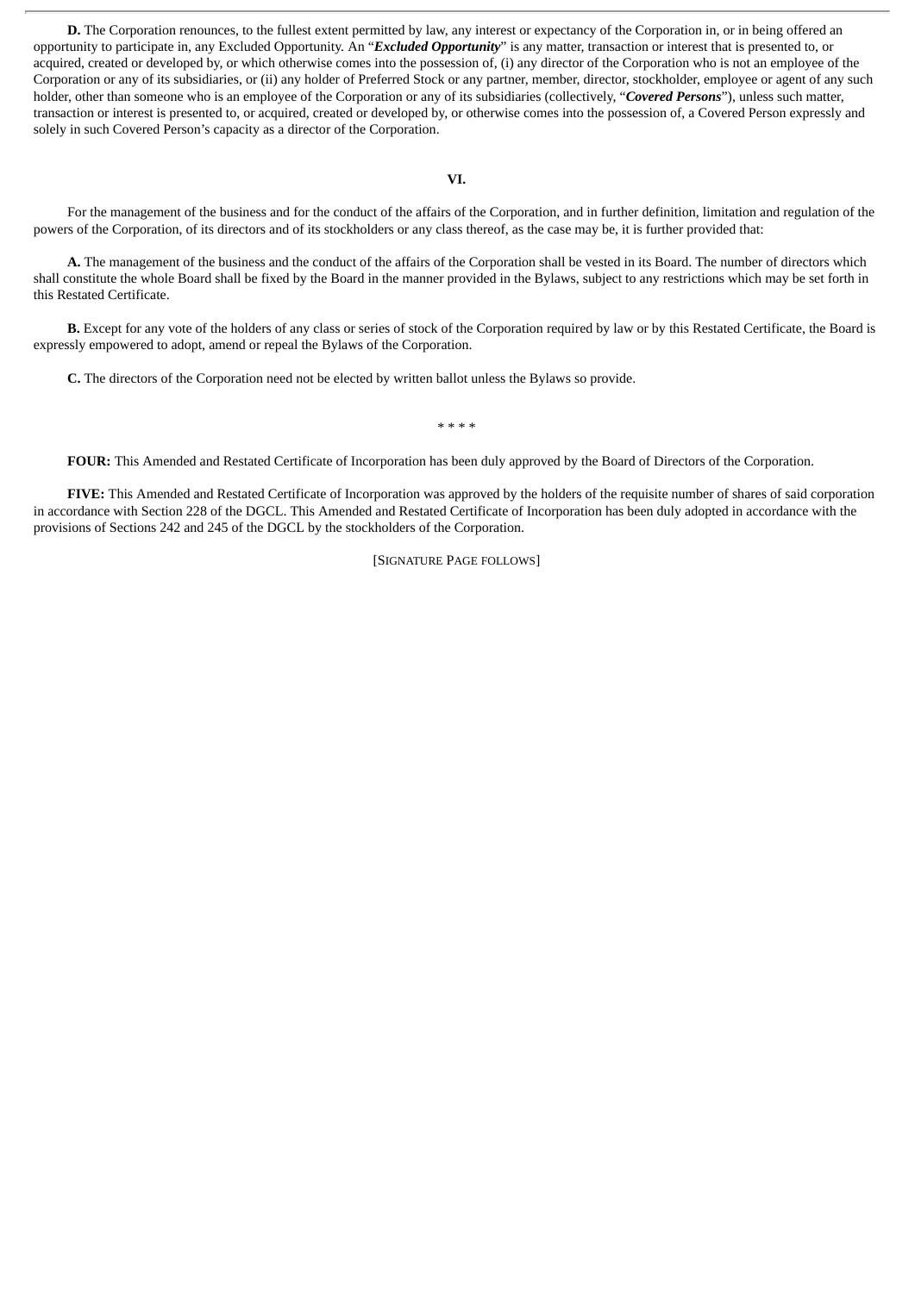**D.** The Corporation renounces, to the fullest extent permitted by law, any interest or expectancy of the Corporation in, or in being offered an opportunity to participate in, any Excluded Opportunity. An "*Excluded Opportunity*" is any matter, transaction or interest that is presented to, or acquired, created or developed by, or which otherwise comes into the possession of, (i) any director of the Corporation who is not an employee of the Corporation or any of its subsidiaries, or (ii) any holder of Preferred Stock or any partner, member, director, stockholder, employee or agent of any such holder, other than someone who is an employee of the Corporation or any of its subsidiaries (collectively, "*Covered Persons*"), unless such matter, transaction or interest is presented to, or acquired, created or developed by, or otherwise comes into the possession of, a Covered Person expressly and solely in such Covered Person's capacity as a director of the Corporation.

#### **VI.**

For the management of the business and for the conduct of the affairs of the Corporation, and in further definition, limitation and regulation of the powers of the Corporation, of its directors and of its stockholders or any class thereof, as the case may be, it is further provided that:

**A.** The management of the business and the conduct of the affairs of the Corporation shall be vested in its Board. The number of directors which shall constitute the whole Board shall be fixed by the Board in the manner provided in the Bylaws, subject to any restrictions which may be set forth in this Restated Certificate.

**B.** Except for any vote of the holders of any class or series of stock of the Corporation required by law or by this Restated Certificate, the Board is expressly empowered to adopt, amend or repeal the Bylaws of the Corporation.

**C.** The directors of the Corporation need not be elected by written ballot unless the Bylaws so provide.

#### \* \* \* \*

**FOUR:** This Amended and Restated Certificate of Incorporation has been duly approved by the Board of Directors of the Corporation.

**FIVE:** This Amended and Restated Certificate of Incorporation was approved by the holders of the requisite number of shares of said corporation in accordance with Section 228 of the DGCL. This Amended and Restated Certificate of Incorporation has been duly adopted in accordance with the provisions of Sections 242 and 245 of the DGCL by the stockholders of the Corporation.

[SIGNATURE PAGE FOLLOWS]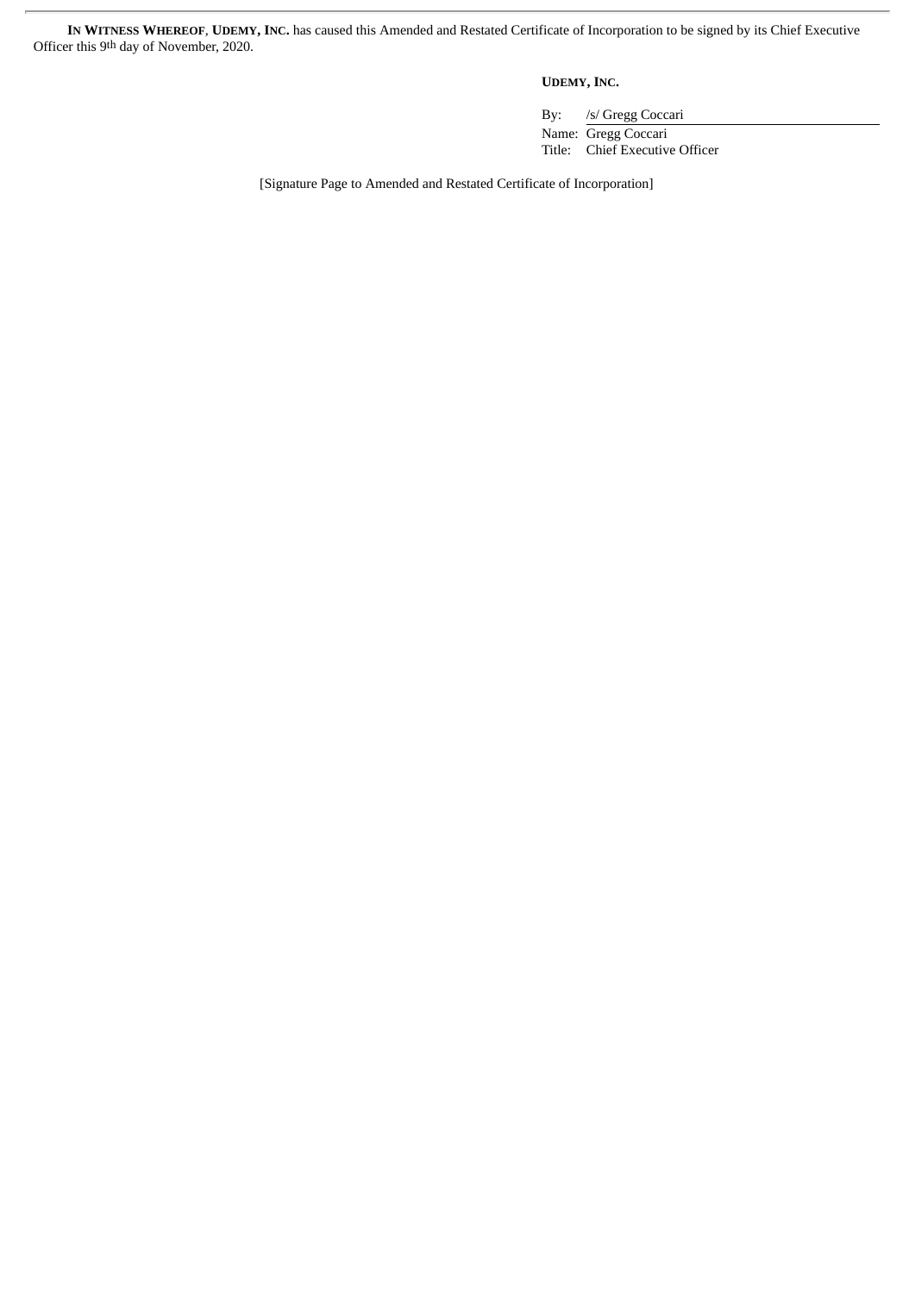**IN WITNESS WHEREOF**, **UDEMY, INC.** has caused this Amended and Restated Certificate of Incorporation to be signed by its Chief Executive Officer this 9<sup>th</sup> day of November, 2020.

**UDEMY, INC.**

By: /s/ Gregg Coccari

Name: Gregg Coccari Title: Chief Executive Officer

[Signature Page to Amended and Restated Certificate of Incorporation]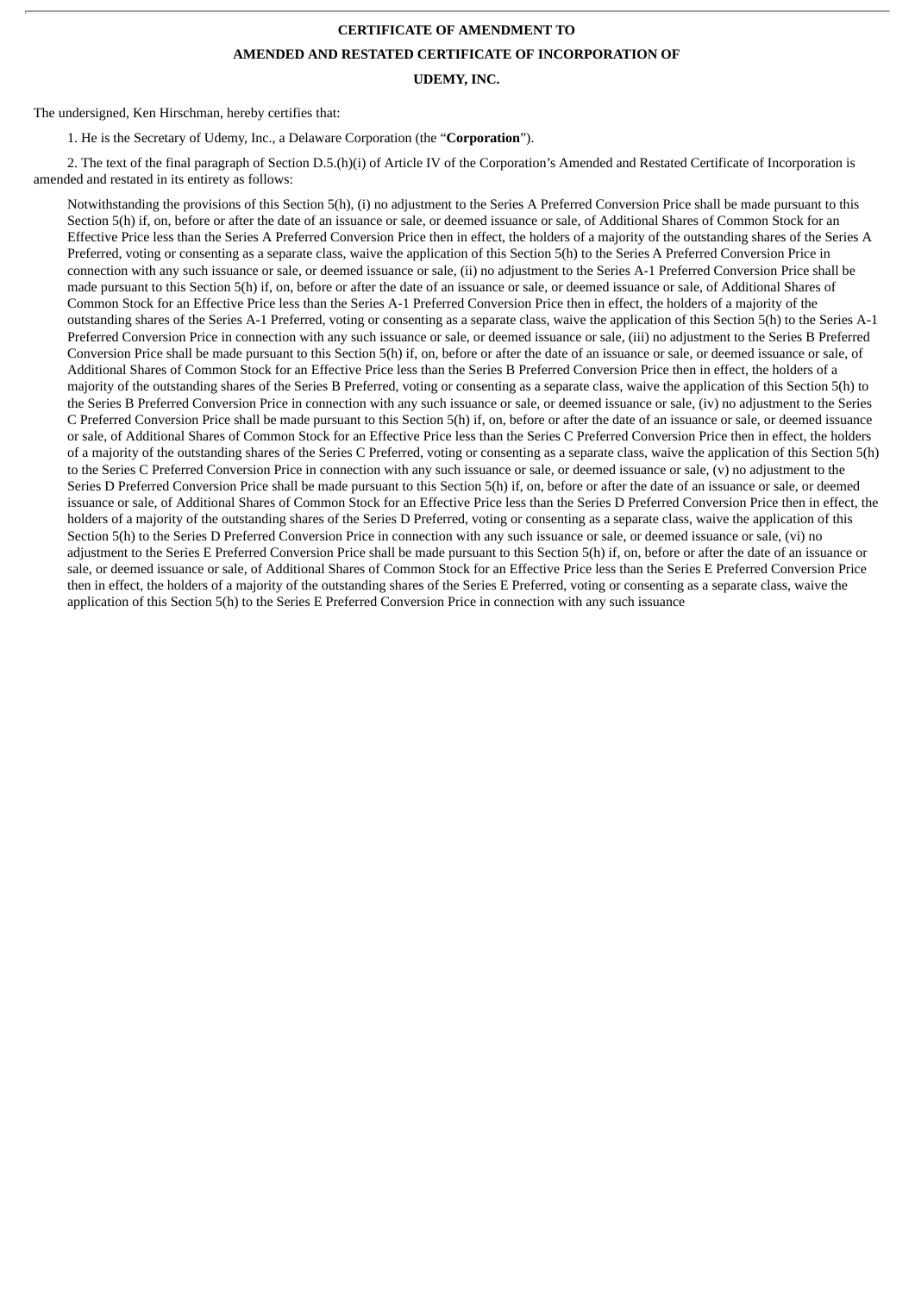## **CERTIFICATE OF AMENDMENT TO AMENDED AND RESTATED CERTIFICATE OF INCORPORATION OF UDEMY, INC.**

The undersigned, Ken Hirschman, hereby certifies that:

1. He is the Secretary of Udemy, Inc., a Delaware Corporation (the "**Corporation**").

2. The text of the final paragraph of Section D.5.(h)(i) of Article IV of the Corporation's Amended and Restated Certificate of Incorporation is amended and restated in its entirety as follows:

Notwithstanding the provisions of this Section 5(h), (i) no adjustment to the Series A Preferred Conversion Price shall be made pursuant to this Section 5(h) if, on, before or after the date of an issuance or sale, or deemed issuance or sale, of Additional Shares of Common Stock for an Effective Price less than the Series A Preferred Conversion Price then in effect, the holders of a majority of the outstanding shares of the Series A Preferred, voting or consenting as a separate class, waive the application of this Section 5(h) to the Series A Preferred Conversion Price in connection with any such issuance or sale, or deemed issuance or sale, (ii) no adjustment to the Series A-1 Preferred Conversion Price shall be made pursuant to this Section 5(h) if, on, before or after the date of an issuance or sale, or deemed issuance or sale, of Additional Shares of Common Stock for an Effective Price less than the Series A-1 Preferred Conversion Price then in effect, the holders of a majority of the outstanding shares of the Series A-1 Preferred, voting or consenting as a separate class, waive the application of this Section 5(h) to the Series A-1 Preferred Conversion Price in connection with any such issuance or sale, or deemed issuance or sale, (iii) no adjustment to the Series B Preferred Conversion Price shall be made pursuant to this Section 5(h) if, on, before or after the date of an issuance or sale, or deemed issuance or sale, of Additional Shares of Common Stock for an Effective Price less than the Series B Preferred Conversion Price then in effect, the holders of a majority of the outstanding shares of the Series B Preferred, voting or consenting as a separate class, waive the application of this Section 5(h) to the Series B Preferred Conversion Price in connection with any such issuance or sale, or deemed issuance or sale, (iv) no adjustment to the Series C Preferred Conversion Price shall be made pursuant to this Section 5(h) if, on, before or after the date of an issuance or sale, or deemed issuance or sale, of Additional Shares of Common Stock for an Effective Price less than the Series C Preferred Conversion Price then in effect, the holders of a majority of the outstanding shares of the Series C Preferred, voting or consenting as a separate class, waive the application of this Section 5(h) to the Series C Preferred Conversion Price in connection with any such issuance or sale, or deemed issuance or sale, (v) no adjustment to the Series D Preferred Conversion Price shall be made pursuant to this Section 5(h) if, on, before or after the date of an issuance or sale, or deemed issuance or sale, of Additional Shares of Common Stock for an Effective Price less than the Series D Preferred Conversion Price then in effect, the holders of a majority of the outstanding shares of the Series D Preferred, voting or consenting as a separate class, waive the application of this Section 5(h) to the Series D Preferred Conversion Price in connection with any such issuance or sale, or deemed issuance or sale, (vi) no adjustment to the Series E Preferred Conversion Price shall be made pursuant to this Section 5(h) if, on, before or after the date of an issuance or sale, or deemed issuance or sale, of Additional Shares of Common Stock for an Effective Price less than the Series E Preferred Conversion Price then in effect, the holders of a majority of the outstanding shares of the Series E Preferred, voting or consenting as a separate class, waive the application of this Section 5(h) to the Series E Preferred Conversion Price in connection with any such issuance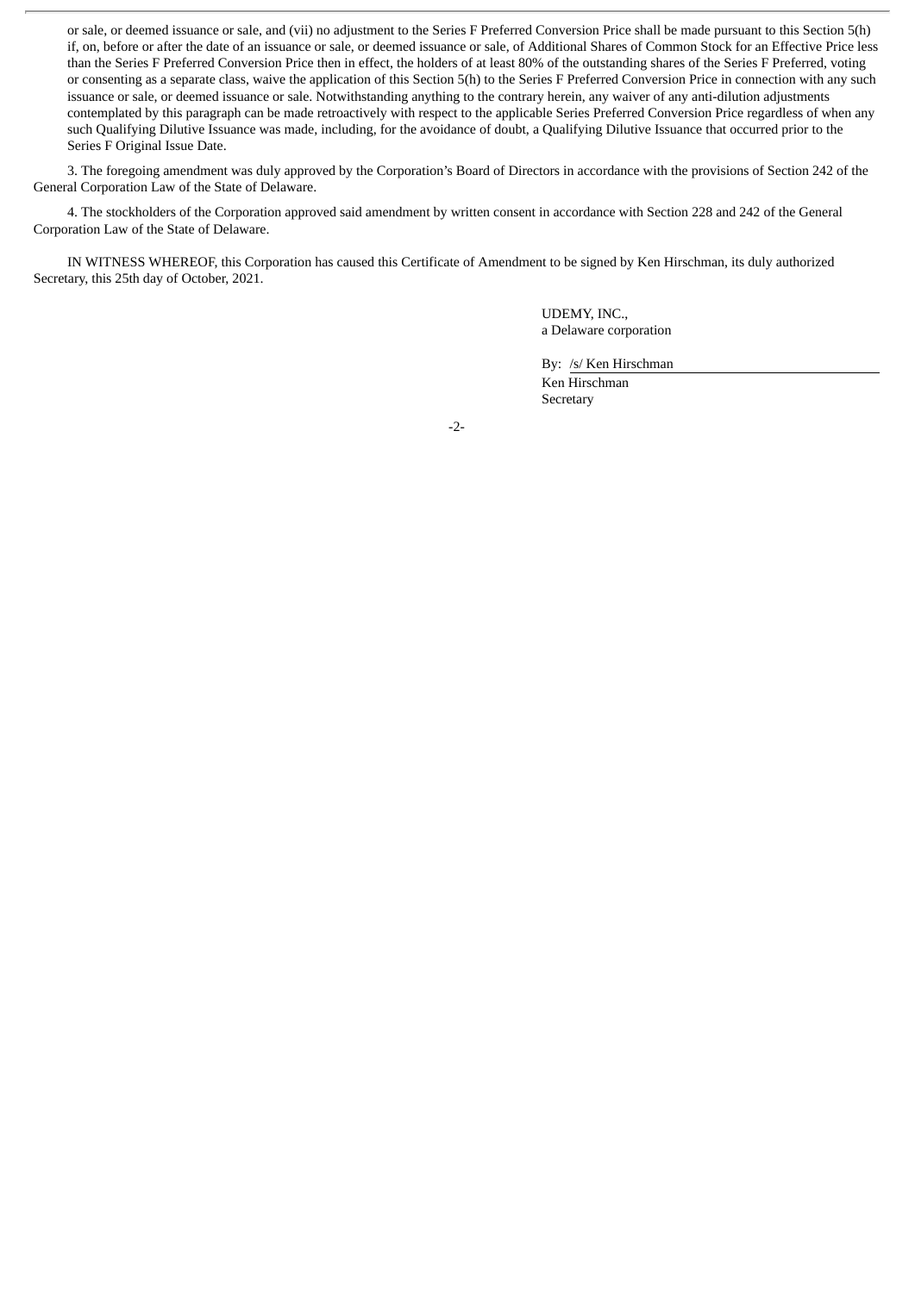or sale, or deemed issuance or sale, and (vii) no adjustment to the Series F Preferred Conversion Price shall be made pursuant to this Section 5(h) if, on, before or after the date of an issuance or sale, or deemed issuance or sale, of Additional Shares of Common Stock for an Effective Price less than the Series F Preferred Conversion Price then in effect, the holders of at least 80% of the outstanding shares of the Series F Preferred, voting or consenting as a separate class, waive the application of this Section 5(h) to the Series F Preferred Conversion Price in connection with any such issuance or sale, or deemed issuance or sale. Notwithstanding anything to the contrary herein, any waiver of any anti-dilution adjustments contemplated by this paragraph can be made retroactively with respect to the applicable Series Preferred Conversion Price regardless of when any such Qualifying Dilutive Issuance was made, including, for the avoidance of doubt, a Qualifying Dilutive Issuance that occurred prior to the Series F Original Issue Date.

3. The foregoing amendment was duly approved by the Corporation's Board of Directors in accordance with the provisions of Section 242 of the General Corporation Law of the State of Delaware.

4. The stockholders of the Corporation approved said amendment by written consent in accordance with Section 228 and 242 of the General Corporation Law of the State of Delaware.

IN WITNESS WHEREOF, this Corporation has caused this Certificate of Amendment to be signed by Ken Hirschman, its duly authorized Secretary, this 25th day of October, 2021.

> UDEMY, INC., a Delaware corporation

> By: /s/ Ken Hirschman

Ken Hirschman Secretary

-2-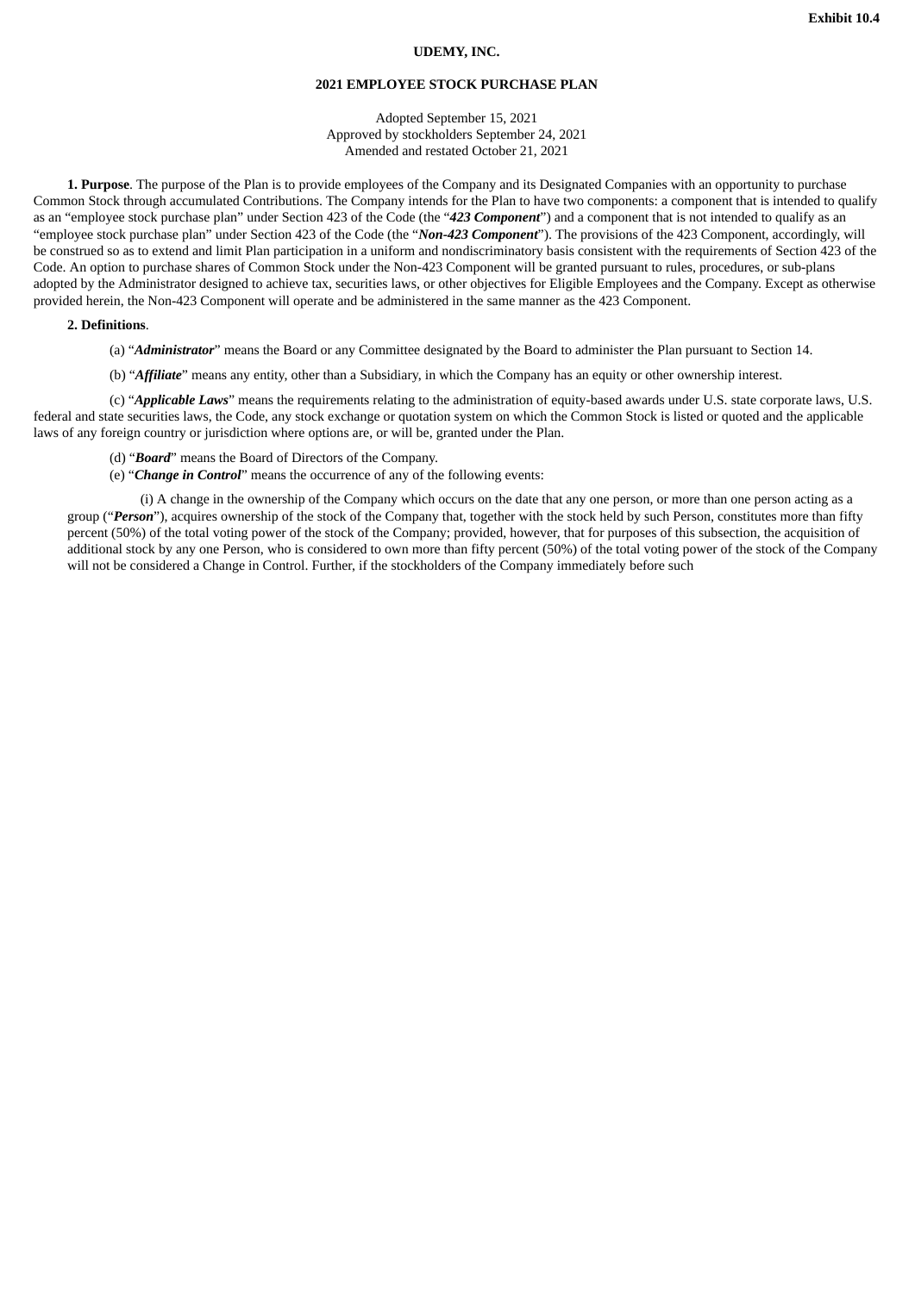#### **UDEMY, INC.**

#### **2021 EMPLOYEE STOCK PURCHASE PLAN**

Adopted September 15, 2021 Approved by stockholders September 24, 2021 Amended and restated October 21, 2021

<span id="page-34-0"></span>**1. Purpose**. The purpose of the Plan is to provide employees of the Company and its Designated Companies with an opportunity to purchase Common Stock through accumulated Contributions. The Company intends for the Plan to have two components: a component that is intended to qualify as an "employee stock purchase plan" under Section 423 of the Code (the "*423 Component*") and a component that is not intended to qualify as an "employee stock purchase plan" under Section 423 of the Code (the "*Non-423 Component*"). The provisions of the 423 Component, accordingly, will be construed so as to extend and limit Plan participation in a uniform and nondiscriminatory basis consistent with the requirements of Section 423 of the Code. An option to purchase shares of Common Stock under the Non-423 Component will be granted pursuant to rules, procedures, or sub-plans adopted by the Administrator designed to achieve tax, securities laws, or other objectives for Eligible Employees and the Company. Except as otherwise provided herein, the Non-423 Component will operate and be administered in the same manner as the 423 Component.

#### **2. Definitions**.

(a) "*Administrator*" means the Board or any Committee designated by the Board to administer the Plan pursuant to Section 14.

(b) "*Affiliate*" means any entity, other than a Subsidiary, in which the Company has an equity or other ownership interest.

(c) "*Applicable Laws*" means the requirements relating to the administration of equity-based awards under U.S. state corporate laws, U.S. federal and state securities laws, the Code, any stock exchange or quotation system on which the Common Stock is listed or quoted and the applicable laws of any foreign country or jurisdiction where options are, or will be, granted under the Plan.

- (d) "*Board*" means the Board of Directors of the Company.
- (e) "*Change in Control*" means the occurrence of any of the following events:

(i) A change in the ownership of the Company which occurs on the date that any one person, or more than one person acting as a group ("*Person*"), acquires ownership of the stock of the Company that, together with the stock held by such Person, constitutes more than fifty percent (50%) of the total voting power of the stock of the Company; provided, however, that for purposes of this subsection, the acquisition of additional stock by any one Person, who is considered to own more than fifty percent (50%) of the total voting power of the stock of the Company will not be considered a Change in Control. Further, if the stockholders of the Company immediately before such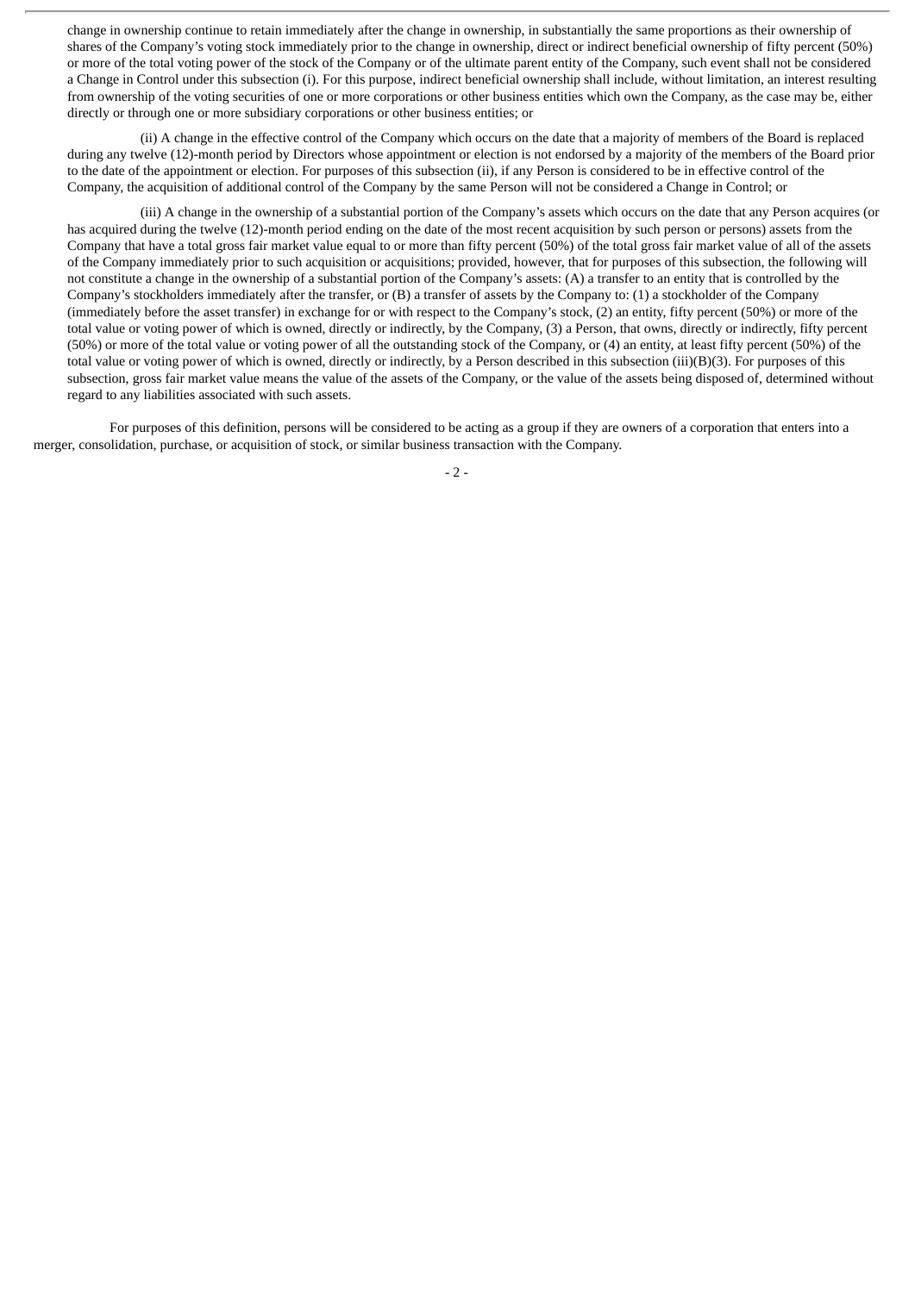change in ownership continue to retain immediately after the change in ownership, in substantially the same proportions as their ownership of shares of the Company's voting stock immediately prior to the change in ownership, direct or indirect beneficial ownership of fifty percent (50%) or more of the total voting power of the stock of the Company or of the ultimate parent entity of the Company, such event shall not be considered a Change in Control under this subsection (i). For this purpose, indirect beneficial ownership shall include, without limitation, an interest resulting from ownership of the voting securities of one or more corporations or other business entities which own the Company, as the case may be, either directly or through one or more subsidiary corporations or other business entities; or

(ii) A change in the effective control of the Company which occurs on the date that a majority of members of the Board is replaced during any twelve (12)-month period by Directors whose appointment or election is not endorsed by a majority of the members of the Board prior to the date of the appointment or election. For purposes of this subsection (ii), if any Person is considered to be in effective control of the Company, the acquisition of additional control of the Company by the same Person will not be considered a Change in Control; or

(iii) A change in the ownership of a substantial portion of the Company's assets which occurs on the date that any Person acquires (or has acquired during the twelve (12)-month period ending on the date of the most recent acquisition by such person or persons) assets from the Company that have a total gross fair market value equal to or more than fifty percent (50%) of the total gross fair market value of all of the assets of the Company immediately prior to such acquisition or acquisitions; provided, however, that for purposes of this subsection, the following will not constitute a change in the ownership of a substantial portion of the Company's assets: (A) a transfer to an entity that is controlled by the Company's stockholders immediately after the transfer, or (B) a transfer of assets by the Company to: (1) a stockholder of the Company (immediately before the asset transfer) in exchange for or with respect to the Company's stock, (2) an entity, fifty percent (50%) or more of the total value or voting power of which is owned, directly or indirectly, by the Company, (3) a Person, that owns, directly or indirectly, fifty percent (50%) or more of the total value or voting power of all the outstanding stock of the Company, or (4) an entity, at least fifty percent (50%) of the total value or voting power of which is owned, directly or indirectly, by a Person described in this subsection (iii)(B)(3). For purposes of this subsection, gross fair market value means the value of the assets of the Company, or the value of the assets being disposed of, determined without regard to any liabilities associated with such assets.

For purposes of this definition, persons will be considered to be acting as a group if they are owners of a corporation that enters into a merger, consolidation, purchase, or acquisition of stock, or similar business transaction with the Company.

 $-2 -$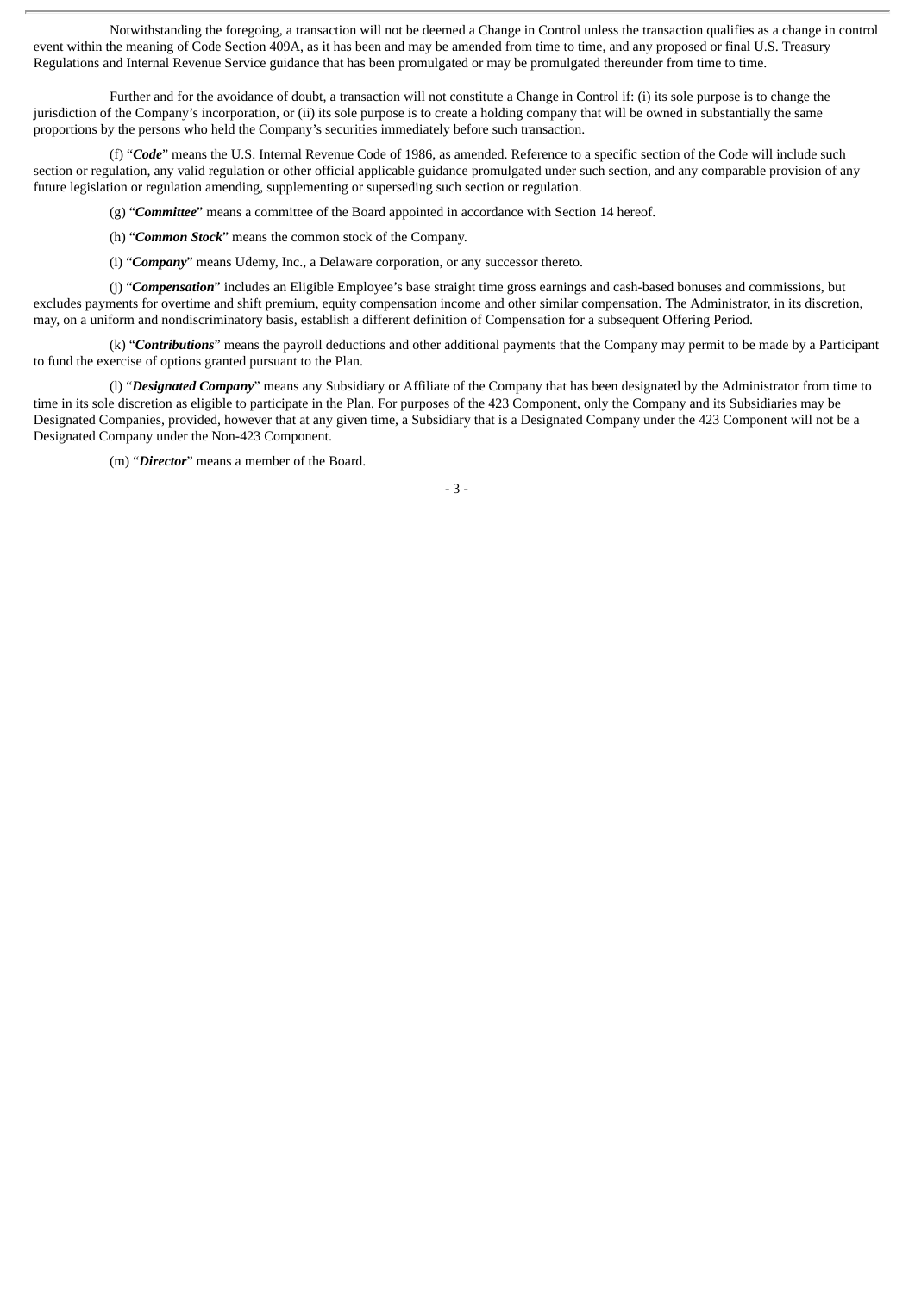Notwithstanding the foregoing, a transaction will not be deemed a Change in Control unless the transaction qualifies as a change in control event within the meaning of Code Section 409A, as it has been and may be amended from time to time, and any proposed or final U.S. Treasury Regulations and Internal Revenue Service guidance that has been promulgated or may be promulgated thereunder from time to time.

Further and for the avoidance of doubt, a transaction will not constitute a Change in Control if: (i) its sole purpose is to change the jurisdiction of the Company's incorporation, or (ii) its sole purpose is to create a holding company that will be owned in substantially the same proportions by the persons who held the Company's securities immediately before such transaction.

(f) "*Code*" means the U.S. Internal Revenue Code of 1986, as amended. Reference to a specific section of the Code will include such section or regulation, any valid regulation or other official applicable guidance promulgated under such section, and any comparable provision of any future legislation or regulation amending, supplementing or superseding such section or regulation.

(g) "*Committee*" means a committee of the Board appointed in accordance with Section 14 hereof.

(h) "*Common Stock*" means the common stock of the Company.

(i) "*Company*" means Udemy, Inc., a Delaware corporation, or any successor thereto.

(j) "*Compensation*" includes an Eligible Employee's base straight time gross earnings and cash-based bonuses and commissions, but excludes payments for overtime and shift premium, equity compensation income and other similar compensation. The Administrator, in its discretion, may, on a uniform and nondiscriminatory basis, establish a different definition of Compensation for a subsequent Offering Period.

(k) "*Contributions*" means the payroll deductions and other additional payments that the Company may permit to be made by a Participant to fund the exercise of options granted pursuant to the Plan.

(l) "*Designated Company*" means any Subsidiary or Affiliate of the Company that has been designated by the Administrator from time to time in its sole discretion as eligible to participate in the Plan. For purposes of the 423 Component, only the Company and its Subsidiaries may be Designated Companies, provided, however that at any given time, a Subsidiary that is a Designated Company under the 423 Component will not be a Designated Company under the Non-423 Component.

(m) "*Director*" means a member of the Board.

- 3 -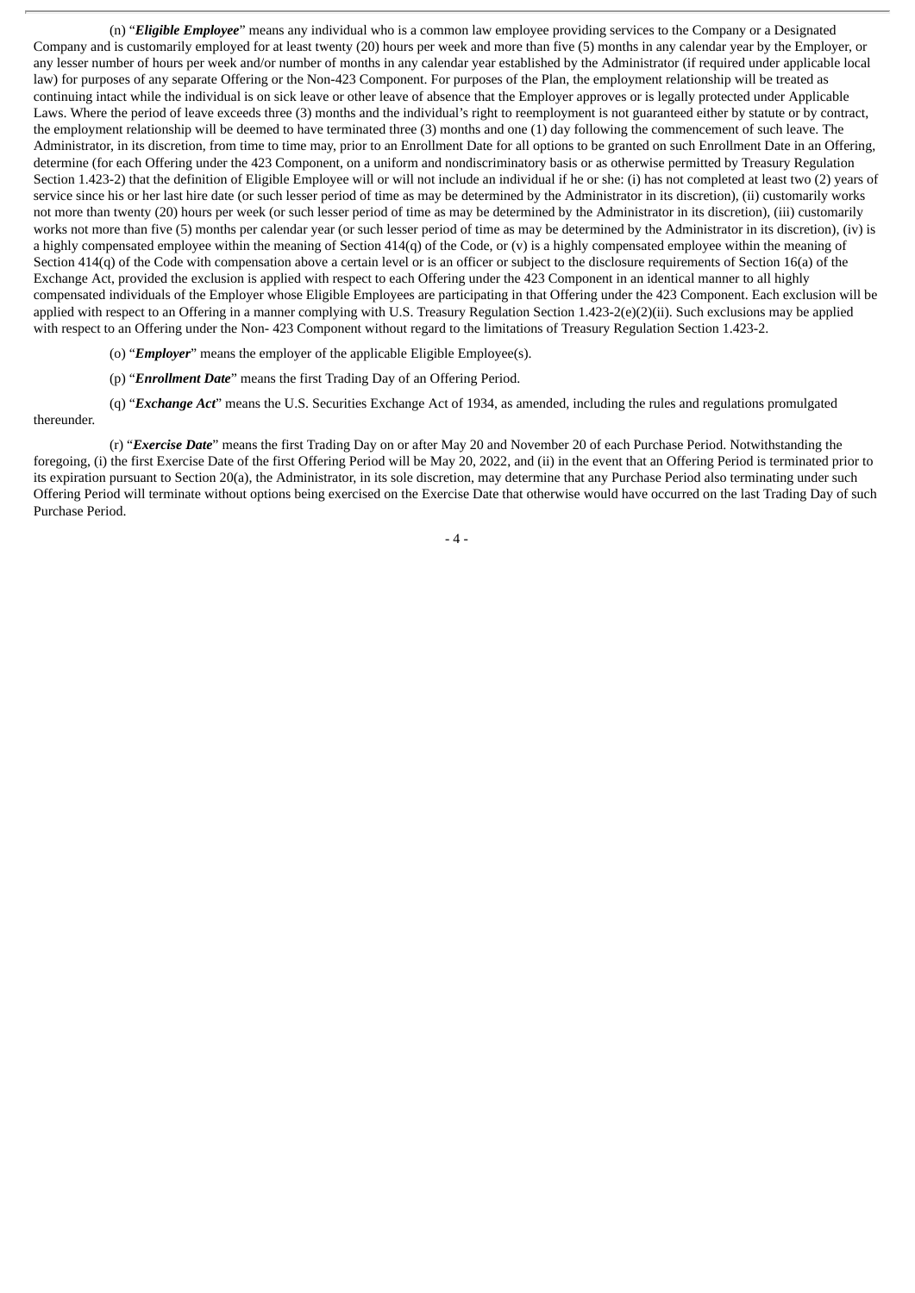(n) "*Eligible Employee*" means any individual who is a common law employee providing services to the Company or a Designated Company and is customarily employed for at least twenty (20) hours per week and more than five (5) months in any calendar year by the Employer, or any lesser number of hours per week and/or number of months in any calendar year established by the Administrator (if required under applicable local law) for purposes of any separate Offering or the Non-423 Component. For purposes of the Plan, the employment relationship will be treated as continuing intact while the individual is on sick leave or other leave of absence that the Employer approves or is legally protected under Applicable Laws. Where the period of leave exceeds three (3) months and the individual's right to reemployment is not guaranteed either by statute or by contract, the employment relationship will be deemed to have terminated three (3) months and one (1) day following the commencement of such leave. The Administrator, in its discretion, from time to time may, prior to an Enrollment Date for all options to be granted on such Enrollment Date in an Offering, determine (for each Offering under the 423 Component, on a uniform and nondiscriminatory basis or as otherwise permitted by Treasury Regulation Section 1.423-2) that the definition of Eligible Employee will or will not include an individual if he or she: (i) has not completed at least two (2) years of service since his or her last hire date (or such lesser period of time as may be determined by the Administrator in its discretion), (ii) customarily works not more than twenty (20) hours per week (or such lesser period of time as may be determined by the Administrator in its discretion), (iii) customarily works not more than five (5) months per calendar year (or such lesser period of time as may be determined by the Administrator in its discretion), (iv) is a highly compensated employee within the meaning of Section  $414(q)$  of the Code, or (v) is a highly compensated employee within the meaning of Section 414(q) of the Code with compensation above a certain level or is an officer or subject to the disclosure requirements of Section 16(a) of the Exchange Act, provided the exclusion is applied with respect to each Offering under the 423 Component in an identical manner to all highly compensated individuals of the Employer whose Eligible Employees are participating in that Offering under the 423 Component. Each exclusion will be applied with respect to an Offering in a manner complying with U.S. Treasury Regulation Section 1.423-2(e)(2)(ii). Such exclusions may be applied with respect to an Offering under the Non-423 Component without regard to the limitations of Treasury Regulation Section 1.423-2.

- (o) "*Employer*" means the employer of the applicable Eligible Employee(s).
- (p) "*Enrollment Date*" means the first Trading Day of an Offering Period.

(q) "*Exchange Act*" means the U.S. Securities Exchange Act of 1934, as amended, including the rules and regulations promulgated thereunder.

(r) "*Exercise Date*" means the first Trading Day on or after May 20 and November 20 of each Purchase Period. Notwithstanding the foregoing, (i) the first Exercise Date of the first Offering Period will be May 20, 2022, and (ii) in the event that an Offering Period is terminated prior to its expiration pursuant to Section 20(a), the Administrator, in its sole discretion, may determine that any Purchase Period also terminating under such Offering Period will terminate without options being exercised on the Exercise Date that otherwise would have occurred on the last Trading Day of such Purchase Period.

- 4 -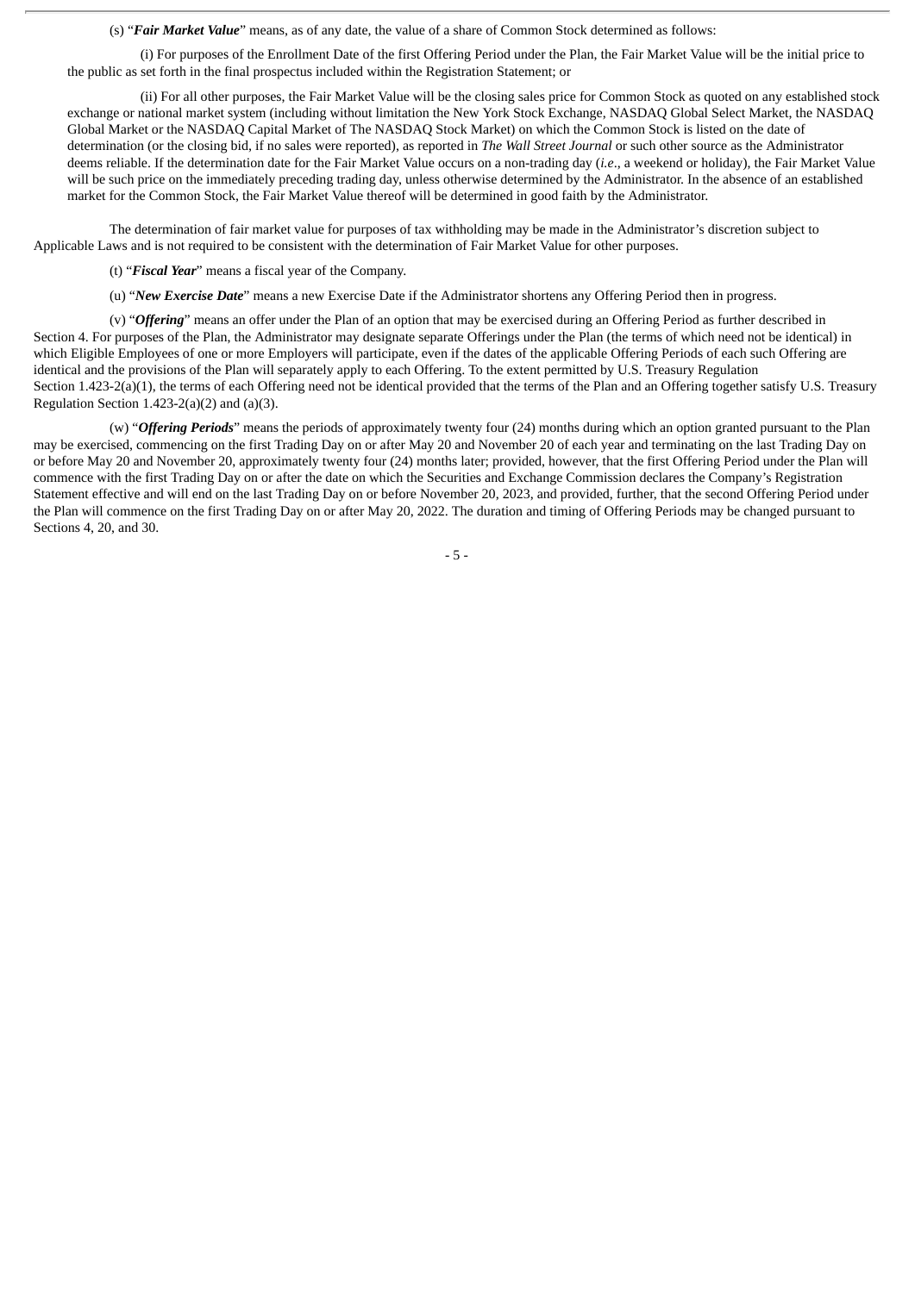(s) "*Fair Market Value*" means, as of any date, the value of a share of Common Stock determined as follows:

(i) For purposes of the Enrollment Date of the first Offering Period under the Plan, the Fair Market Value will be the initial price to the public as set forth in the final prospectus included within the Registration Statement; or

(ii) For all other purposes, the Fair Market Value will be the closing sales price for Common Stock as quoted on any established stock exchange or national market system (including without limitation the New York Stock Exchange, NASDAQ Global Select Market, the NASDAQ Global Market or the NASDAQ Capital Market of The NASDAQ Stock Market) on which the Common Stock is listed on the date of determination (or the closing bid, if no sales were reported), as reported in *The Wall Street Journal* or such other source as the Administrator deems reliable. If the determination date for the Fair Market Value occurs on a non-trading day (*i.e*., a weekend or holiday), the Fair Market Value will be such price on the immediately preceding trading day, unless otherwise determined by the Administrator. In the absence of an established market for the Common Stock, the Fair Market Value thereof will be determined in good faith by the Administrator.

The determination of fair market value for purposes of tax withholding may be made in the Administrator's discretion subject to Applicable Laws and is not required to be consistent with the determination of Fair Market Value for other purposes.

(t) "*Fiscal Year*" means a fiscal year of the Company.

(u) "*New Exercise Date*" means a new Exercise Date if the Administrator shortens any Offering Period then in progress.

(v) "*Offering*" means an offer under the Plan of an option that may be exercised during an Offering Period as further described in Section 4. For purposes of the Plan, the Administrator may designate separate Offerings under the Plan (the terms of which need not be identical) in which Eligible Employees of one or more Employers will participate, even if the dates of the applicable Offering Periods of each such Offering are identical and the provisions of the Plan will separately apply to each Offering. To the extent permitted by U.S. Treasury Regulation Section 1.423-2(a)(1), the terms of each Offering need not be identical provided that the terms of the Plan and an Offering together satisfy U.S. Treasury Regulation Section 1.423-2(a)(2) and (a)(3).

(w) "*Offering Periods*" means the periods of approximately twenty four (24) months during which an option granted pursuant to the Plan may be exercised, commencing on the first Trading Day on or after May 20 and November 20 of each year and terminating on the last Trading Day on or before May 20 and November 20, approximately twenty four (24) months later; provided, however, that the first Offering Period under the Plan will commence with the first Trading Day on or after the date on which the Securities and Exchange Commission declares the Company's Registration Statement effective and will end on the last Trading Day on or before November 20, 2023, and provided, further, that the second Offering Period under the Plan will commence on the first Trading Day on or after May 20, 2022. The duration and timing of Offering Periods may be changed pursuant to Sections 4, 20, and 30.

- 5 -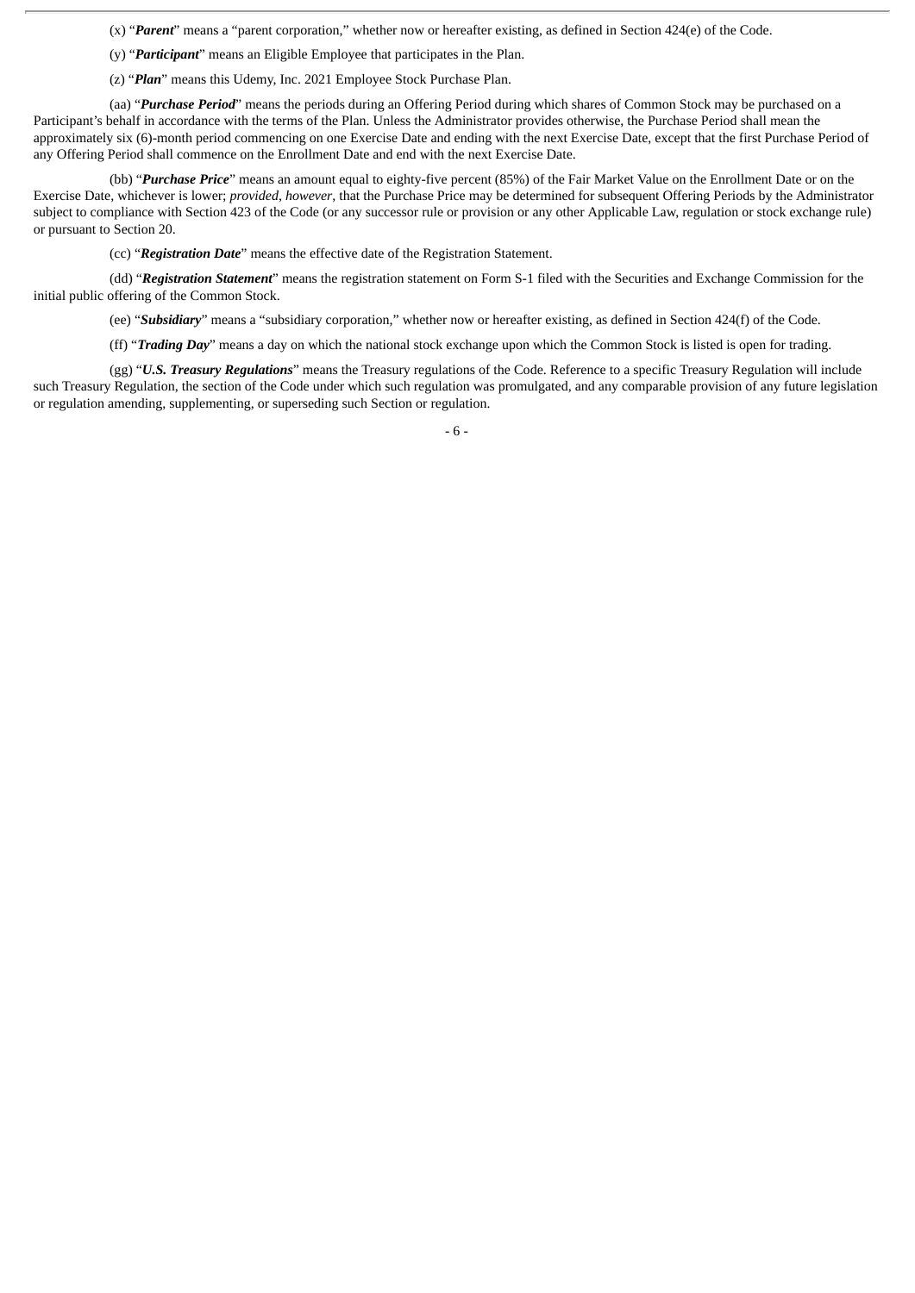(x) "*Parent*" means a "parent corporation," whether now or hereafter existing, as defined in Section 424(e) of the Code.

- (y) "*Participant*" means an Eligible Employee that participates in the Plan.
- (z) "*Plan*" means this Udemy, Inc. 2021 Employee Stock Purchase Plan.

(aa) "*Purchase Period*" means the periods during an Offering Period during which shares of Common Stock may be purchased on a Participant's behalf in accordance with the terms of the Plan. Unless the Administrator provides otherwise, the Purchase Period shall mean the approximately six (6)-month period commencing on one Exercise Date and ending with the next Exercise Date, except that the first Purchase Period of any Offering Period shall commence on the Enrollment Date and end with the next Exercise Date.

(bb) "*Purchase Price*" means an amount equal to eighty-five percent (85%) of the Fair Market Value on the Enrollment Date or on the Exercise Date, whichever is lower; *provided*, *however*, that the Purchase Price may be determined for subsequent Offering Periods by the Administrator subject to compliance with Section 423 of the Code (or any successor rule or provision or any other Applicable Law, regulation or stock exchange rule) or pursuant to Section 20.

(cc) "*Registration Date*" means the effective date of the Registration Statement.

(dd) "*Registration Statement*" means the registration statement on Form S-1 filed with the Securities and Exchange Commission for the initial public offering of the Common Stock.

(ee) "*Subsidiary*" means a "subsidiary corporation," whether now or hereafter existing, as defined in Section 424(f) of the Code.

(ff) "*Trading Day*" means a day on which the national stock exchange upon which the Common Stock is listed is open for trading.

(gg) "*U.S. Treasury Regulations*" means the Treasury regulations of the Code. Reference to a specific Treasury Regulation will include such Treasury Regulation, the section of the Code under which such regulation was promulgated, and any comparable provision of any future legislation or regulation amending, supplementing, or superseding such Section or regulation.

- 6 -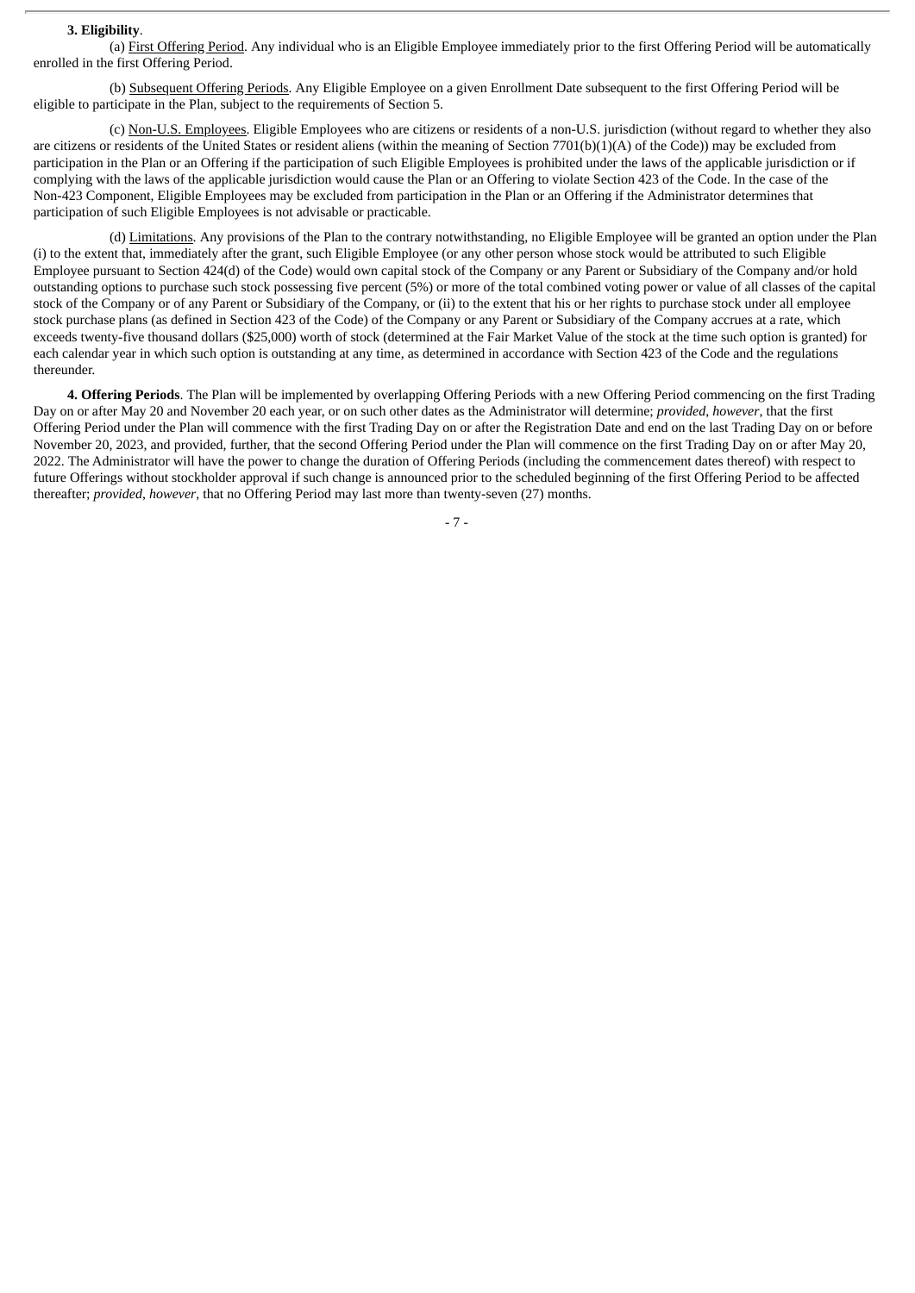#### **3. Eligibility**.

(a) First Offering Period. Any individual who is an Eligible Employee immediately prior to the first Offering Period will be automatically enrolled in the first Offering Period.

(b) Subsequent Offering Periods. Any Eligible Employee on a given Enrollment Date subsequent to the first Offering Period will be eligible to participate in the Plan, subject to the requirements of Section 5.

(c) Non-U.S. Employees. Eligible Employees who are citizens or residents of a non-U.S. jurisdiction (without regard to whether they also are citizens or residents of the United States or resident aliens (within the meaning of Section 7701(b)(1)(A) of the Code)) may be excluded from participation in the Plan or an Offering if the participation of such Eligible Employees is prohibited under the laws of the applicable jurisdiction or if complying with the laws of the applicable jurisdiction would cause the Plan or an Offering to violate Section 423 of the Code. In the case of the Non-423 Component, Eligible Employees may be excluded from participation in the Plan or an Offering if the Administrator determines that participation of such Eligible Employees is not advisable or practicable.

(d) Limitations. Any provisions of the Plan to the contrary notwithstanding, no Eligible Employee will be granted an option under the Plan (i) to the extent that, immediately after the grant, such Eligible Employee (or any other person whose stock would be attributed to such Eligible Employee pursuant to Section 424(d) of the Code) would own capital stock of the Company or any Parent or Subsidiary of the Company and/or hold outstanding options to purchase such stock possessing five percent (5%) or more of the total combined voting power or value of all classes of the capital stock of the Company or of any Parent or Subsidiary of the Company, or (ii) to the extent that his or her rights to purchase stock under all employee stock purchase plans (as defined in Section 423 of the Code) of the Company or any Parent or Subsidiary of the Company accrues at a rate, which exceeds twenty-five thousand dollars (\$25,000) worth of stock (determined at the Fair Market Value of the stock at the time such option is granted) for each calendar year in which such option is outstanding at any time, as determined in accordance with Section 423 of the Code and the regulations thereunder.

**4. Offering Periods**. The Plan will be implemented by overlapping Offering Periods with a new Offering Period commencing on the first Trading Day on or after May 20 and November 20 each year, or on such other dates as the Administrator will determine; *provided*, *however*, that the first Offering Period under the Plan will commence with the first Trading Day on or after the Registration Date and end on the last Trading Day on or before November 20, 2023, and provided, further, that the second Offering Period under the Plan will commence on the first Trading Day on or after May 20, 2022. The Administrator will have the power to change the duration of Offering Periods (including the commencement dates thereof) with respect to future Offerings without stockholder approval if such change is announced prior to the scheduled beginning of the first Offering Period to be affected thereafter; *provided*, *however*, that no Offering Period may last more than twenty-seven (27) months.

- 7 -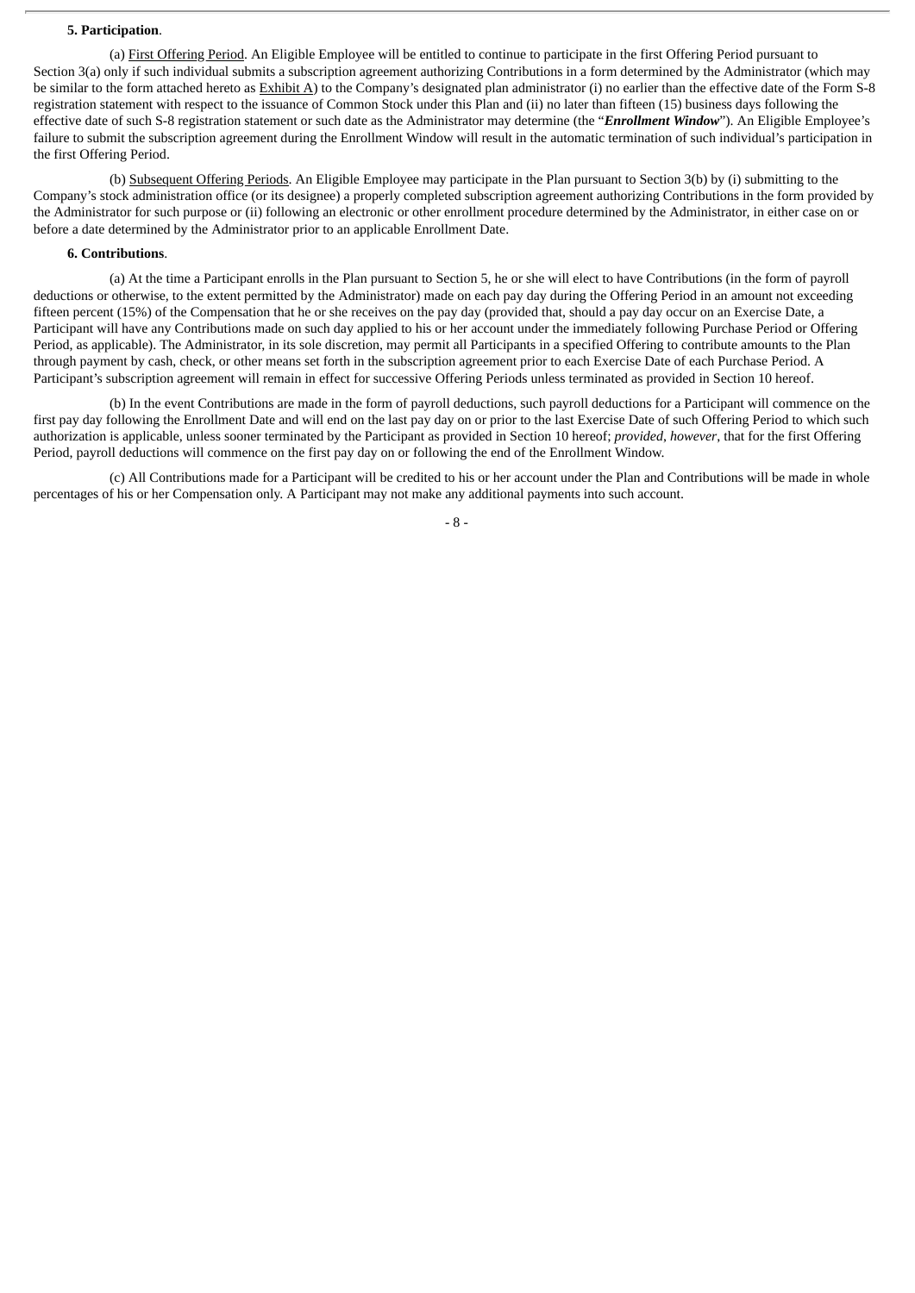#### **5. Participation**.

(a) First Offering Period. An Eligible Employee will be entitled to continue to participate in the first Offering Period pursuant to Section 3(a) only if such individual submits a subscription agreement authorizing Contributions in a form determined by the Administrator (which may be similar to the form attached hereto as **Exhibit A**) to the Company's designated plan administrator (i) no earlier than the effective date of the Form S-8 registration statement with respect to the issuance of Common Stock under this Plan and (ii) no later than fifteen (15) business days following the effective date of such S-8 registration statement or such date as the Administrator may determine (the "*Enrollment Window*"). An Eligible Employee's failure to submit the subscription agreement during the Enrollment Window will result in the automatic termination of such individual's participation in the first Offering Period.

(b) Subsequent Offering Periods. An Eligible Employee may participate in the Plan pursuant to Section 3(b) by (i) submitting to the Company's stock administration office (or its designee) a properly completed subscription agreement authorizing Contributions in the form provided by the Administrator for such purpose or (ii) following an electronic or other enrollment procedure determined by the Administrator, in either case on or before a date determined by the Administrator prior to an applicable Enrollment Date.

#### **6. Contributions**.

(a) At the time a Participant enrolls in the Plan pursuant to Section 5, he or she will elect to have Contributions (in the form of payroll deductions or otherwise, to the extent permitted by the Administrator) made on each pay day during the Offering Period in an amount not exceeding fifteen percent (15%) of the Compensation that he or she receives on the pay day (provided that, should a pay day occur on an Exercise Date, a Participant will have any Contributions made on such day applied to his or her account under the immediately following Purchase Period or Offering Period, as applicable). The Administrator, in its sole discretion, may permit all Participants in a specified Offering to contribute amounts to the Plan through payment by cash, check, or other means set forth in the subscription agreement prior to each Exercise Date of each Purchase Period. A Participant's subscription agreement will remain in effect for successive Offering Periods unless terminated as provided in Section 10 hereof.

(b) In the event Contributions are made in the form of payroll deductions, such payroll deductions for a Participant will commence on the first pay day following the Enrollment Date and will end on the last pay day on or prior to the last Exercise Date of such Offering Period to which such authorization is applicable, unless sooner terminated by the Participant as provided in Section 10 hereof; *provided*, *however*, that for the first Offering Period, payroll deductions will commence on the first pay day on or following the end of the Enrollment Window.

(c) All Contributions made for a Participant will be credited to his or her account under the Plan and Contributions will be made in whole percentages of his or her Compensation only. A Participant may not make any additional payments into such account.

#### - 8 -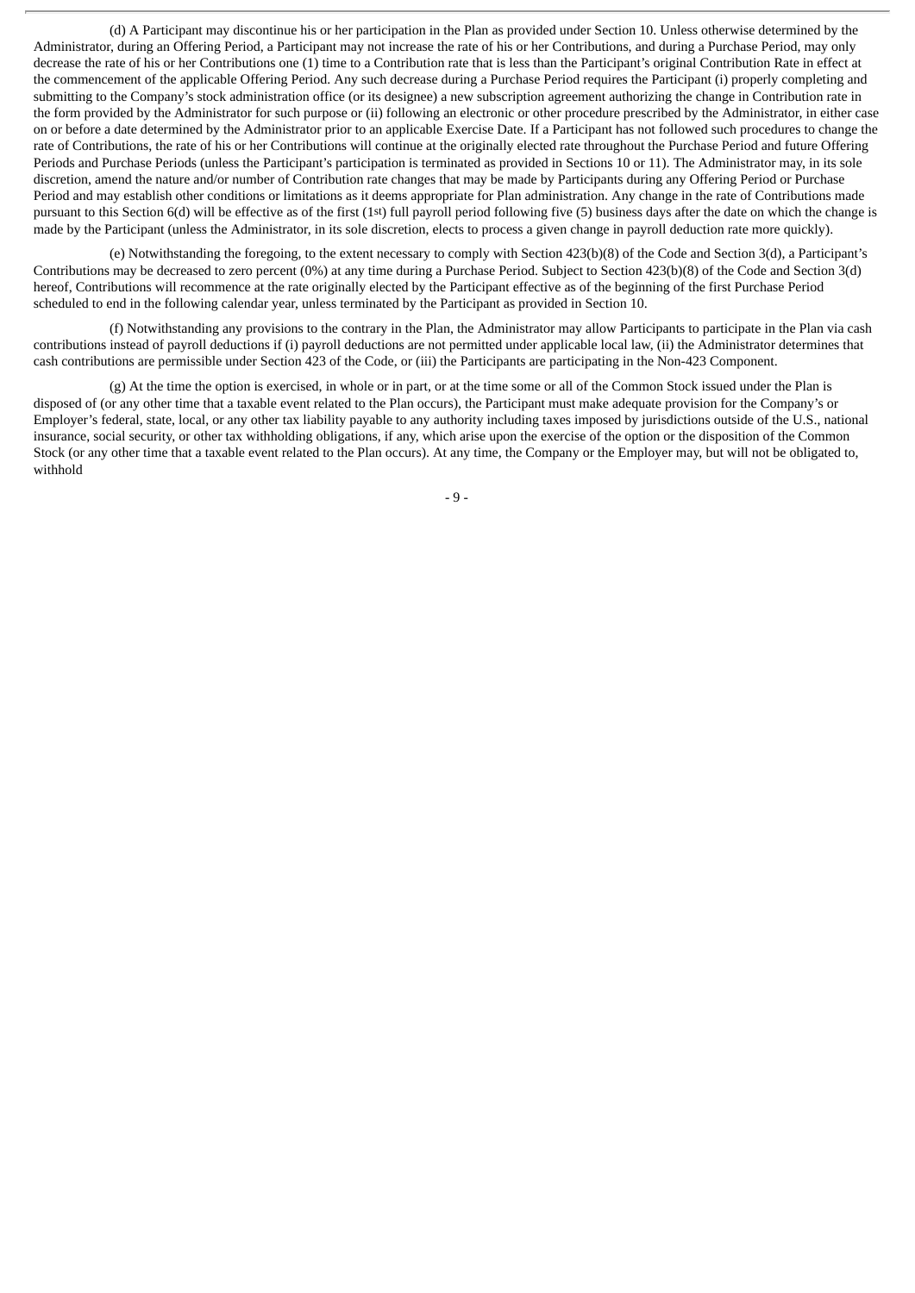(d) A Participant may discontinue his or her participation in the Plan as provided under Section 10. Unless otherwise determined by the Administrator, during an Offering Period, a Participant may not increase the rate of his or her Contributions, and during a Purchase Period, may only decrease the rate of his or her Contributions one (1) time to a Contribution rate that is less than the Participant's original Contribution Rate in effect at the commencement of the applicable Offering Period. Any such decrease during a Purchase Period requires the Participant (i) properly completing and submitting to the Company's stock administration office (or its designee) a new subscription agreement authorizing the change in Contribution rate in the form provided by the Administrator for such purpose or (ii) following an electronic or other procedure prescribed by the Administrator, in either case on or before a date determined by the Administrator prior to an applicable Exercise Date. If a Participant has not followed such procedures to change the rate of Contributions, the rate of his or her Contributions will continue at the originally elected rate throughout the Purchase Period and future Offering Periods and Purchase Periods (unless the Participant's participation is terminated as provided in Sections 10 or 11). The Administrator may, in its sole discretion, amend the nature and/or number of Contribution rate changes that may be made by Participants during any Offering Period or Purchase Period and may establish other conditions or limitations as it deems appropriate for Plan administration. Any change in the rate of Contributions made pursuant to this Section 6(d) will be effective as of the first (1st) full payroll period following five (5) business days after the date on which the change is made by the Participant (unless the Administrator, in its sole discretion, elects to process a given change in payroll deduction rate more quickly).

(e) Notwithstanding the foregoing, to the extent necessary to comply with Section 423(b)(8) of the Code and Section 3(d), a Participant's Contributions may be decreased to zero percent (0%) at any time during a Purchase Period. Subject to Section 423(b)(8) of the Code and Section 3(d) hereof, Contributions will recommence at the rate originally elected by the Participant effective as of the beginning of the first Purchase Period scheduled to end in the following calendar year, unless terminated by the Participant as provided in Section 10.

(f) Notwithstanding any provisions to the contrary in the Plan, the Administrator may allow Participants to participate in the Plan via cash contributions instead of payroll deductions if (i) payroll deductions are not permitted under applicable local law, (ii) the Administrator determines that cash contributions are permissible under Section 423 of the Code, or (iii) the Participants are participating in the Non-423 Component.

(g) At the time the option is exercised, in whole or in part, or at the time some or all of the Common Stock issued under the Plan is disposed of (or any other time that a taxable event related to the Plan occurs), the Participant must make adequate provision for the Company's or Employer's federal, state, local, or any other tax liability payable to any authority including taxes imposed by jurisdictions outside of the U.S., national insurance, social security, or other tax withholding obligations, if any, which arise upon the exercise of the option or the disposition of the Common Stock (or any other time that a taxable event related to the Plan occurs). At any time, the Company or the Employer may, but will not be obligated to, withhold

- 9 -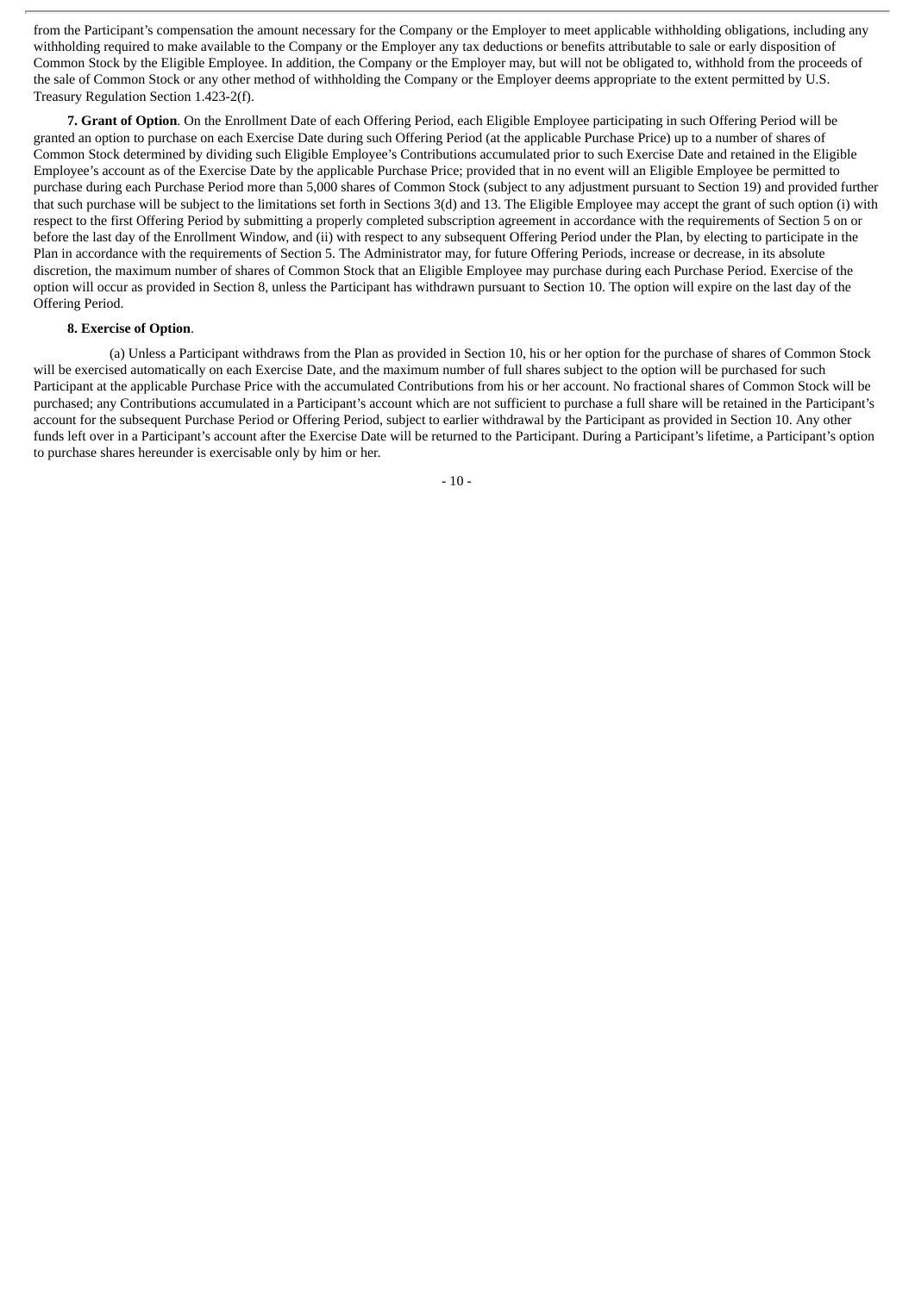from the Participant's compensation the amount necessary for the Company or the Employer to meet applicable withholding obligations, including any withholding required to make available to the Company or the Employer any tax deductions or benefits attributable to sale or early disposition of Common Stock by the Eligible Employee. In addition, the Company or the Employer may, but will not be obligated to, withhold from the proceeds of the sale of Common Stock or any other method of withholding the Company or the Employer deems appropriate to the extent permitted by U.S. Treasury Regulation Section 1.423-2(f).

**7. Grant of Option**. On the Enrollment Date of each Offering Period, each Eligible Employee participating in such Offering Period will be granted an option to purchase on each Exercise Date during such Offering Period (at the applicable Purchase Price) up to a number of shares of Common Stock determined by dividing such Eligible Employee's Contributions accumulated prior to such Exercise Date and retained in the Eligible Employee's account as of the Exercise Date by the applicable Purchase Price; provided that in no event will an Eligible Employee be permitted to purchase during each Purchase Period more than 5,000 shares of Common Stock (subject to any adjustment pursuant to Section 19) and provided further that such purchase will be subject to the limitations set forth in Sections 3(d) and 13. The Eligible Employee may accept the grant of such option (i) with respect to the first Offering Period by submitting a properly completed subscription agreement in accordance with the requirements of Section 5 on or before the last day of the Enrollment Window, and (ii) with respect to any subsequent Offering Period under the Plan, by electing to participate in the Plan in accordance with the requirements of Section 5. The Administrator may, for future Offering Periods, increase or decrease, in its absolute discretion, the maximum number of shares of Common Stock that an Eligible Employee may purchase during each Purchase Period. Exercise of the option will occur as provided in Section 8, unless the Participant has withdrawn pursuant to Section 10. The option will expire on the last day of the Offering Period.

#### **8. Exercise of Option**.

(a) Unless a Participant withdraws from the Plan as provided in Section 10, his or her option for the purchase of shares of Common Stock will be exercised automatically on each Exercise Date, and the maximum number of full shares subject to the option will be purchased for such Participant at the applicable Purchase Price with the accumulated Contributions from his or her account. No fractional shares of Common Stock will be purchased; any Contributions accumulated in a Participant's account which are not sufficient to purchase a full share will be retained in the Participant's account for the subsequent Purchase Period or Offering Period, subject to earlier withdrawal by the Participant as provided in Section 10. Any other funds left over in a Participant's account after the Exercise Date will be returned to the Participant. During a Participant's lifetime, a Participant's option to purchase shares hereunder is exercisable only by him or her.

- 10 -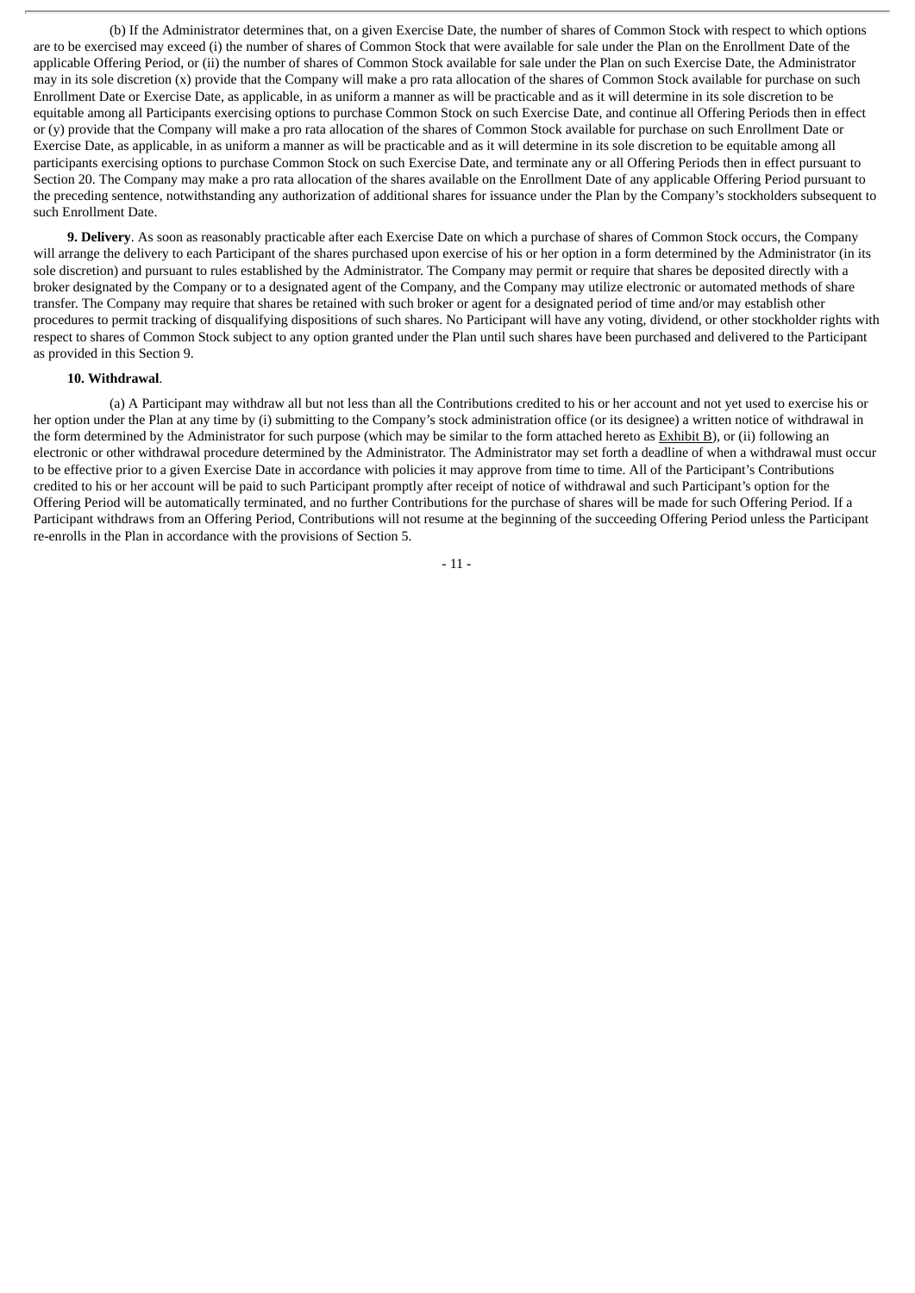(b) If the Administrator determines that, on a given Exercise Date, the number of shares of Common Stock with respect to which options are to be exercised may exceed (i) the number of shares of Common Stock that were available for sale under the Plan on the Enrollment Date of the applicable Offering Period, or (ii) the number of shares of Common Stock available for sale under the Plan on such Exercise Date, the Administrator may in its sole discretion (x) provide that the Company will make a pro rata allocation of the shares of Common Stock available for purchase on such Enrollment Date or Exercise Date, as applicable, in as uniform a manner as will be practicable and as it will determine in its sole discretion to be equitable among all Participants exercising options to purchase Common Stock on such Exercise Date, and continue all Offering Periods then in effect or (y) provide that the Company will make a pro rata allocation of the shares of Common Stock available for purchase on such Enrollment Date or Exercise Date, as applicable, in as uniform a manner as will be practicable and as it will determine in its sole discretion to be equitable among all participants exercising options to purchase Common Stock on such Exercise Date, and terminate any or all Offering Periods then in effect pursuant to Section 20. The Company may make a pro rata allocation of the shares available on the Enrollment Date of any applicable Offering Period pursuant to the preceding sentence, notwithstanding any authorization of additional shares for issuance under the Plan by the Company's stockholders subsequent to such Enrollment Date.

**9. Delivery**. As soon as reasonably practicable after each Exercise Date on which a purchase of shares of Common Stock occurs, the Company will arrange the delivery to each Participant of the shares purchased upon exercise of his or her option in a form determined by the Administrator (in its sole discretion) and pursuant to rules established by the Administrator. The Company may permit or require that shares be deposited directly with a broker designated by the Company or to a designated agent of the Company, and the Company may utilize electronic or automated methods of share transfer. The Company may require that shares be retained with such broker or agent for a designated period of time and/or may establish other procedures to permit tracking of disqualifying dispositions of such shares. No Participant will have any voting, dividend, or other stockholder rights with respect to shares of Common Stock subject to any option granted under the Plan until such shares have been purchased and delivered to the Participant as provided in this Section 9.

#### **10. Withdrawal**.

(a) A Participant may withdraw all but not less than all the Contributions credited to his or her account and not yet used to exercise his or her option under the Plan at any time by (i) submitting to the Company's stock administration office (or its designee) a written notice of withdrawal in the form determined by the Administrator for such purpose (which may be similar to the form attached hereto as Exhibit B), or (ii) following an electronic or other withdrawal procedure determined by the Administrator. The Administrator may set forth a deadline of when a withdrawal must occur to be effective prior to a given Exercise Date in accordance with policies it may approve from time to time. All of the Participant's Contributions credited to his or her account will be paid to such Participant promptly after receipt of notice of withdrawal and such Participant's option for the Offering Period will be automatically terminated, and no further Contributions for the purchase of shares will be made for such Offering Period. If a Participant withdraws from an Offering Period, Contributions will not resume at the beginning of the succeeding Offering Period unless the Participant re-enrolls in the Plan in accordance with the provisions of Section 5.

- 11 -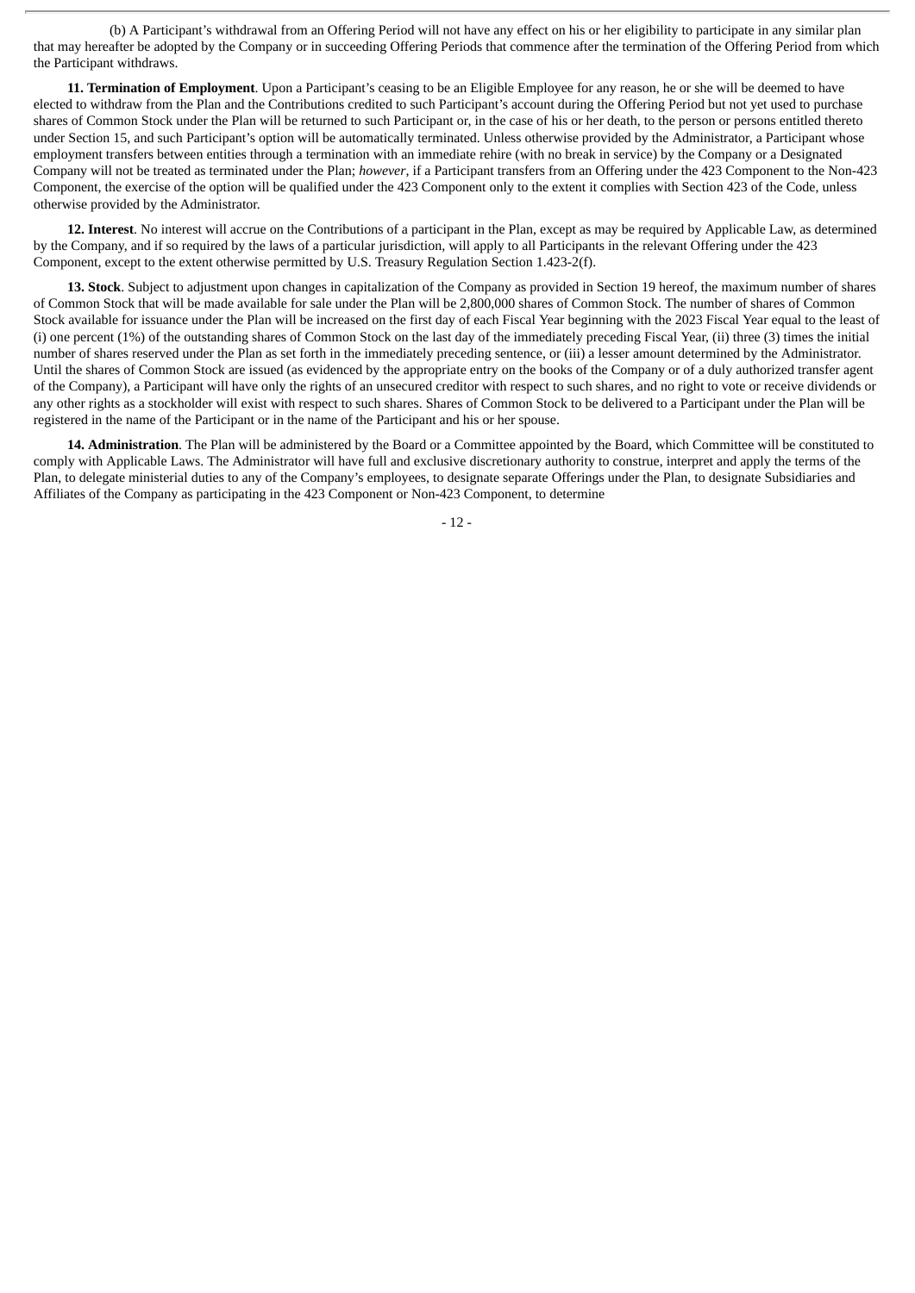(b) A Participant's withdrawal from an Offering Period will not have any effect on his or her eligibility to participate in any similar plan that may hereafter be adopted by the Company or in succeeding Offering Periods that commence after the termination of the Offering Period from which the Participant withdraws.

**11. Termination of Employment**. Upon a Participant's ceasing to be an Eligible Employee for any reason, he or she will be deemed to have elected to withdraw from the Plan and the Contributions credited to such Participant's account during the Offering Period but not yet used to purchase shares of Common Stock under the Plan will be returned to such Participant or, in the case of his or her death, to the person or persons entitled thereto under Section 15, and such Participant's option will be automatically terminated. Unless otherwise provided by the Administrator, a Participant whose employment transfers between entities through a termination with an immediate rehire (with no break in service) by the Company or a Designated Company will not be treated as terminated under the Plan; *however*, if a Participant transfers from an Offering under the 423 Component to the Non-423 Component, the exercise of the option will be qualified under the 423 Component only to the extent it complies with Section 423 of the Code, unless otherwise provided by the Administrator.

**12. Interest**. No interest will accrue on the Contributions of a participant in the Plan, except as may be required by Applicable Law, as determined by the Company, and if so required by the laws of a particular jurisdiction, will apply to all Participants in the relevant Offering under the 423 Component, except to the extent otherwise permitted by U.S. Treasury Regulation Section 1.423-2(f).

**13. Stock**. Subject to adjustment upon changes in capitalization of the Company as provided in Section 19 hereof, the maximum number of shares of Common Stock that will be made available for sale under the Plan will be 2,800,000 shares of Common Stock. The number of shares of Common Stock available for issuance under the Plan will be increased on the first day of each Fiscal Year beginning with the 2023 Fiscal Year equal to the least of (i) one percent (1%) of the outstanding shares of Common Stock on the last day of the immediately preceding Fiscal Year, (ii) three (3) times the initial number of shares reserved under the Plan as set forth in the immediately preceding sentence, or (iii) a lesser amount determined by the Administrator. Until the shares of Common Stock are issued (as evidenced by the appropriate entry on the books of the Company or of a duly authorized transfer agent of the Company), a Participant will have only the rights of an unsecured creditor with respect to such shares, and no right to vote or receive dividends or any other rights as a stockholder will exist with respect to such shares. Shares of Common Stock to be delivered to a Participant under the Plan will be registered in the name of the Participant or in the name of the Participant and his or her spouse.

**14. Administration**. The Plan will be administered by the Board or a Committee appointed by the Board, which Committee will be constituted to comply with Applicable Laws. The Administrator will have full and exclusive discretionary authority to construe, interpret and apply the terms of the Plan, to delegate ministerial duties to any of the Company's employees, to designate separate Offerings under the Plan, to designate Subsidiaries and Affiliates of the Company as participating in the 423 Component or Non-423 Component, to determine

- 12 -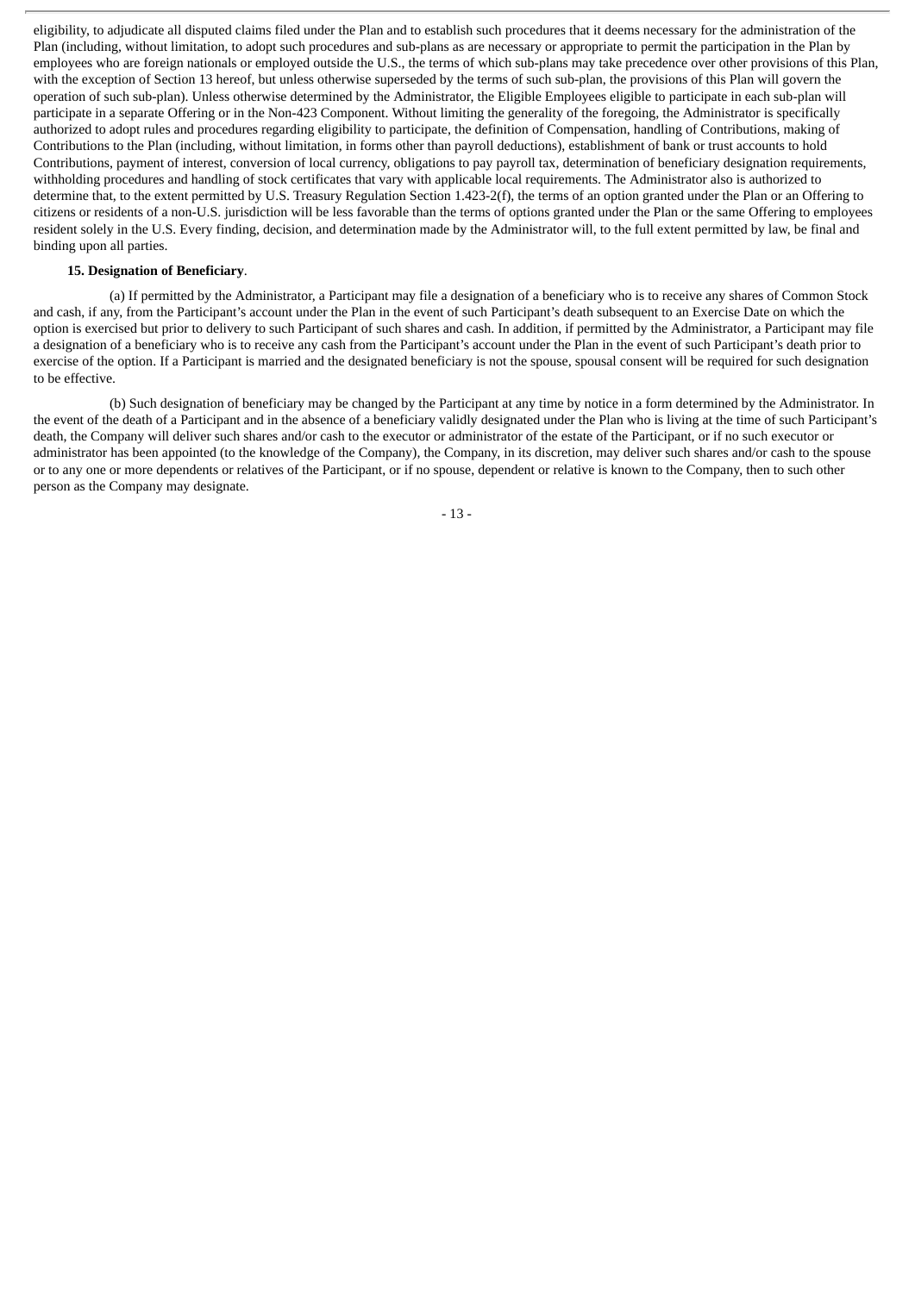eligibility, to adjudicate all disputed claims filed under the Plan and to establish such procedures that it deems necessary for the administration of the Plan (including, without limitation, to adopt such procedures and sub-plans as are necessary or appropriate to permit the participation in the Plan by employees who are foreign nationals or employed outside the U.S., the terms of which sub-plans may take precedence over other provisions of this Plan, with the exception of Section 13 hereof, but unless otherwise superseded by the terms of such sub-plan, the provisions of this Plan will govern the operation of such sub-plan). Unless otherwise determined by the Administrator, the Eligible Employees eligible to participate in each sub-plan will participate in a separate Offering or in the Non-423 Component. Without limiting the generality of the foregoing, the Administrator is specifically authorized to adopt rules and procedures regarding eligibility to participate, the definition of Compensation, handling of Contributions, making of Contributions to the Plan (including, without limitation, in forms other than payroll deductions), establishment of bank or trust accounts to hold Contributions, payment of interest, conversion of local currency, obligations to pay payroll tax, determination of beneficiary designation requirements, withholding procedures and handling of stock certificates that vary with applicable local requirements. The Administrator also is authorized to determine that, to the extent permitted by U.S. Treasury Regulation Section 1.423-2(f), the terms of an option granted under the Plan or an Offering to citizens or residents of a non-U.S. jurisdiction will be less favorable than the terms of options granted under the Plan or the same Offering to employees resident solely in the U.S. Every finding, decision, and determination made by the Administrator will, to the full extent permitted by law, be final and binding upon all parties.

#### **15. Designation of Beneficiary**.

(a) If permitted by the Administrator, a Participant may file a designation of a beneficiary who is to receive any shares of Common Stock and cash, if any, from the Participant's account under the Plan in the event of such Participant's death subsequent to an Exercise Date on which the option is exercised but prior to delivery to such Participant of such shares and cash. In addition, if permitted by the Administrator, a Participant may file a designation of a beneficiary who is to receive any cash from the Participant's account under the Plan in the event of such Participant's death prior to exercise of the option. If a Participant is married and the designated beneficiary is not the spouse, spousal consent will be required for such designation to be effective.

(b) Such designation of beneficiary may be changed by the Participant at any time by notice in a form determined by the Administrator. In the event of the death of a Participant and in the absence of a beneficiary validly designated under the Plan who is living at the time of such Participant's death, the Company will deliver such shares and/or cash to the executor or administrator of the estate of the Participant, or if no such executor or administrator has been appointed (to the knowledge of the Company), the Company, in its discretion, may deliver such shares and/or cash to the spouse or to any one or more dependents or relatives of the Participant, or if no spouse, dependent or relative is known to the Company, then to such other person as the Company may designate.

- 13 -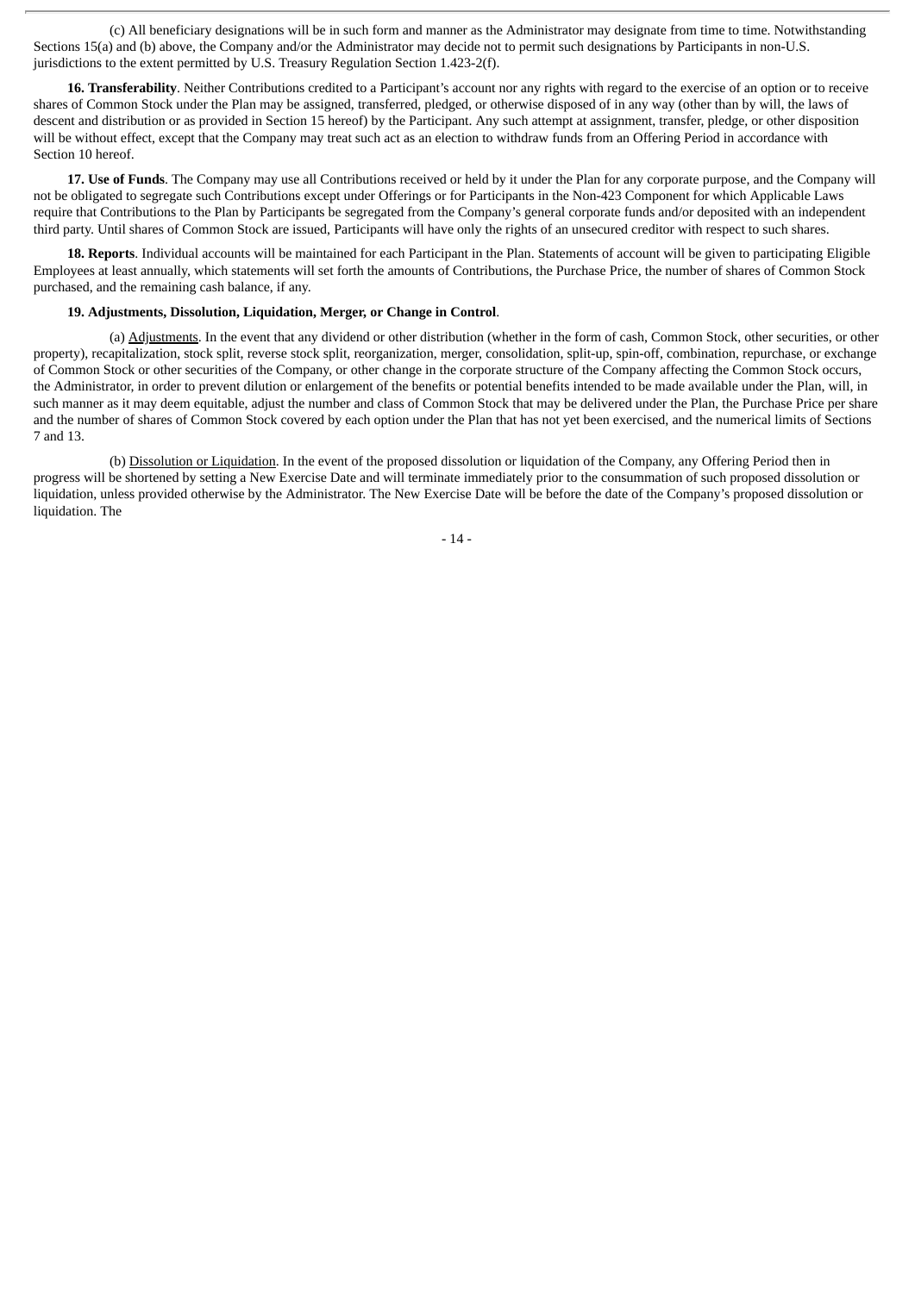(c) All beneficiary designations will be in such form and manner as the Administrator may designate from time to time. Notwithstanding Sections 15(a) and (b) above, the Company and/or the Administrator may decide not to permit such designations by Participants in non-U.S. jurisdictions to the extent permitted by U.S. Treasury Regulation Section 1.423-2(f).

**16. Transferability**. Neither Contributions credited to a Participant's account nor any rights with regard to the exercise of an option or to receive shares of Common Stock under the Plan may be assigned, transferred, pledged, or otherwise disposed of in any way (other than by will, the laws of descent and distribution or as provided in Section 15 hereof) by the Participant. Any such attempt at assignment, transfer, pledge, or other disposition will be without effect, except that the Company may treat such act as an election to withdraw funds from an Offering Period in accordance with Section 10 hereof.

**17. Use of Funds**. The Company may use all Contributions received or held by it under the Plan for any corporate purpose, and the Company will not be obligated to segregate such Contributions except under Offerings or for Participants in the Non-423 Component for which Applicable Laws require that Contributions to the Plan by Participants be segregated from the Company's general corporate funds and/or deposited with an independent third party. Until shares of Common Stock are issued, Participants will have only the rights of an unsecured creditor with respect to such shares.

**18. Reports**. Individual accounts will be maintained for each Participant in the Plan. Statements of account will be given to participating Eligible Employees at least annually, which statements will set forth the amounts of Contributions, the Purchase Price, the number of shares of Common Stock purchased, and the remaining cash balance, if any.

#### **19. Adjustments, Dissolution, Liquidation, Merger, or Change in Control**.

(a) Adjustments. In the event that any dividend or other distribution (whether in the form of cash, Common Stock, other securities, or other property), recapitalization, stock split, reverse stock split, reorganization, merger, consolidation, split-up, spin-off, combination, repurchase, or exchange of Common Stock or other securities of the Company, or other change in the corporate structure of the Company affecting the Common Stock occurs, the Administrator, in order to prevent dilution or enlargement of the benefits or potential benefits intended to be made available under the Plan, will, in such manner as it may deem equitable, adjust the number and class of Common Stock that may be delivered under the Plan, the Purchase Price per share and the number of shares of Common Stock covered by each option under the Plan that has not yet been exercised, and the numerical limits of Sections 7 and 13.

(b) Dissolution or Liquidation. In the event of the proposed dissolution or liquidation of the Company, any Offering Period then in progress will be shortened by setting a New Exercise Date and will terminate immediately prior to the consummation of such proposed dissolution or liquidation, unless provided otherwise by the Administrator. The New Exercise Date will be before the date of the Company's proposed dissolution or liquidation. The

- 14 -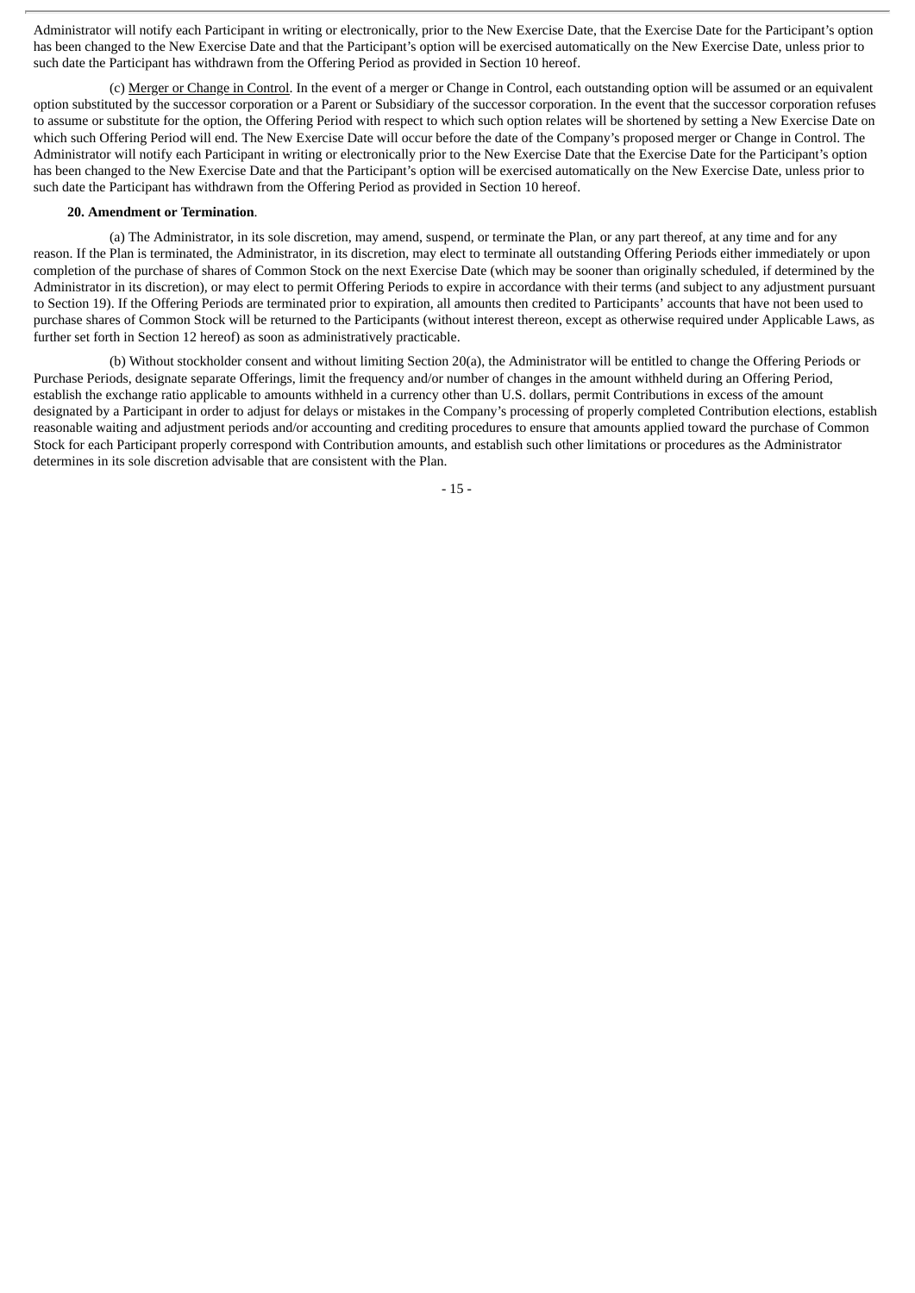Administrator will notify each Participant in writing or electronically, prior to the New Exercise Date, that the Exercise Date for the Participant's option has been changed to the New Exercise Date and that the Participant's option will be exercised automatically on the New Exercise Date, unless prior to such date the Participant has withdrawn from the Offering Period as provided in Section 10 hereof.

(c) Merger or Change in Control. In the event of a merger or Change in Control, each outstanding option will be assumed or an equivalent option substituted by the successor corporation or a Parent or Subsidiary of the successor corporation. In the event that the successor corporation refuses to assume or substitute for the option, the Offering Period with respect to which such option relates will be shortened by setting a New Exercise Date on which such Offering Period will end. The New Exercise Date will occur before the date of the Company's proposed merger or Change in Control. The Administrator will notify each Participant in writing or electronically prior to the New Exercise Date that the Exercise Date for the Participant's option has been changed to the New Exercise Date and that the Participant's option will be exercised automatically on the New Exercise Date, unless prior to such date the Participant has withdrawn from the Offering Period as provided in Section 10 hereof.

#### **20. Amendment or Termination**.

(a) The Administrator, in its sole discretion, may amend, suspend, or terminate the Plan, or any part thereof, at any time and for any reason. If the Plan is terminated, the Administrator, in its discretion, may elect to terminate all outstanding Offering Periods either immediately or upon completion of the purchase of shares of Common Stock on the next Exercise Date (which may be sooner than originally scheduled, if determined by the Administrator in its discretion), or may elect to permit Offering Periods to expire in accordance with their terms (and subject to any adjustment pursuant to Section 19). If the Offering Periods are terminated prior to expiration, all amounts then credited to Participants' accounts that have not been used to purchase shares of Common Stock will be returned to the Participants (without interest thereon, except as otherwise required under Applicable Laws, as further set forth in Section 12 hereof) as soon as administratively practicable.

(b) Without stockholder consent and without limiting Section 20(a), the Administrator will be entitled to change the Offering Periods or Purchase Periods, designate separate Offerings, limit the frequency and/or number of changes in the amount withheld during an Offering Period, establish the exchange ratio applicable to amounts withheld in a currency other than U.S. dollars, permit Contributions in excess of the amount designated by a Participant in order to adjust for delays or mistakes in the Company's processing of properly completed Contribution elections, establish reasonable waiting and adjustment periods and/or accounting and crediting procedures to ensure that amounts applied toward the purchase of Common Stock for each Participant properly correspond with Contribution amounts, and establish such other limitations or procedures as the Administrator determines in its sole discretion advisable that are consistent with the Plan.

- 15 -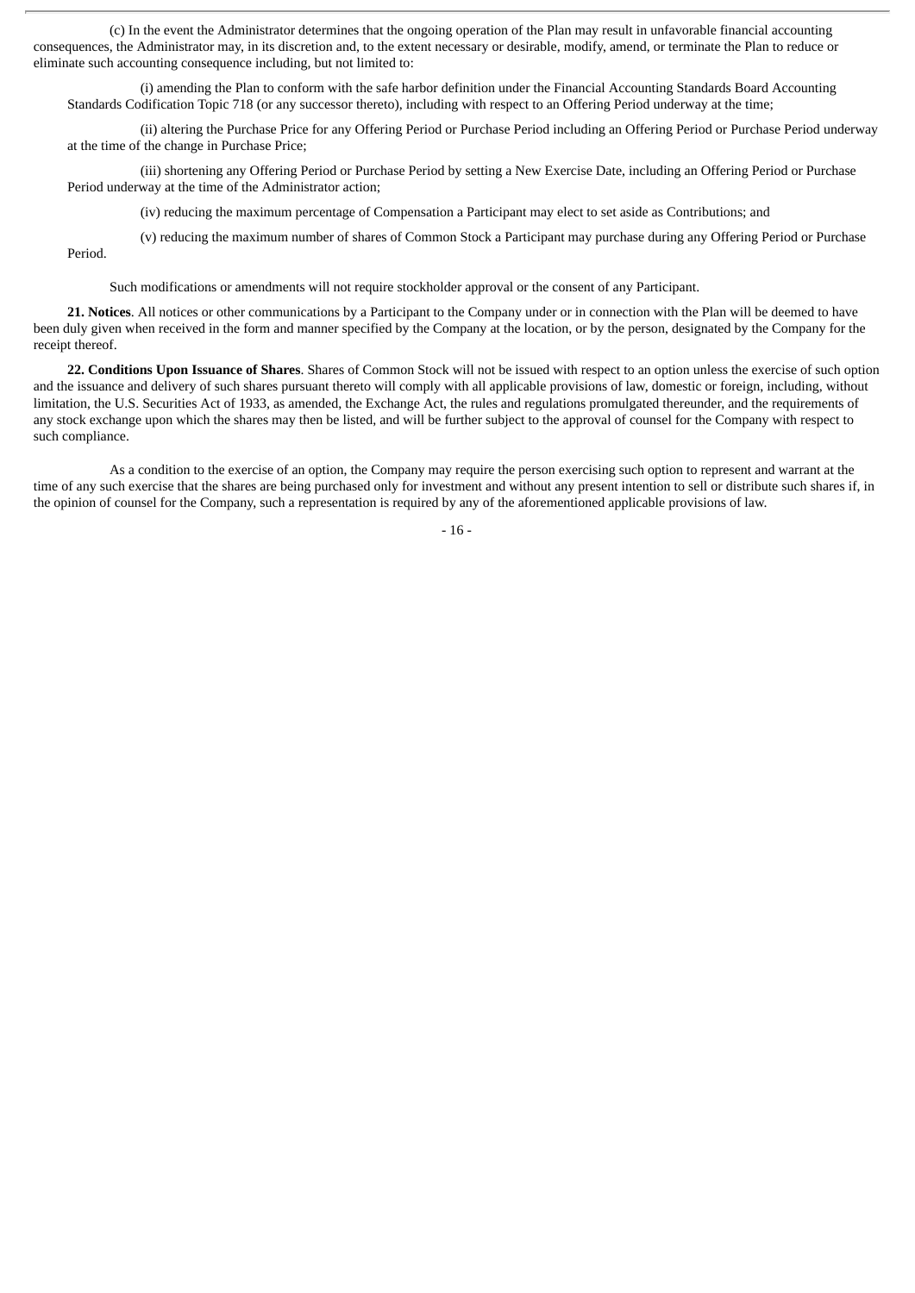(c) In the event the Administrator determines that the ongoing operation of the Plan may result in unfavorable financial accounting consequences, the Administrator may, in its discretion and, to the extent necessary or desirable, modify, amend, or terminate the Plan to reduce or eliminate such accounting consequence including, but not limited to:

(i) amending the Plan to conform with the safe harbor definition under the Financial Accounting Standards Board Accounting Standards Codification Topic 718 (or any successor thereto), including with respect to an Offering Period underway at the time;

(ii) altering the Purchase Price for any Offering Period or Purchase Period including an Offering Period or Purchase Period underway at the time of the change in Purchase Price;

(iii) shortening any Offering Period or Purchase Period by setting a New Exercise Date, including an Offering Period or Purchase Period underway at the time of the Administrator action;

(iv) reducing the maximum percentage of Compensation a Participant may elect to set aside as Contributions; and

(v) reducing the maximum number of shares of Common Stock a Participant may purchase during any Offering Period or Purchase Period.

Such modifications or amendments will not require stockholder approval or the consent of any Participant.

**21. Notices**. All notices or other communications by a Participant to the Company under or in connection with the Plan will be deemed to have been duly given when received in the form and manner specified by the Company at the location, or by the person, designated by the Company for the receipt thereof.

**22. Conditions Upon Issuance of Shares**. Shares of Common Stock will not be issued with respect to an option unless the exercise of such option and the issuance and delivery of such shares pursuant thereto will comply with all applicable provisions of law, domestic or foreign, including, without limitation, the U.S. Securities Act of 1933, as amended, the Exchange Act, the rules and regulations promulgated thereunder, and the requirements of any stock exchange upon which the shares may then be listed, and will be further subject to the approval of counsel for the Company with respect to such compliance.

As a condition to the exercise of an option, the Company may require the person exercising such option to represent and warrant at the time of any such exercise that the shares are being purchased only for investment and without any present intention to sell or distribute such shares if, in the opinion of counsel for the Company, such a representation is required by any of the aforementioned applicable provisions of law.

- 16 -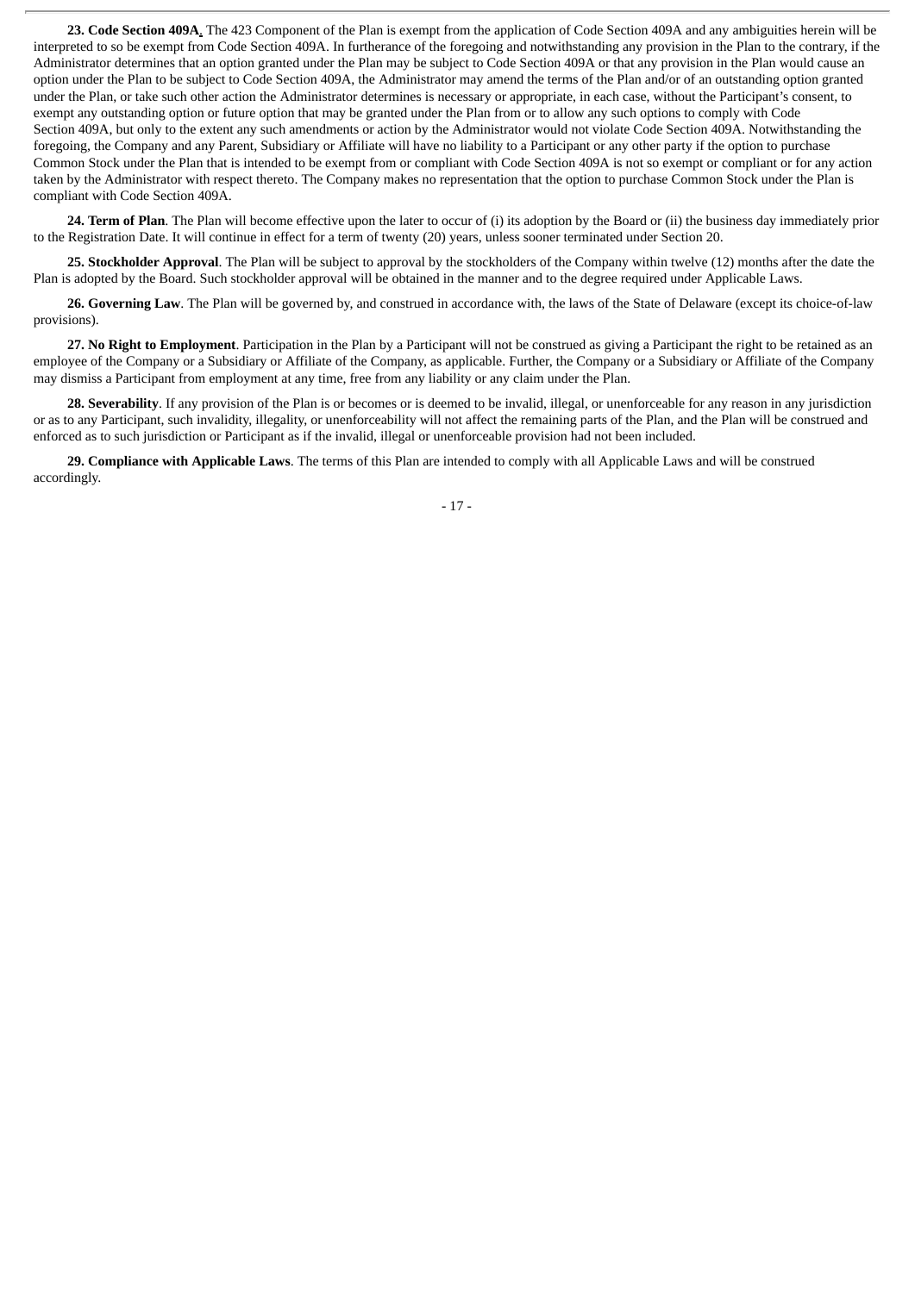**23. Code Section 409A**. The 423 Component of the Plan is exempt from the application of Code Section 409A and any ambiguities herein will be interpreted to so be exempt from Code Section 409A. In furtherance of the foregoing and notwithstanding any provision in the Plan to the contrary, if the Administrator determines that an option granted under the Plan may be subject to Code Section 409A or that any provision in the Plan would cause an option under the Plan to be subject to Code Section 409A, the Administrator may amend the terms of the Plan and/or of an outstanding option granted under the Plan, or take such other action the Administrator determines is necessary or appropriate, in each case, without the Participant's consent, to exempt any outstanding option or future option that may be granted under the Plan from or to allow any such options to comply with Code Section 409A, but only to the extent any such amendments or action by the Administrator would not violate Code Section 409A. Notwithstanding the foregoing, the Company and any Parent, Subsidiary or Affiliate will have no liability to a Participant or any other party if the option to purchase Common Stock under the Plan that is intended to be exempt from or compliant with Code Section 409A is not so exempt or compliant or for any action taken by the Administrator with respect thereto. The Company makes no representation that the option to purchase Common Stock under the Plan is compliant with Code Section 409A.

**24. Term of Plan**. The Plan will become effective upon the later to occur of (i) its adoption by the Board or (ii) the business day immediately prior to the Registration Date. It will continue in effect for a term of twenty (20) years, unless sooner terminated under Section 20.

**25. Stockholder Approval**. The Plan will be subject to approval by the stockholders of the Company within twelve (12) months after the date the Plan is adopted by the Board. Such stockholder approval will be obtained in the manner and to the degree required under Applicable Laws.

**26. Governing Law**. The Plan will be governed by, and construed in accordance with, the laws of the State of Delaware (except its choice-of-law provisions).

**27. No Right to Employment**. Participation in the Plan by a Participant will not be construed as giving a Participant the right to be retained as an employee of the Company or a Subsidiary or Affiliate of the Company, as applicable. Further, the Company or a Subsidiary or Affiliate of the Company may dismiss a Participant from employment at any time, free from any liability or any claim under the Plan.

**28. Severability**. If any provision of the Plan is or becomes or is deemed to be invalid, illegal, or unenforceable for any reason in any jurisdiction or as to any Participant, such invalidity, illegality, or unenforceability will not affect the remaining parts of the Plan, and the Plan will be construed and enforced as to such jurisdiction or Participant as if the invalid, illegal or unenforceable provision had not been included.

**29. Compliance with Applicable Laws**. The terms of this Plan are intended to comply with all Applicable Laws and will be construed accordingly.

- 17 -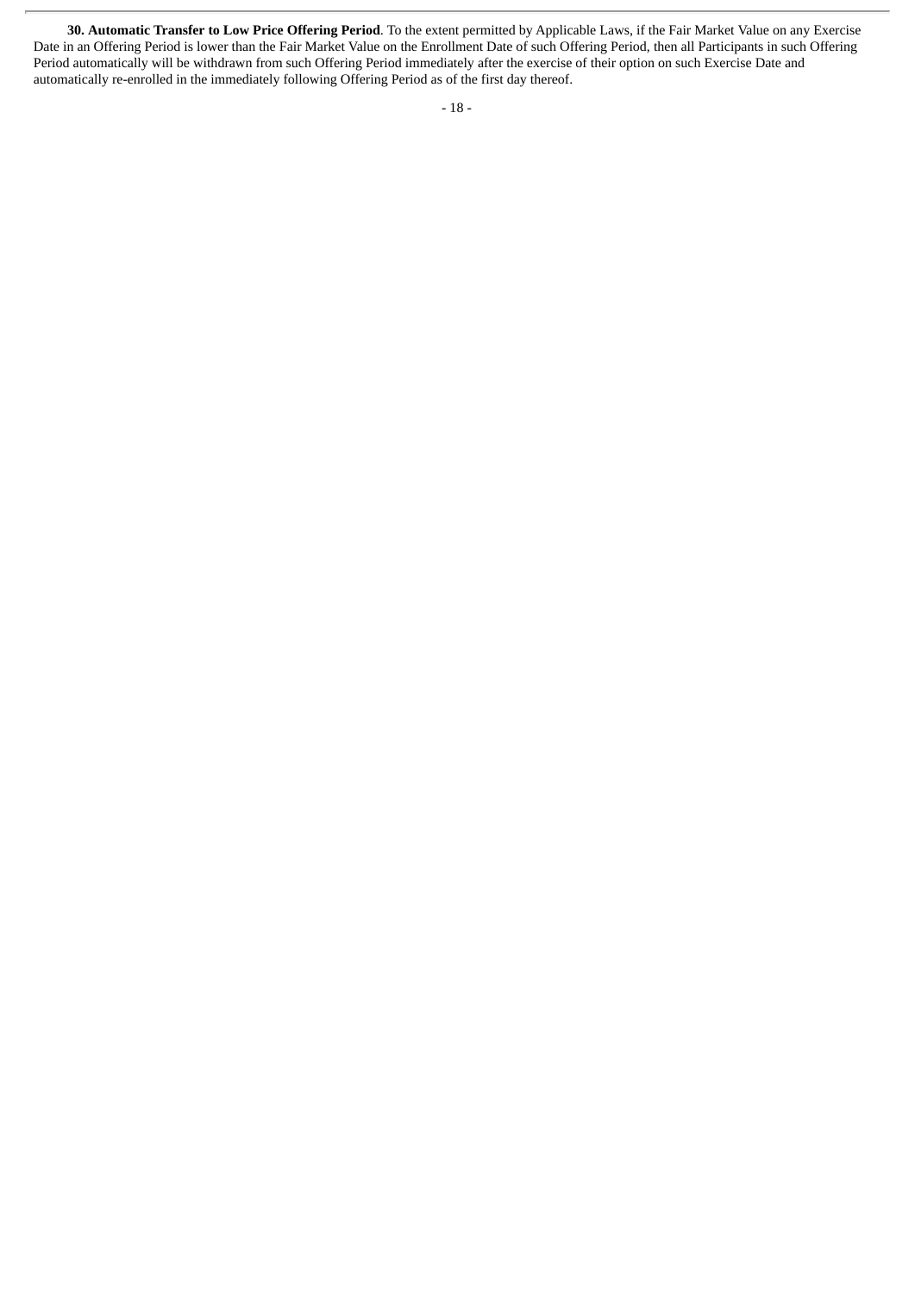**30. Automatic Transfer to Low Price Offering Period**. To the extent permitted by Applicable Laws, if the Fair Market Value on any Exercise Date in an Offering Period is lower than the Fair Market Value on the Enrollment Date of such Offering Period, then all Participants in such Offering Period automatically will be withdrawn from such Offering Period immediately after the exercise of their option on such Exercise Date and automatically re-enrolled in the immediately following Offering Period as of the first day thereof.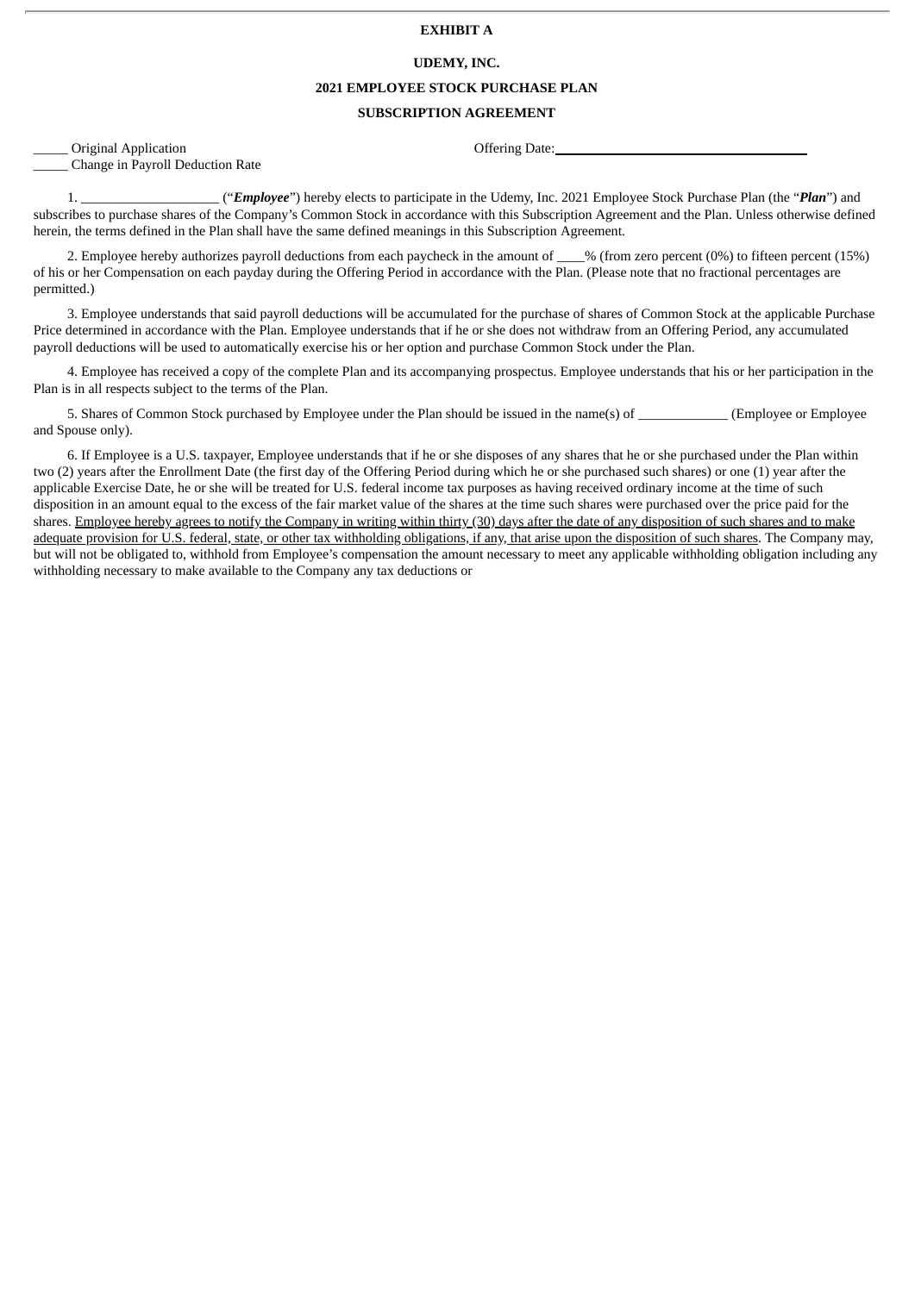#### **EXHIBIT A**

#### **UDEMY, INC.**

#### **2021 EMPLOYEE STOCK PURCHASE PLAN**

#### **SUBSCRIPTION AGREEMENT**

\_\_\_\_\_ Original Application Offering Date: \_\_\_\_\_ Change in Payroll Deduction Rate

1. \_\_\_\_\_\_\_\_\_\_\_\_\_\_\_\_\_\_\_\_ ("*Employee*") hereby elects to participate in the Udemy, Inc. 2021 Employee Stock Purchase Plan (the "*Plan*") and subscribes to purchase shares of the Company's Common Stock in accordance with this Subscription Agreement and the Plan. Unless otherwise defined herein, the terms defined in the Plan shall have the same defined meanings in this Subscription Agreement.

2. Employee hereby authorizes payroll deductions from each paycheck in the amount of  $\frac{1}{2}$ % (from zero percent (0%) to fifteen percent (15%) of his or her Compensation on each payday during the Offering Period in accordance with the Plan. (Please note that no fractional percentages are permitted.)

3. Employee understands that said payroll deductions will be accumulated for the purchase of shares of Common Stock at the applicable Purchase Price determined in accordance with the Plan. Employee understands that if he or she does not withdraw from an Offering Period, any accumulated payroll deductions will be used to automatically exercise his or her option and purchase Common Stock under the Plan.

4. Employee has received a copy of the complete Plan and its accompanying prospectus. Employee understands that his or her participation in the Plan is in all respects subject to the terms of the Plan.

5. Shares of Common Stock purchased by Employee under the Plan should be issued in the name(s) of  $(Emploveer Emploveer)$ and Spouse only).

6. If Employee is a U.S. taxpayer, Employee understands that if he or she disposes of any shares that he or she purchased under the Plan within two (2) years after the Enrollment Date (the first day of the Offering Period during which he or she purchased such shares) or one (1) year after the applicable Exercise Date, he or she will be treated for U.S. federal income tax purposes as having received ordinary income at the time of such disposition in an amount equal to the excess of the fair market value of the shares at the time such shares were purchased over the price paid for the shares. Employee hereby agrees to notify the Company in writing within thirty (30) days after the date of any disposition of such shares and to make adequate provision for U.S. federal, state, or other tax withholding obligations, if any, that arise upon the disposition of such shares. The Company may, but will not be obligated to, withhold from Employee's compensation the amount necessary to meet any applicable withholding obligation including any withholding necessary to make available to the Company any tax deductions or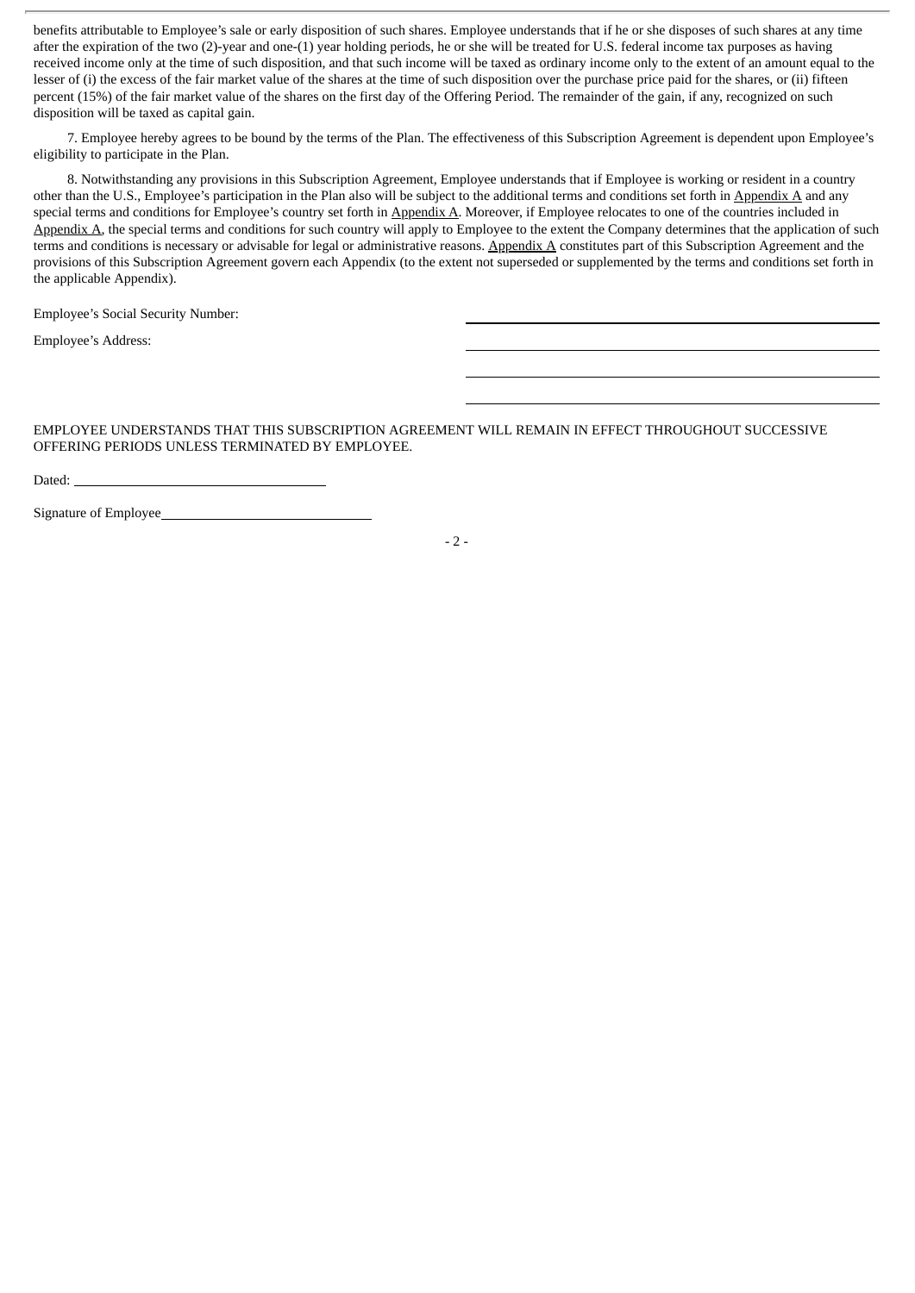benefits attributable to Employee's sale or early disposition of such shares. Employee understands that if he or she disposes of such shares at any time after the expiration of the two (2)-year and one-(1) year holding periods, he or she will be treated for U.S. federal income tax purposes as having received income only at the time of such disposition, and that such income will be taxed as ordinary income only to the extent of an amount equal to the lesser of (i) the excess of the fair market value of the shares at the time of such disposition over the purchase price paid for the shares, or (ii) fifteen percent (15%) of the fair market value of the shares on the first day of the Offering Period. The remainder of the gain, if any, recognized on such disposition will be taxed as capital gain.

7. Employee hereby agrees to be bound by the terms of the Plan. The effectiveness of this Subscription Agreement is dependent upon Employee's eligibility to participate in the Plan.

8. Notwithstanding any provisions in this Subscription Agreement, Employee understands that if Employee is working or resident in a country other than the U.S., Employee's participation in the Plan also will be subject to the additional terms and conditions set forth in Appendix A and any special terms and conditions for Employee's country set forth in Appendix A. Moreover, if Employee relocates to one of the countries included in Appendix A, the special terms and conditions for such country will apply to Employee to the extent the Company determines that the application of such terms and conditions is necessary or advisable for legal or administrative reasons. Appendix A constitutes part of this Subscription Agreement and the provisions of this Subscription Agreement govern each Appendix (to the extent not superseded or supplemented by the terms and conditions set forth in the applicable Appendix).

Employee's Social Security Number:

Employee's Address:

EMPLOYEE UNDERSTANDS THAT THIS SUBSCRIPTION AGREEMENT WILL REMAIN IN EFFECT THROUGHOUT SUCCESSIVE OFFERING PERIODS UNLESS TERMINATED BY EMPLOYEE.

| ۰, |  |
|----|--|

Signature of Employee

 $-2-$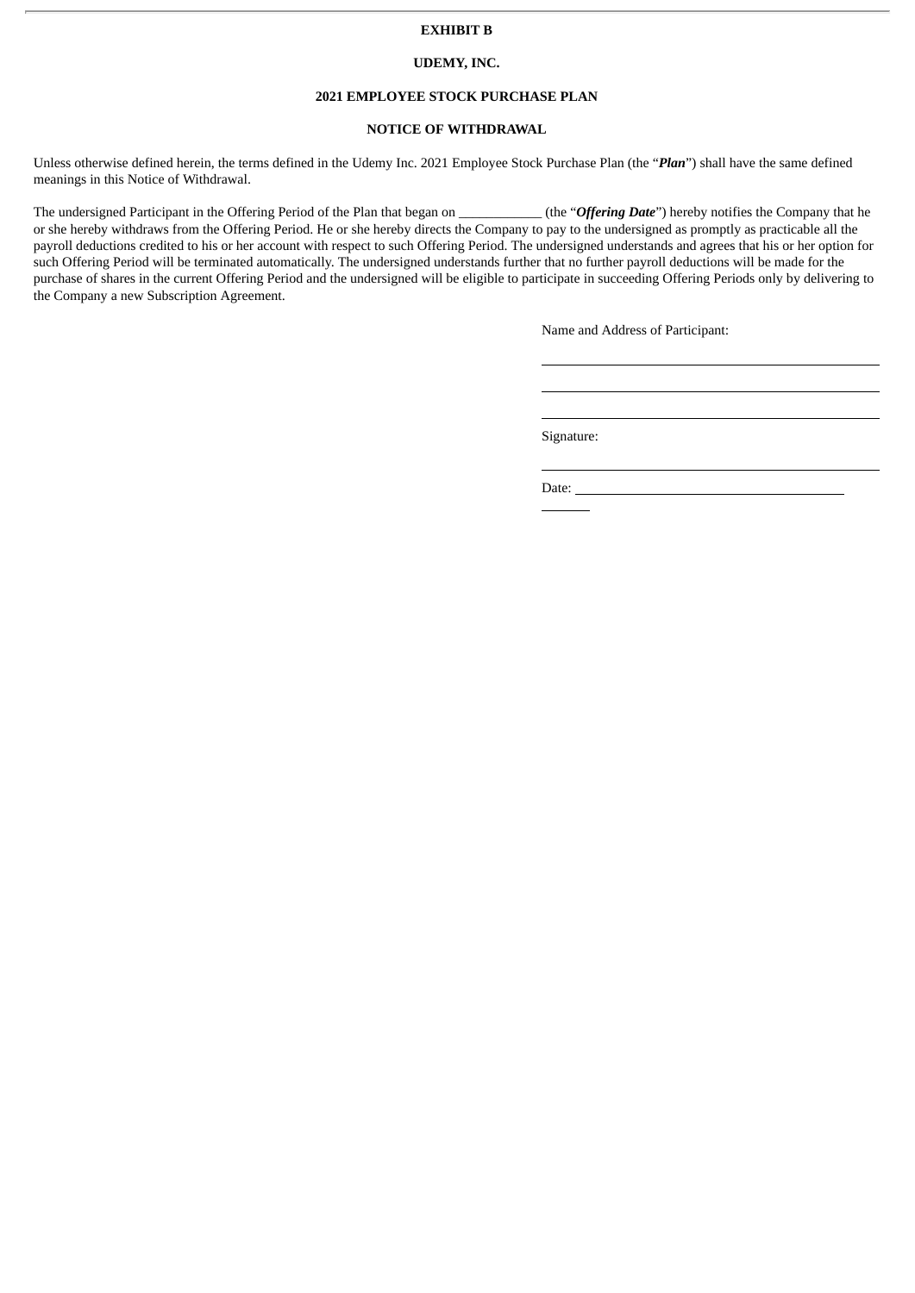#### **EXHIBIT B**

#### **UDEMY, INC.**

#### **2021 EMPLOYEE STOCK PURCHASE PLAN**

#### **NOTICE OF WITHDRAWAL**

Unless otherwise defined herein, the terms defined in the Udemy Inc. 2021 Employee Stock Purchase Plan (the "*Plan*") shall have the same defined meanings in this Notice of Withdrawal.

The undersigned Participant in the Offering Period of the Plan that began on \_\_\_\_\_\_\_\_\_\_\_\_ (the "*Offering Date*") hereby notifies the Company that he or she hereby withdraws from the Offering Period. He or she hereby directs the Company to pay to the undersigned as promptly as practicable all the payroll deductions credited to his or her account with respect to such Offering Period. The undersigned understands and agrees that his or her option for such Offering Period will be terminated automatically. The undersigned understands further that no further payroll deductions will be made for the purchase of shares in the current Offering Period and the undersigned will be eligible to participate in succeeding Offering Periods only by delivering to the Company a new Subscription Agreement.

Name and Address of Participant:

Signature:

Date: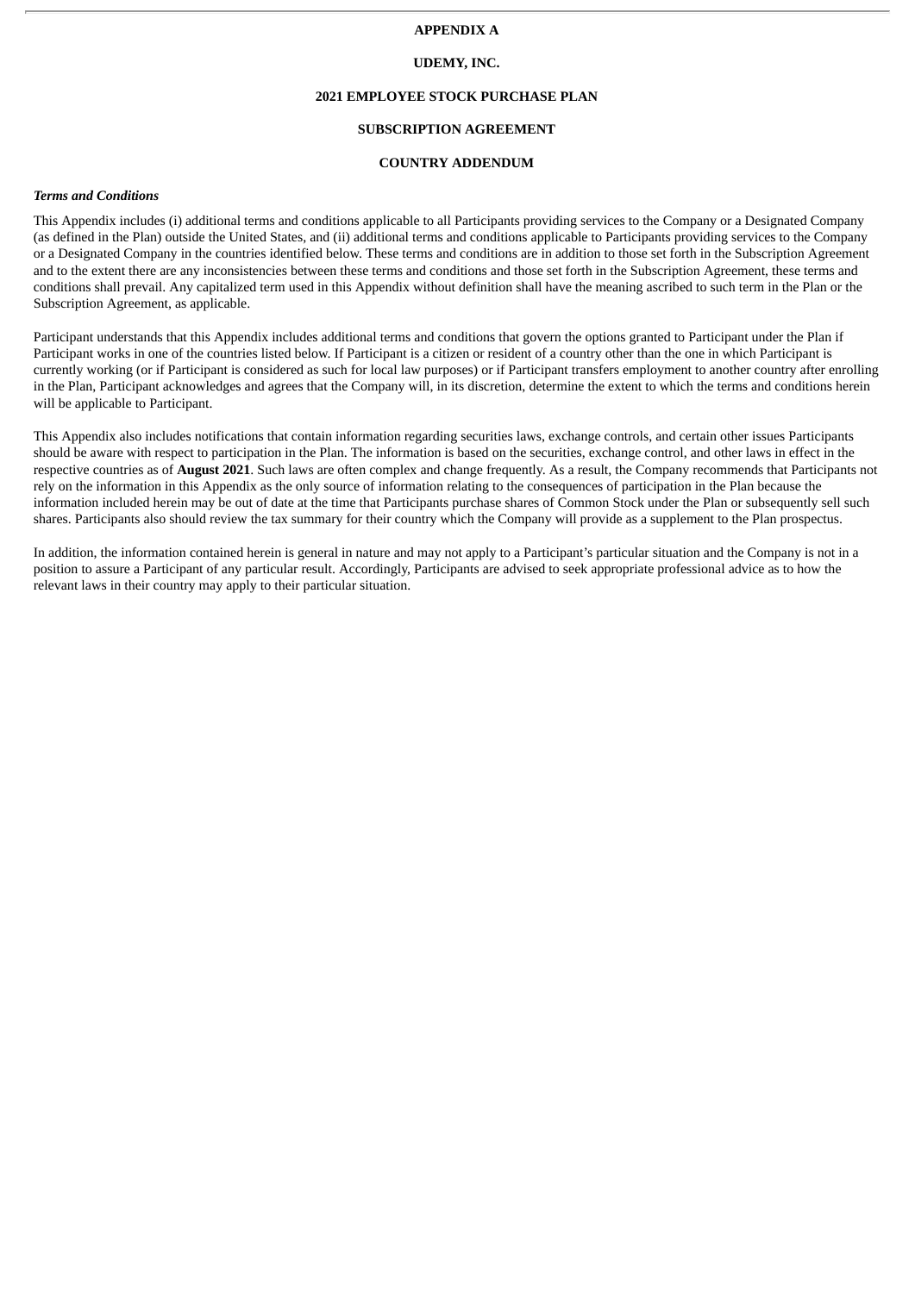#### **APPENDIX A**

#### **UDEMY, INC.**

#### **2021 EMPLOYEE STOCK PURCHASE PLAN**

#### **SUBSCRIPTION AGREEMENT**

#### **COUNTRY ADDENDUM**

#### *Terms and Conditions*

This Appendix includes (i) additional terms and conditions applicable to all Participants providing services to the Company or a Designated Company (as defined in the Plan) outside the United States, and (ii) additional terms and conditions applicable to Participants providing services to the Company or a Designated Company in the countries identified below. These terms and conditions are in addition to those set forth in the Subscription Agreement and to the extent there are any inconsistencies between these terms and conditions and those set forth in the Subscription Agreement, these terms and conditions shall prevail. Any capitalized term used in this Appendix without definition shall have the meaning ascribed to such term in the Plan or the Subscription Agreement, as applicable.

Participant understands that this Appendix includes additional terms and conditions that govern the options granted to Participant under the Plan if Participant works in one of the countries listed below. If Participant is a citizen or resident of a country other than the one in which Participant is currently working (or if Participant is considered as such for local law purposes) or if Participant transfers employment to another country after enrolling in the Plan, Participant acknowledges and agrees that the Company will, in its discretion, determine the extent to which the terms and conditions herein will be applicable to Participant.

This Appendix also includes notifications that contain information regarding securities laws, exchange controls, and certain other issues Participants should be aware with respect to participation in the Plan. The information is based on the securities, exchange control, and other laws in effect in the respective countries as of **August 2021**. Such laws are often complex and change frequently. As a result, the Company recommends that Participants not rely on the information in this Appendix as the only source of information relating to the consequences of participation in the Plan because the information included herein may be out of date at the time that Participants purchase shares of Common Stock under the Plan or subsequently sell such shares. Participants also should review the tax summary for their country which the Company will provide as a supplement to the Plan prospectus.

In addition, the information contained herein is general in nature and may not apply to a Participant's particular situation and the Company is not in a position to assure a Participant of any particular result. Accordingly, Participants are advised to seek appropriate professional advice as to how the relevant laws in their country may apply to their particular situation.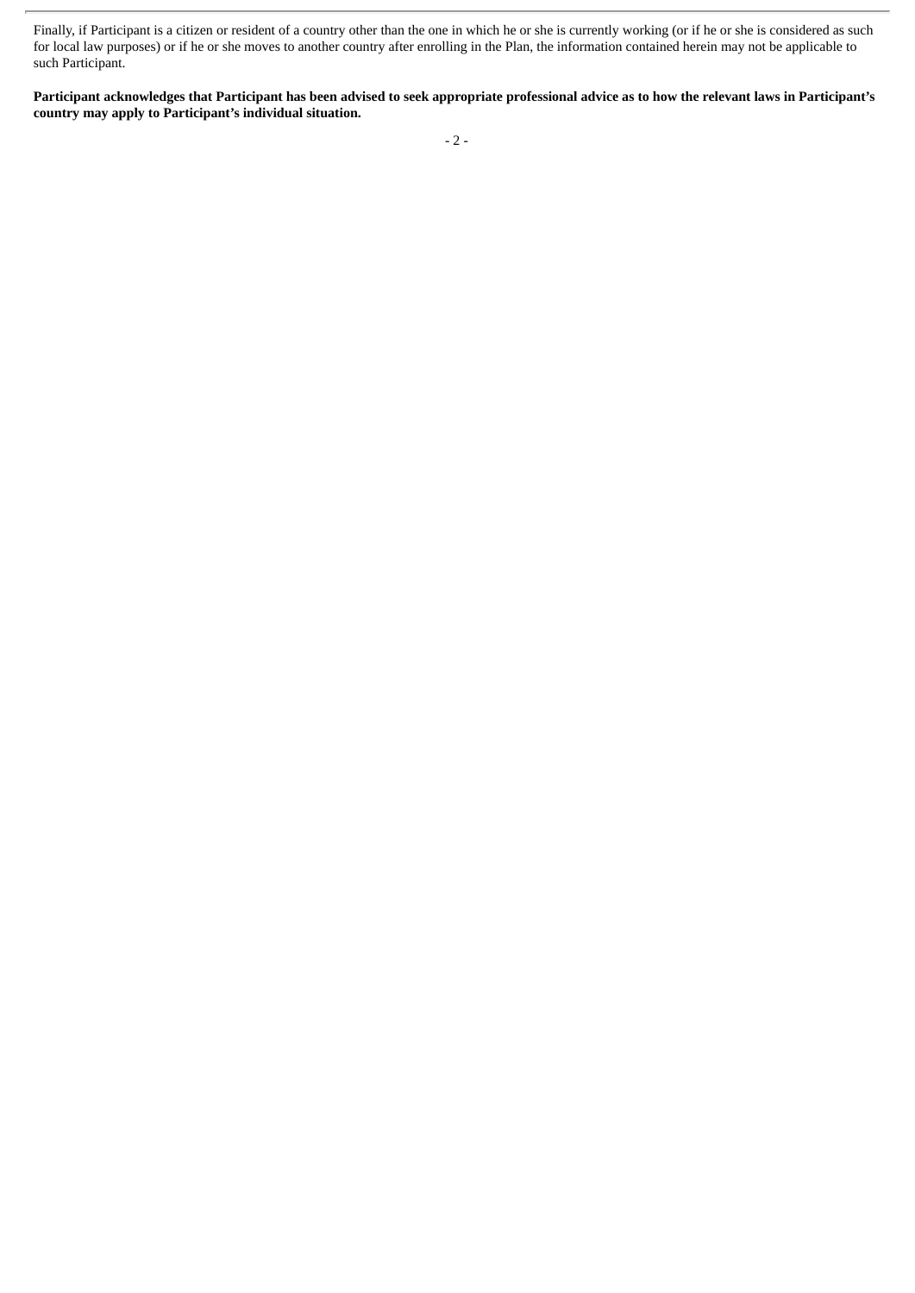Finally, if Participant is a citizen or resident of a country other than the one in which he or she is currently working (or if he or she is considered as such for local law purposes) or if he or she moves to another country after enrolling in the Plan, the information contained herein may not be applicable to such Participant.

Participant acknowledges that Participant has been advised to seek appropriate professional advice as to how the relevant laws in Participant's **country may apply to Participant's individual situation.**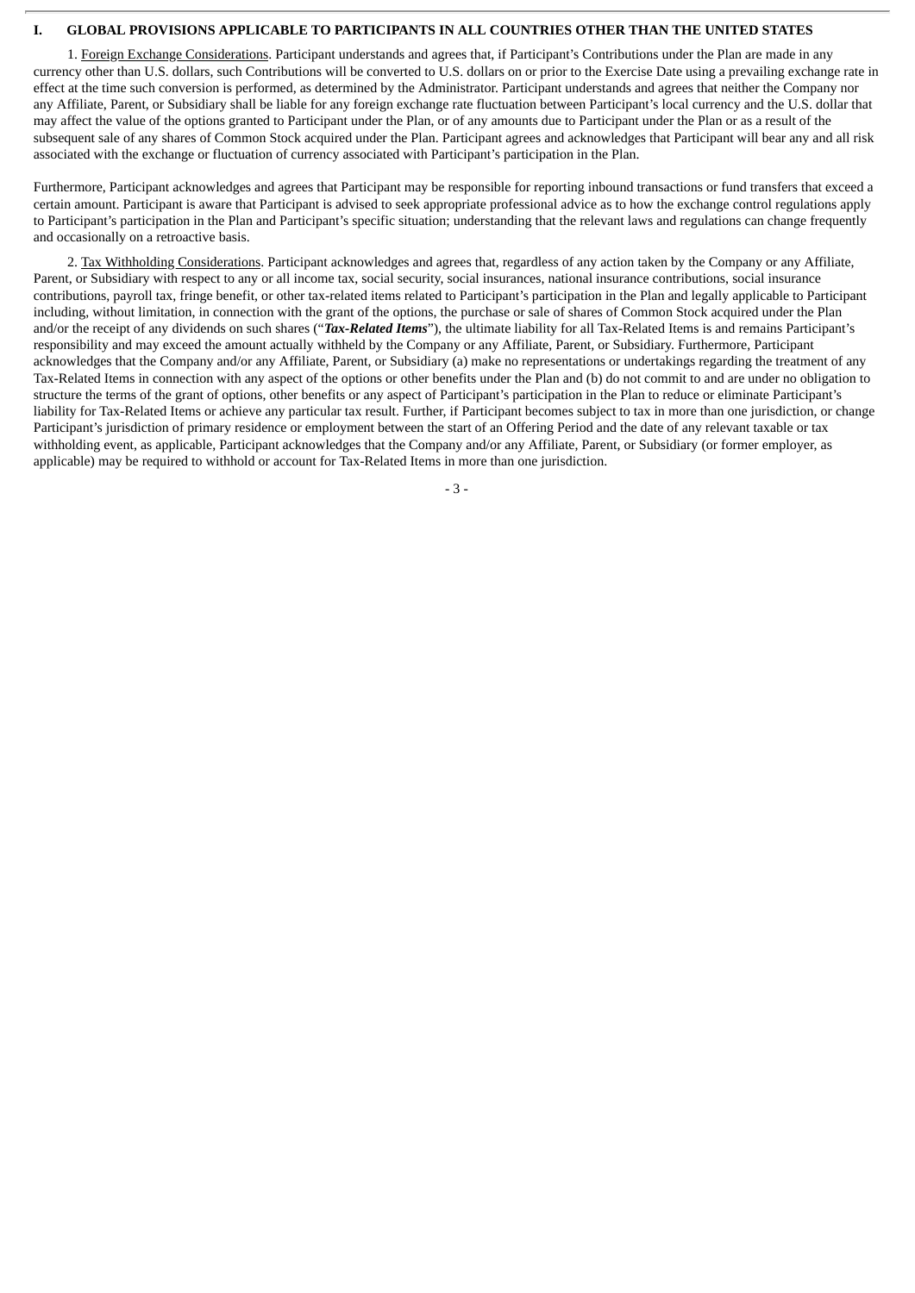#### **I. GLOBAL PROVISIONS APPLICABLE TO PARTICIPANTS IN ALL COUNTRIES OTHER THAN THE UNITED STATES**

1. Foreign Exchange Considerations. Participant understands and agrees that, if Participant's Contributions under the Plan are made in any currency other than U.S. dollars, such Contributions will be converted to U.S. dollars on or prior to the Exercise Date using a prevailing exchange rate in effect at the time such conversion is performed, as determined by the Administrator. Participant understands and agrees that neither the Company nor any Affiliate, Parent, or Subsidiary shall be liable for any foreign exchange rate fluctuation between Participant's local currency and the U.S. dollar that may affect the value of the options granted to Participant under the Plan, or of any amounts due to Participant under the Plan or as a result of the subsequent sale of any shares of Common Stock acquired under the Plan. Participant agrees and acknowledges that Participant will bear any and all risk associated with the exchange or fluctuation of currency associated with Participant's participation in the Plan.

Furthermore, Participant acknowledges and agrees that Participant may be responsible for reporting inbound transactions or fund transfers that exceed a certain amount. Participant is aware that Participant is advised to seek appropriate professional advice as to how the exchange control regulations apply to Participant's participation in the Plan and Participant's specific situation; understanding that the relevant laws and regulations can change frequently and occasionally on a retroactive basis.

2. Tax Withholding Considerations. Participant acknowledges and agrees that, regardless of any action taken by the Company or any Affiliate, Parent, or Subsidiary with respect to any or all income tax, social security, social insurances, national insurance contributions, social insurance contributions, payroll tax, fringe benefit, or other tax-related items related to Participant's participation in the Plan and legally applicable to Participant including, without limitation, in connection with the grant of the options, the purchase or sale of shares of Common Stock acquired under the Plan and/or the receipt of any dividends on such shares ("*Tax-Related Items*"), the ultimate liability for all Tax-Related Items is and remains Participant's responsibility and may exceed the amount actually withheld by the Company or any Affiliate, Parent, or Subsidiary. Furthermore, Participant acknowledges that the Company and/or any Affiliate, Parent, or Subsidiary (a) make no representations or undertakings regarding the treatment of any Tax-Related Items in connection with any aspect of the options or other benefits under the Plan and (b) do not commit to and are under no obligation to structure the terms of the grant of options, other benefits or any aspect of Participant's participation in the Plan to reduce or eliminate Participant's liability for Tax-Related Items or achieve any particular tax result. Further, if Participant becomes subject to tax in more than one jurisdiction, or change Participant's jurisdiction of primary residence or employment between the start of an Offering Period and the date of any relevant taxable or tax withholding event, as applicable, Participant acknowledges that the Company and/or any Affiliate, Parent, or Subsidiary (or former employer, as applicable) may be required to withhold or account for Tax-Related Items in more than one jurisdiction.

- 3 -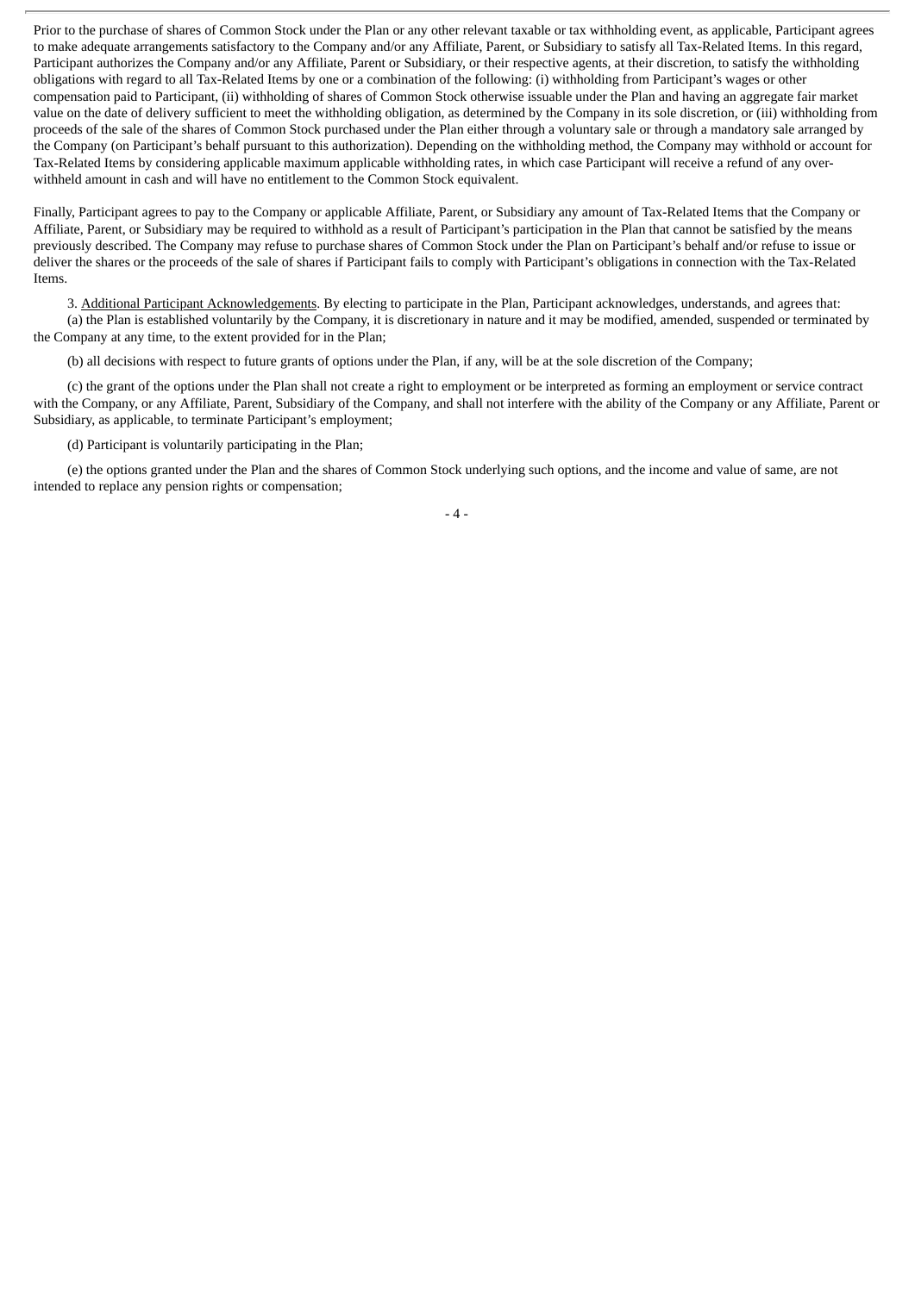Prior to the purchase of shares of Common Stock under the Plan or any other relevant taxable or tax withholding event, as applicable, Participant agrees to make adequate arrangements satisfactory to the Company and/or any Affiliate, Parent, or Subsidiary to satisfy all Tax-Related Items. In this regard, Participant authorizes the Company and/or any Affiliate, Parent or Subsidiary, or their respective agents, at their discretion, to satisfy the withholding obligations with regard to all Tax-Related Items by one or a combination of the following: (i) withholding from Participant's wages or other compensation paid to Participant, (ii) withholding of shares of Common Stock otherwise issuable under the Plan and having an aggregate fair market value on the date of delivery sufficient to meet the withholding obligation, as determined by the Company in its sole discretion, or (iii) withholding from proceeds of the sale of the shares of Common Stock purchased under the Plan either through a voluntary sale or through a mandatory sale arranged by the Company (on Participant's behalf pursuant to this authorization). Depending on the withholding method, the Company may withhold or account for Tax-Related Items by considering applicable maximum applicable withholding rates, in which case Participant will receive a refund of any overwithheld amount in cash and will have no entitlement to the Common Stock equivalent.

Finally, Participant agrees to pay to the Company or applicable Affiliate, Parent, or Subsidiary any amount of Tax-Related Items that the Company or Affiliate, Parent, or Subsidiary may be required to withhold as a result of Participant's participation in the Plan that cannot be satisfied by the means previously described. The Company may refuse to purchase shares of Common Stock under the Plan on Participant's behalf and/or refuse to issue or deliver the shares or the proceeds of the sale of shares if Participant fails to comply with Participant's obligations in connection with the Tax-Related Items.

3. Additional Participant Acknowledgements. By electing to participate in the Plan, Participant acknowledges, understands, and agrees that: (a) the Plan is established voluntarily by the Company, it is discretionary in nature and it may be modified, amended, suspended or terminated by the Company at any time, to the extent provided for in the Plan;

(b) all decisions with respect to future grants of options under the Plan, if any, will be at the sole discretion of the Company;

(c) the grant of the options under the Plan shall not create a right to employment or be interpreted as forming an employment or service contract with the Company, or any Affiliate, Parent, Subsidiary of the Company, and shall not interfere with the ability of the Company or any Affiliate, Parent or Subsidiary, as applicable, to terminate Participant's employment;

(d) Participant is voluntarily participating in the Plan;

(e) the options granted under the Plan and the shares of Common Stock underlying such options, and the income and value of same, are not intended to replace any pension rights or compensation;

 $-4-$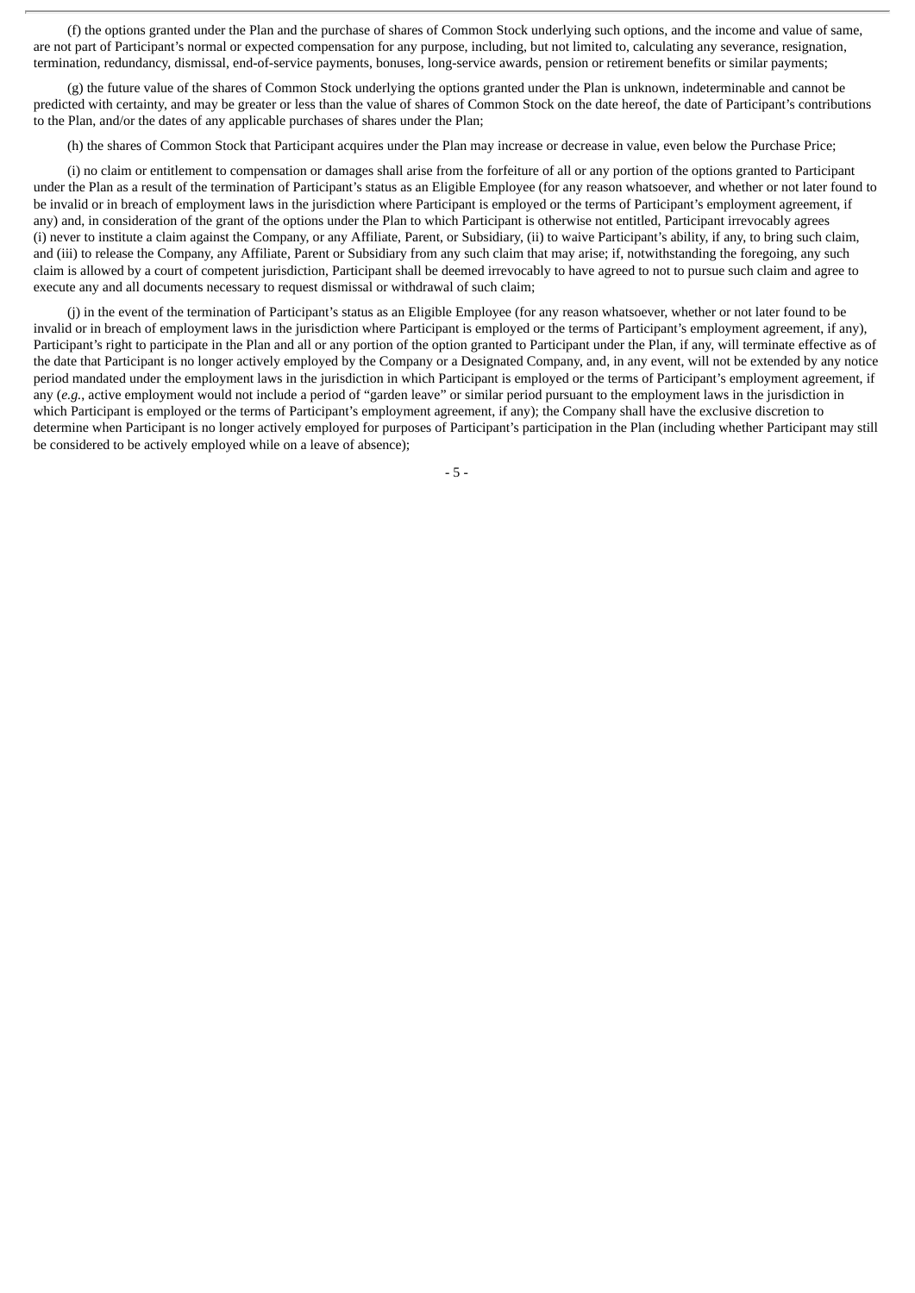(f) the options granted under the Plan and the purchase of shares of Common Stock underlying such options, and the income and value of same, are not part of Participant's normal or expected compensation for any purpose, including, but not limited to, calculating any severance, resignation, termination, redundancy, dismissal, end-of-service payments, bonuses, long-service awards, pension or retirement benefits or similar payments;

(g) the future value of the shares of Common Stock underlying the options granted under the Plan is unknown, indeterminable and cannot be predicted with certainty, and may be greater or less than the value of shares of Common Stock on the date hereof, the date of Participant's contributions to the Plan, and/or the dates of any applicable purchases of shares under the Plan;

(h) the shares of Common Stock that Participant acquires under the Plan may increase or decrease in value, even below the Purchase Price;

(i) no claim or entitlement to compensation or damages shall arise from the forfeiture of all or any portion of the options granted to Participant under the Plan as a result of the termination of Participant's status as an Eligible Employee (for any reason whatsoever, and whether or not later found to be invalid or in breach of employment laws in the jurisdiction where Participant is employed or the terms of Participant's employment agreement, if any) and, in consideration of the grant of the options under the Plan to which Participant is otherwise not entitled, Participant irrevocably agrees (i) never to institute a claim against the Company, or any Affiliate, Parent, or Subsidiary, (ii) to waive Participant's ability, if any, to bring such claim, and (iii) to release the Company, any Affiliate, Parent or Subsidiary from any such claim that may arise; if, notwithstanding the foregoing, any such claim is allowed by a court of competent jurisdiction, Participant shall be deemed irrevocably to have agreed to not to pursue such claim and agree to execute any and all documents necessary to request dismissal or withdrawal of such claim;

(j) in the event of the termination of Participant's status as an Eligible Employee (for any reason whatsoever, whether or not later found to be invalid or in breach of employment laws in the jurisdiction where Participant is employed or the terms of Participant's employment agreement, if any), Participant's right to participate in the Plan and all or any portion of the option granted to Participant under the Plan, if any, will terminate effective as of the date that Participant is no longer actively employed by the Company or a Designated Company, and, in any event, will not be extended by any notice period mandated under the employment laws in the jurisdiction in which Participant is employed or the terms of Participant's employment agreement, if any (*e.g.*, active employment would not include a period of "garden leave" or similar period pursuant to the employment laws in the jurisdiction in which Participant is employed or the terms of Participant's employment agreement, if any); the Company shall have the exclusive discretion to determine when Participant is no longer actively employed for purposes of Participant's participation in the Plan (including whether Participant may still be considered to be actively employed while on a leave of absence);

- 5 -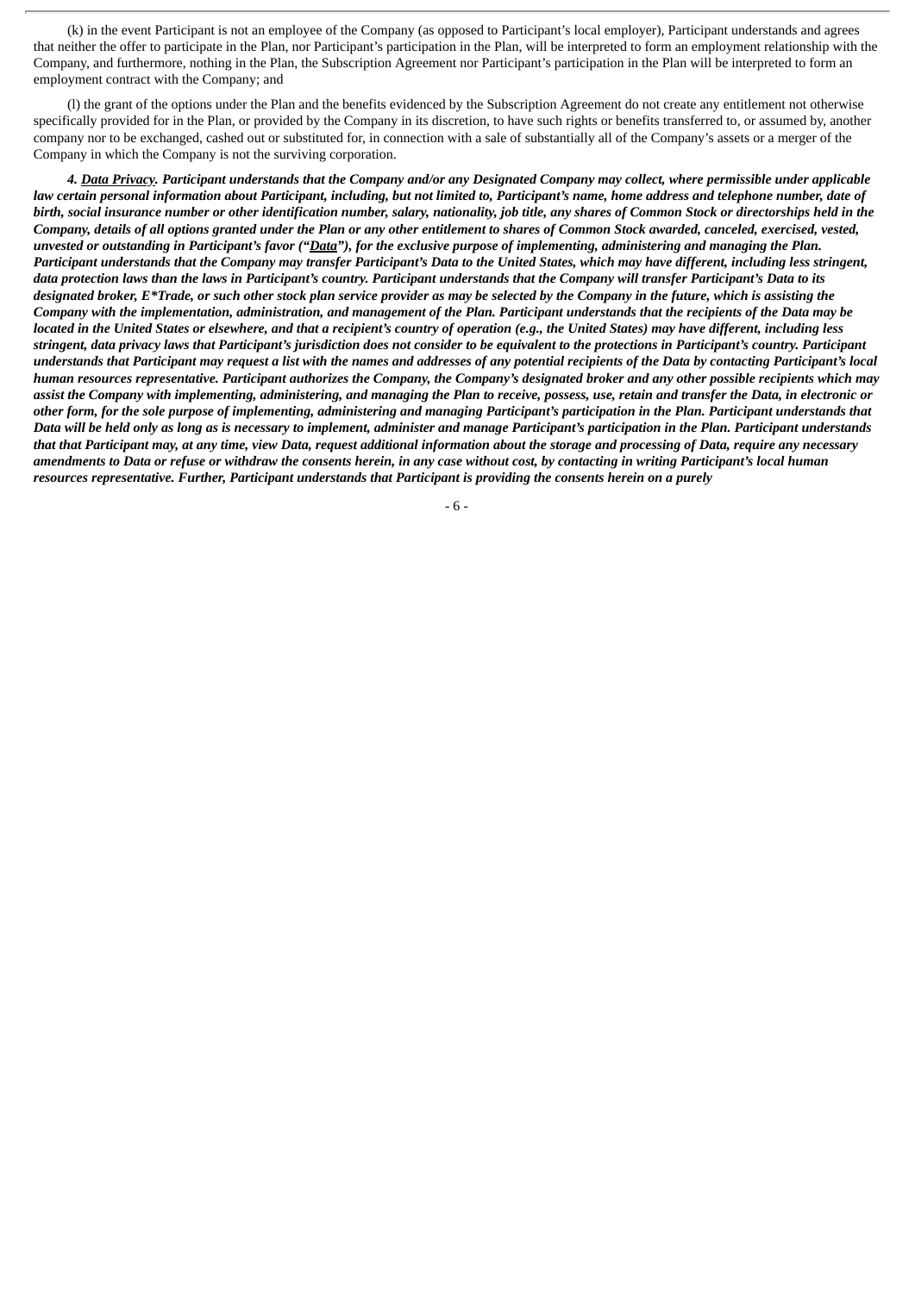(k) in the event Participant is not an employee of the Company (as opposed to Participant's local employer), Participant understands and agrees that neither the offer to participate in the Plan, nor Participant's participation in the Plan, will be interpreted to form an employment relationship with the Company, and furthermore, nothing in the Plan, the Subscription Agreement nor Participant's participation in the Plan will be interpreted to form an employment contract with the Company; and

(l) the grant of the options under the Plan and the benefits evidenced by the Subscription Agreement do not create any entitlement not otherwise specifically provided for in the Plan, or provided by the Company in its discretion, to have such rights or benefits transferred to, or assumed by, another company nor to be exchanged, cashed out or substituted for, in connection with a sale of substantially all of the Company's assets or a merger of the Company in which the Company is not the surviving corporation.

4. Data Privacy. Participant understands that the Company and/or any Designated Company may collect, where permissible under applicable law certain personal information about Participant, including, but not limited to, Participant's name, home address and telephone number, date of birth, social insurance number or other identification number, salary, nationality, job title, any shares of Common Stock or directorships held in the Company, details of all options granted under the Plan or any other entitlement to shares of Common Stock awarded, canceled, exercised, vested, unvested or outstanding in Participant's favor ("Data"), for the exclusive purpose of implementing, administering and managing the Plan. Participant understands that the Company may transfer Participant's Data to the United States, which may have different, including less stringent, data protection laws than the laws in Participant's country. Participant understands that the Company will transfer Participant's Data to its designated broker, E\*Trade, or such other stock plan service provider as may be selected by the Company in the future, which is assisting the Company with the implementation, administration, and management of the Plan. Participant understands that the recipients of the Data may be located in the United States or elsewhere, and that a recipient's country of operation (e.g., the United States) may have different, including less stringent, data privacy laws that Participant's jurisdiction does not consider to be equivalent to the protections in Participant's country. Participant understands that Participant may request a list with the names and addresses of any potential recipients of the Data by contacting Participant's local human resources representative. Participant authorizes the Company, the Company's designated broker and any other possible recipients which may assist the Company with implementing, administering, and managing the Plan to receive, possess, use, retain and transfer the Data, in electronic or other form, for the sole purpose of implementing, administering and managing Participant's participation in the Plan. Participant understands that Data will be held only as long as is necessary to implement, administer and manage Participant's participation in the Plan. Participant understands that that Participant may, at any time, view Data, request additional information about the storage and processing of Data, require any necessary amendments to Data or refuse or withdraw the consents herein, in any case without cost, by contacting in writing Participant's local human resources representative. Further, Participant understands that Participant is providing the consents herein on a purely

- 6 -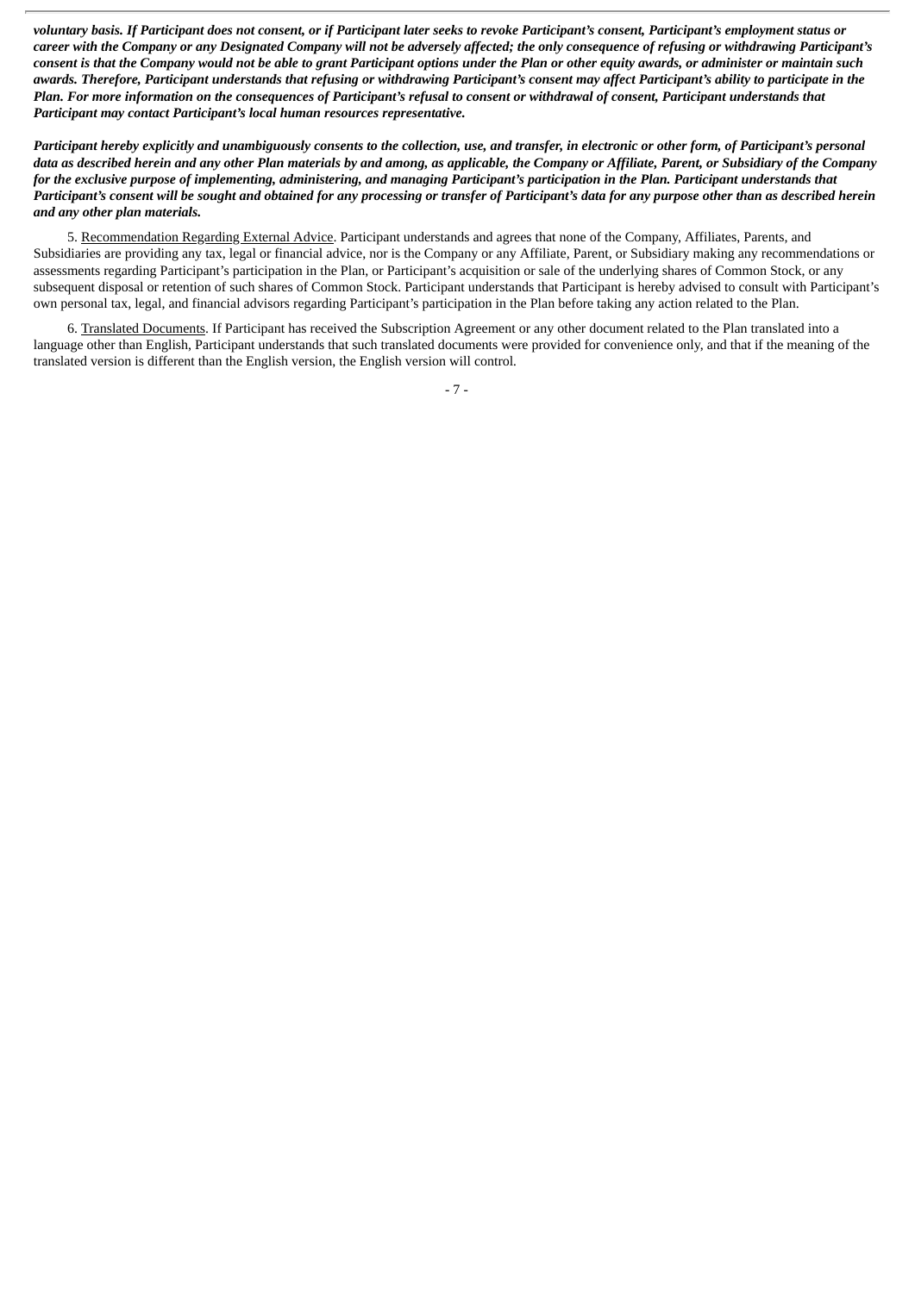voluntary basis. If Participant does not consent, or if Participant later seeks to revoke Participant's consent, Participant's employment status or career with the Company or any Designated Company will not be adversely affected; the only consequence of refusing or withdrawing Participant's consent is that the Company would not be able to grant Participant options under the Plan or other equity awards, or administer or maintain such awards. Therefore, Participant understands that refusing or withdrawing Participant's consent may affect Participant's ability to participate in the Plan. For more information on the consequences of Participant's refusal to consent or withdrawal of consent, Participant understands that *Participant may contact Participant's local human resources representative.*

Participant hereby explicitly and unambiquously consents to the collection, use, and transfer, in electronic or other form, of Participant's personal data as described herein and any other Plan materials by and amona, as applicable, the Company or Affiliate, Parent, or Subsidiary of the Company for the exclusive purpose of implementing, administering, and managing Participant's participation in the Plan. Participant understands that Participant's consent will be sought and obtained for any processing or transfer of Participant's data for any purpose other than as described herein *and any other plan materials.*

5. Recommendation Regarding External Advice. Participant understands and agrees that none of the Company, Affiliates, Parents, and Subsidiaries are providing any tax, legal or financial advice, nor is the Company or any Affiliate, Parent, or Subsidiary making any recommendations or assessments regarding Participant's participation in the Plan, or Participant's acquisition or sale of the underlying shares of Common Stock, or any subsequent disposal or retention of such shares of Common Stock. Participant understands that Participant is hereby advised to consult with Participant's own personal tax, legal, and financial advisors regarding Participant's participation in the Plan before taking any action related to the Plan.

6. Translated Documents. If Participant has received the Subscription Agreement or any other document related to the Plan translated into a language other than English, Participant understands that such translated documents were provided for convenience only, and that if the meaning of the translated version is different than the English version, the English version will control*.*

- 7 -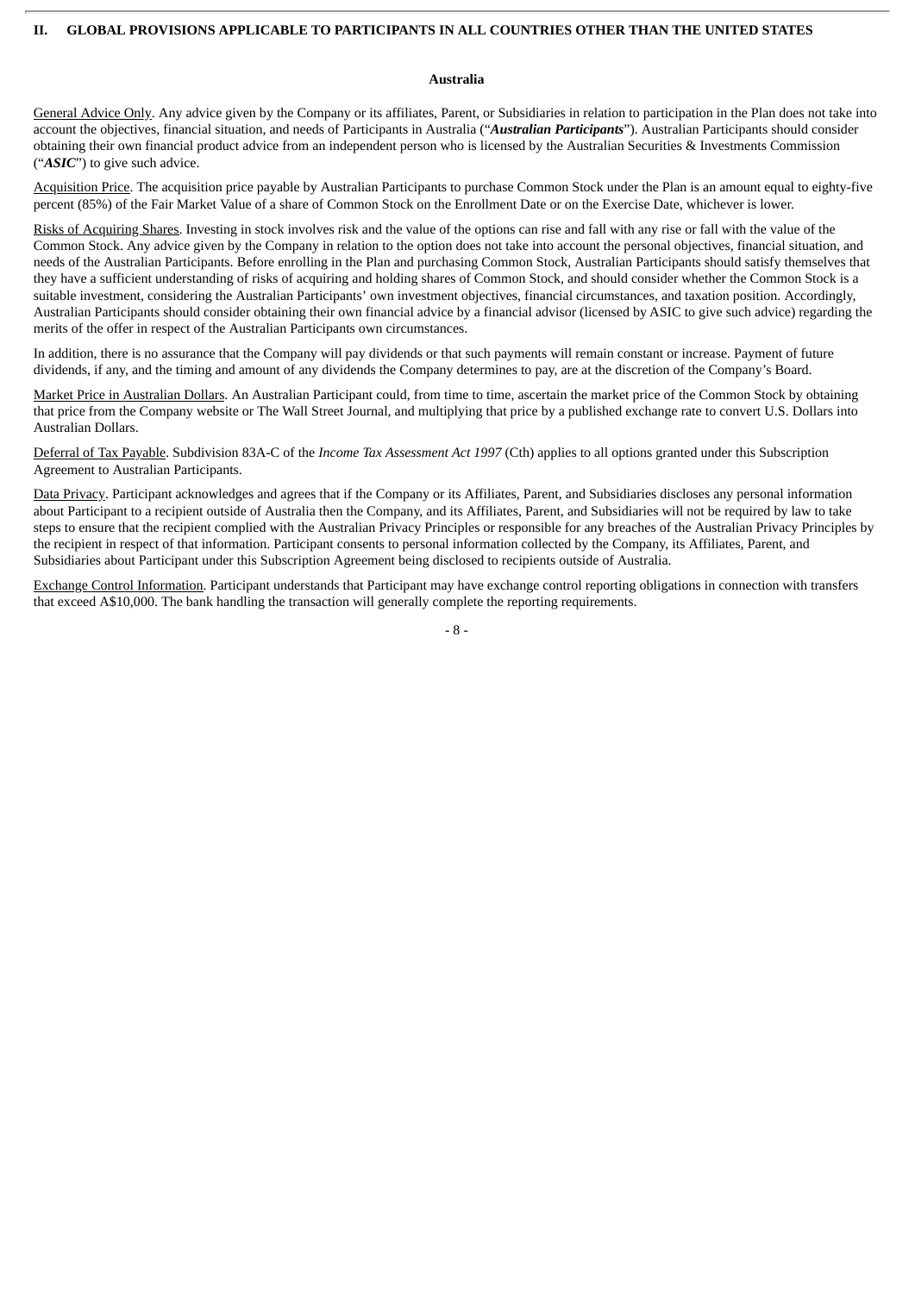#### **II. GLOBAL PROVISIONS APPLICABLE TO PARTICIPANTS IN ALL COUNTRIES OTHER THAN THE UNITED STATES**

#### **Australia**

General Advice Only. Any advice given by the Company or its affiliates, Parent, or Subsidiaries in relation to participation in the Plan does not take into account the objectives, financial situation, and needs of Participants in Australia ("*Australian Participants*"). Australian Participants should consider obtaining their own financial product advice from an independent person who is licensed by the Australian Securities & Investments Commission ("*ASIC*") to give such advice.

Acquisition Price. The acquisition price payable by Australian Participants to purchase Common Stock under the Plan is an amount equal to eighty-five percent (85%) of the Fair Market Value of a share of Common Stock on the Enrollment Date or on the Exercise Date, whichever is lower.

Risks of Acquiring Shares. Investing in stock involves risk and the value of the options can rise and fall with any rise or fall with the value of the Common Stock. Any advice given by the Company in relation to the option does not take into account the personal objectives, financial situation, and needs of the Australian Participants. Before enrolling in the Plan and purchasing Common Stock, Australian Participants should satisfy themselves that they have a sufficient understanding of risks of acquiring and holding shares of Common Stock, and should consider whether the Common Stock is a suitable investment, considering the Australian Participants' own investment objectives, financial circumstances, and taxation position. Accordingly, Australian Participants should consider obtaining their own financial advice by a financial advisor (licensed by ASIC to give such advice) regarding the merits of the offer in respect of the Australian Participants own circumstances.

In addition, there is no assurance that the Company will pay dividends or that such payments will remain constant or increase. Payment of future dividends, if any, and the timing and amount of any dividends the Company determines to pay, are at the discretion of the Company's Board.

Market Price in Australian Dollars. An Australian Participant could, from time to time, ascertain the market price of the Common Stock by obtaining that price from the Company website or The Wall Street Journal, and multiplying that price by a published exchange rate to convert U.S. Dollars into Australian Dollars.

Deferral of Tax Payable. Subdivision 83A-C of the *Income Tax Assessment Act 1997* (Cth) applies to all options granted under this Subscription Agreement to Australian Participants.

Data Privacy. Participant acknowledges and agrees that if the Company or its Affiliates, Parent, and Subsidiaries discloses any personal information about Participant to a recipient outside of Australia then the Company, and its Affiliates, Parent, and Subsidiaries will not be required by law to take steps to ensure that the recipient complied with the Australian Privacy Principles or responsible for any breaches of the Australian Privacy Principles by the recipient in respect of that information. Participant consents to personal information collected by the Company, its Affiliates, Parent, and Subsidiaries about Participant under this Subscription Agreement being disclosed to recipients outside of Australia.

Exchange Control Information. Participant understands that Participant may have exchange control reporting obligations in connection with transfers that exceed A\$10,000. The bank handling the transaction will generally complete the reporting requirements.

- 8 -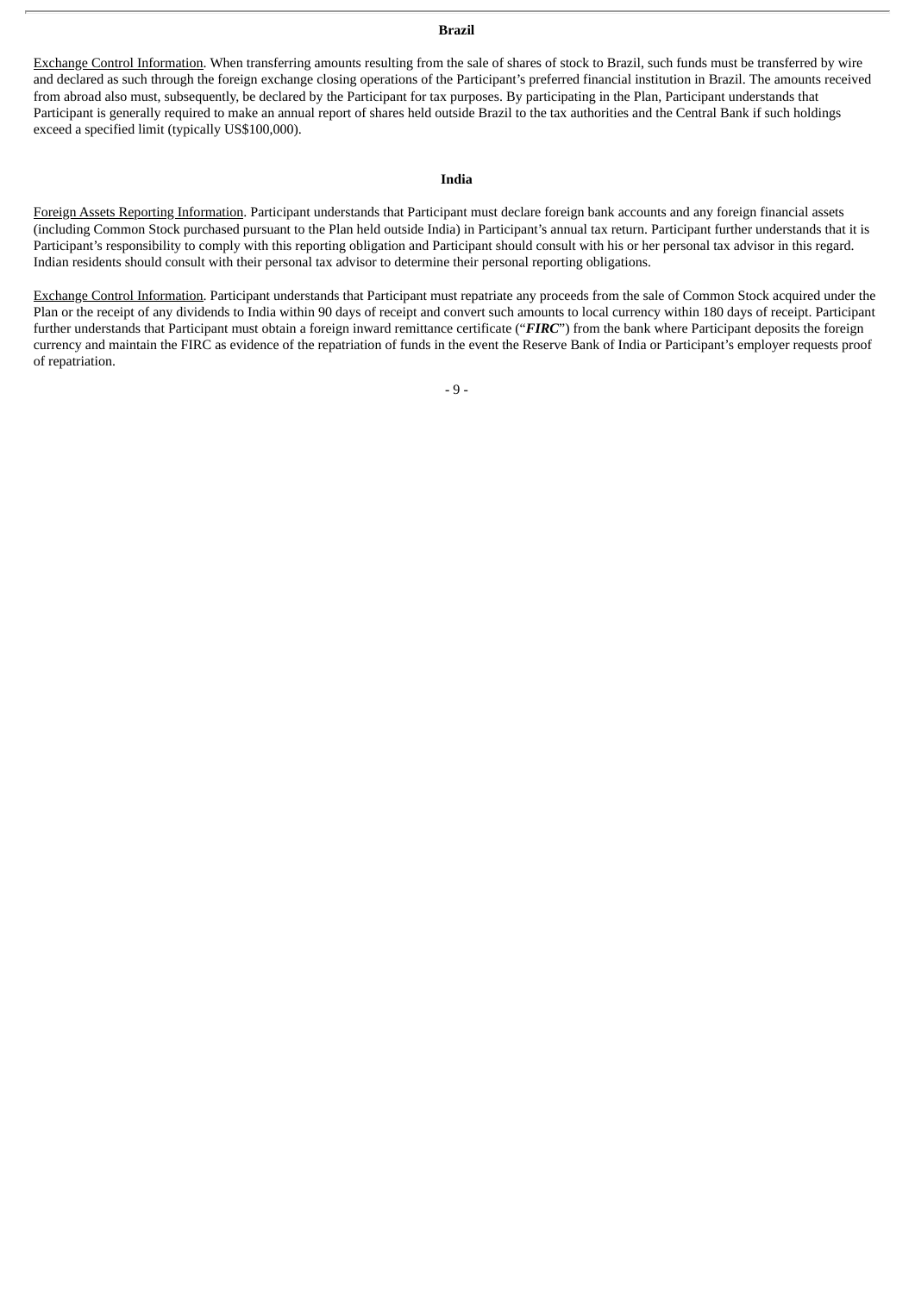#### **Brazil**

Exchange Control Information. When transferring amounts resulting from the sale of shares of stock to Brazil, such funds must be transferred by wire and declared as such through the foreign exchange closing operations of the Participant's preferred financial institution in Brazil. The amounts received from abroad also must, subsequently, be declared by the Participant for tax purposes. By participating in the Plan, Participant understands that Participant is generally required to make an annual report of shares held outside Brazil to the tax authorities and the Central Bank if such holdings exceed a specified limit (typically US\$100,000).

#### **India**

Foreign Assets Reporting Information. Participant understands that Participant must declare foreign bank accounts and any foreign financial assets (including Common Stock purchased pursuant to the Plan held outside India) in Participant's annual tax return. Participant further understands that it is Participant's responsibility to comply with this reporting obligation and Participant should consult with his or her personal tax advisor in this regard. Indian residents should consult with their personal tax advisor to determine their personal reporting obligations.

Exchange Control Information. Participant understands that Participant must repatriate any proceeds from the sale of Common Stock acquired under the Plan or the receipt of any dividends to India within 90 days of receipt and convert such amounts to local currency within 180 days of receipt. Participant further understands that Participant must obtain a foreign inward remittance certificate ("*FIRC*") from the bank where Participant deposits the foreign currency and maintain the FIRC as evidence of the repatriation of funds in the event the Reserve Bank of India or Participant's employer requests proof of repatriation.

- 9 -